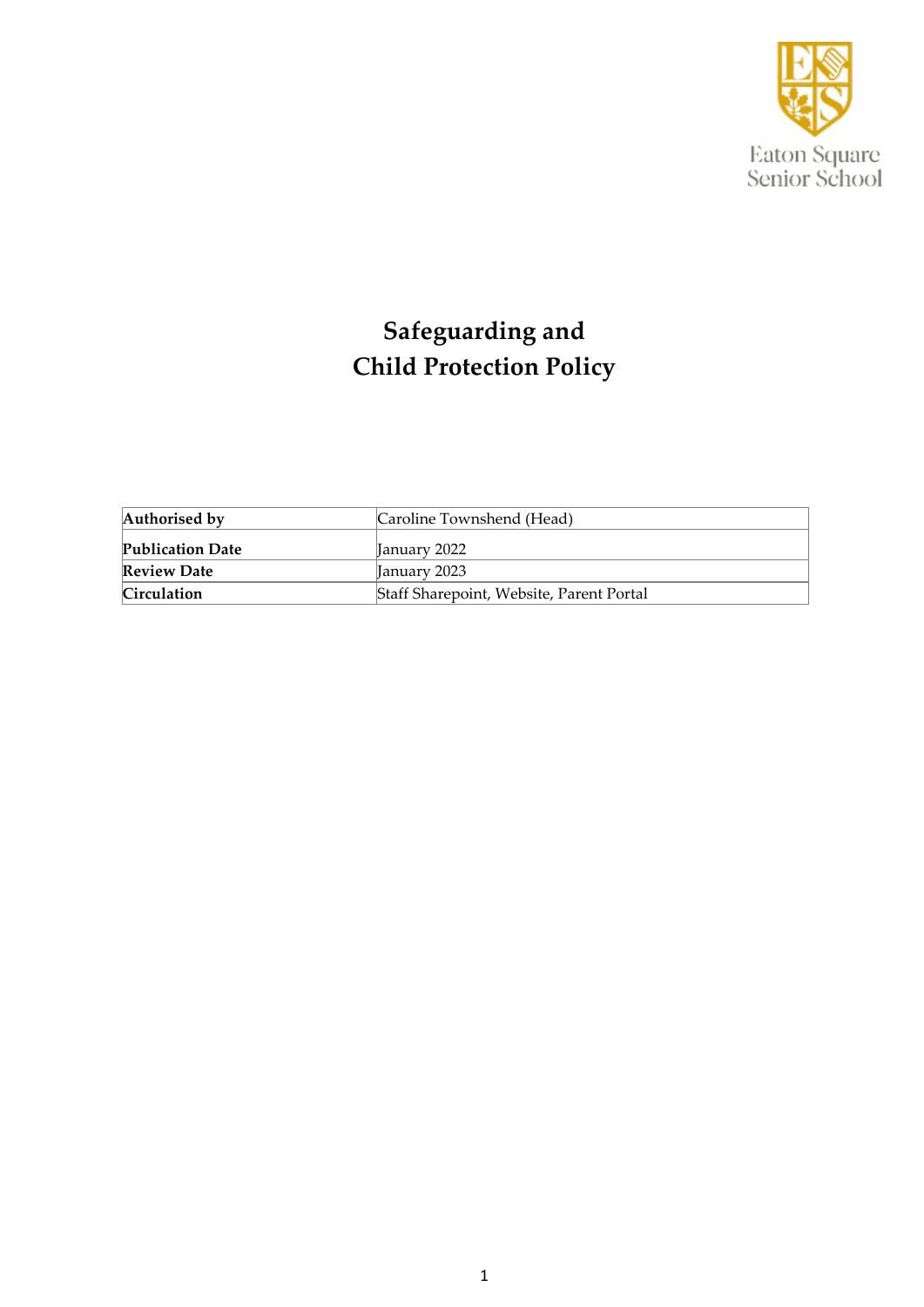

# **Safeguarding and Child Protection Policy**

| Authorised by           | Caroline Townshend (Head)                |
|-------------------------|------------------------------------------|
| <b>Publication Date</b> | <b>January 2022</b>                      |
| <b>Review Date</b>      | <b>January 2023</b>                      |
| <b>Circulation</b>      | Staff Sharepoint, Website, Parent Portal |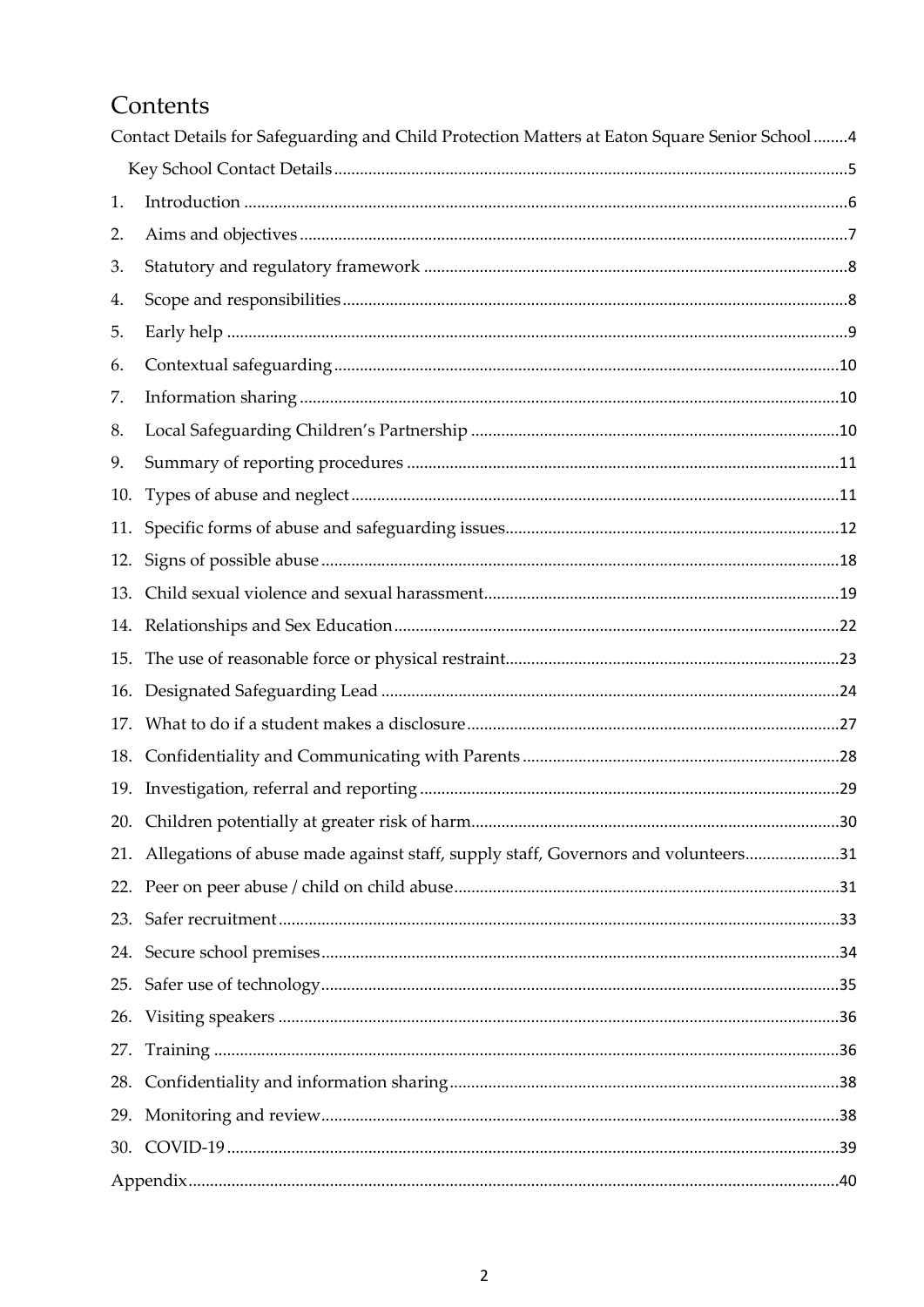# Contents

|     | Contact Details for Safeguarding and Child Protection Matters at Eaton Square Senior School 4 |  |
|-----|-----------------------------------------------------------------------------------------------|--|
|     |                                                                                               |  |
| 1.  |                                                                                               |  |
| 2.  |                                                                                               |  |
| 3.  |                                                                                               |  |
| 4.  |                                                                                               |  |
| 5.  |                                                                                               |  |
| 6.  |                                                                                               |  |
| 7.  |                                                                                               |  |
| 8.  |                                                                                               |  |
| 9.  |                                                                                               |  |
| 10. |                                                                                               |  |
| 11. |                                                                                               |  |
| 12. |                                                                                               |  |
| 13. |                                                                                               |  |
| 14. |                                                                                               |  |
| 15. |                                                                                               |  |
|     |                                                                                               |  |
|     |                                                                                               |  |
| 18. |                                                                                               |  |
| 19. |                                                                                               |  |
|     | 30                                                                                            |  |
|     | 21. Allegations of abuse made against staff, supply staff, Governors and volunteers31         |  |
|     |                                                                                               |  |
|     |                                                                                               |  |
|     |                                                                                               |  |
| 25. |                                                                                               |  |
|     |                                                                                               |  |
| 27. |                                                                                               |  |
|     |                                                                                               |  |
| 29. |                                                                                               |  |
|     |                                                                                               |  |
|     |                                                                                               |  |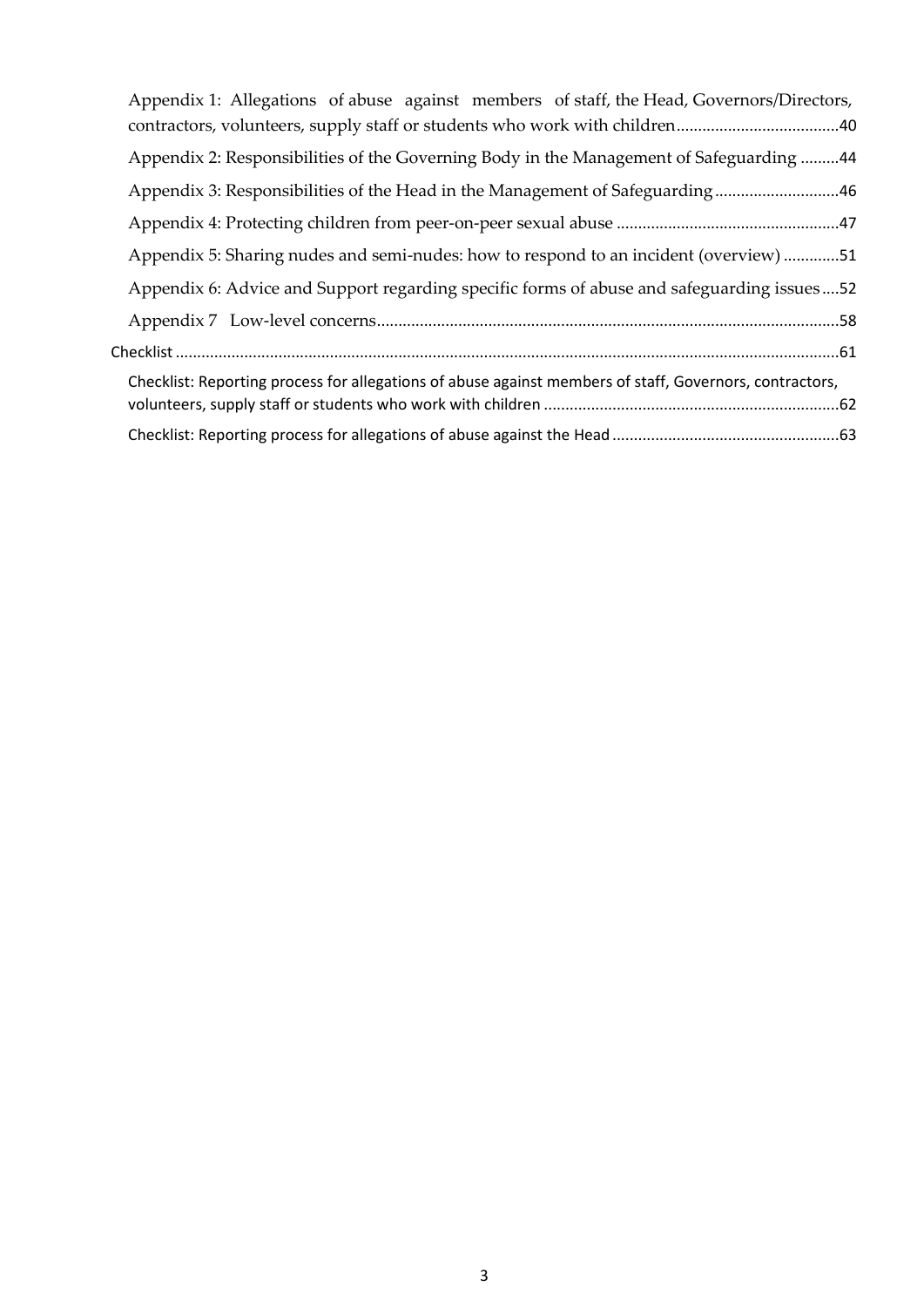| Appendix 1: Allegations of abuse against members of staff, the Head, Governors/Directors,               |
|---------------------------------------------------------------------------------------------------------|
|                                                                                                         |
| Appendix 2: Responsibilities of the Governing Body in the Management of Safeguarding 44                 |
| Appendix 3: Responsibilities of the Head in the Management of Safeguarding46                            |
|                                                                                                         |
| Appendix 5: Sharing nudes and semi-nudes: how to respond to an incident (overview) 51                   |
| Appendix 6: Advice and Support regarding specific forms of abuse and safeguarding issues52              |
|                                                                                                         |
|                                                                                                         |
| Checklist: Reporting process for allegations of abuse against members of staff, Governors, contractors, |
|                                                                                                         |
|                                                                                                         |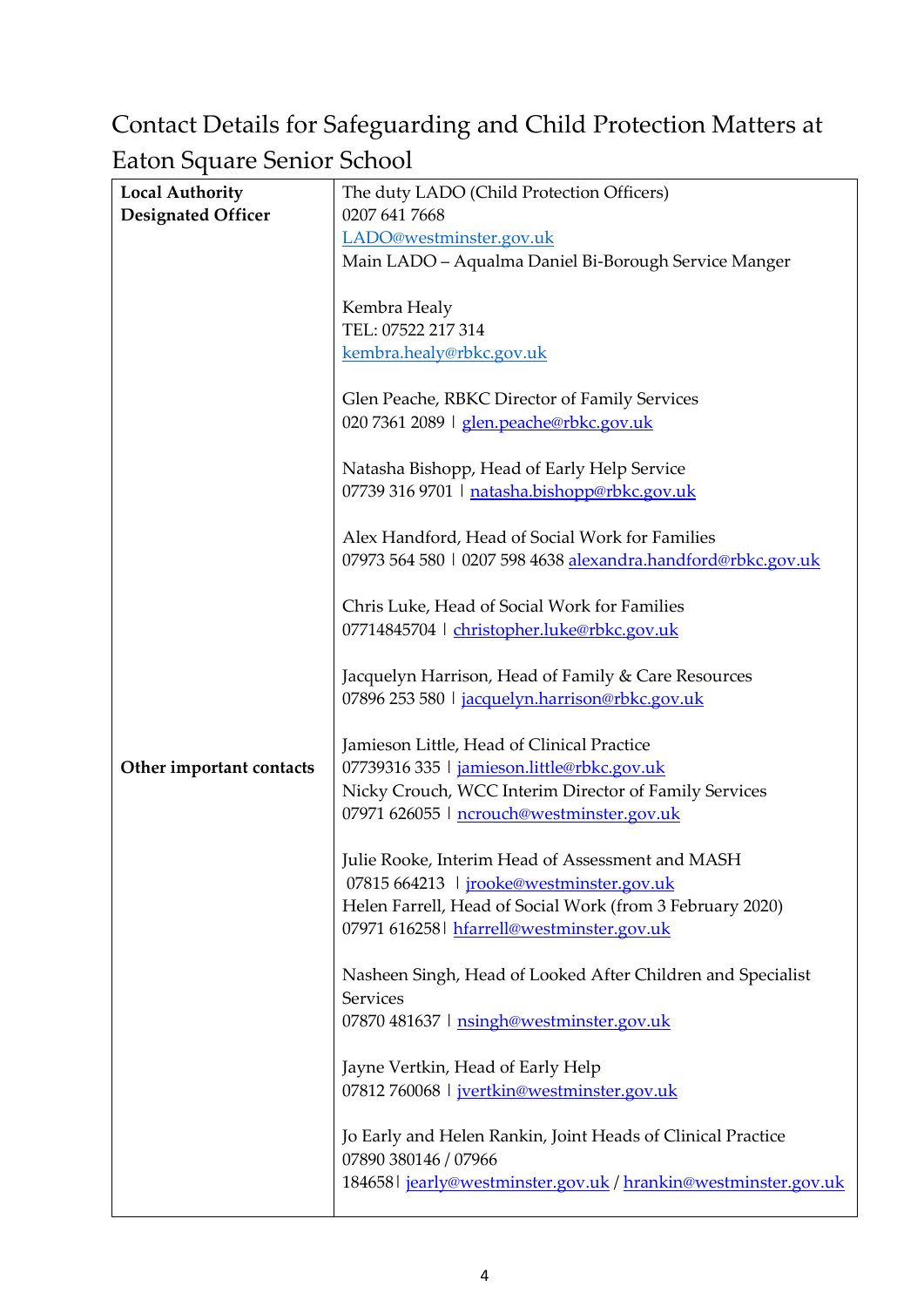# <span id="page-3-0"></span>Contact Details for Safeguarding and Child Protection Matters at Eaton Square Senior School

| т                         |                                                                 |
|---------------------------|-----------------------------------------------------------------|
| <b>Local Authority</b>    | The duty LADO (Child Protection Officers)                       |
| <b>Designated Officer</b> | 0207 641 7668                                                   |
|                           | LADO@westminster.gov.uk                                         |
|                           | Main LADO - Aqualma Daniel Bi-Borough Service Manger            |
|                           |                                                                 |
|                           |                                                                 |
|                           | Kembra Healy                                                    |
|                           | TEL: 07522 217 314                                              |
|                           | kembra.healy@rbkc.gov.uk                                        |
|                           |                                                                 |
|                           | Glen Peache, RBKC Director of Family Services                   |
|                           | 020 7361 2089   glen.peache@rbkc.gov.uk                         |
|                           | Natasha Bishopp, Head of Early Help Service                     |
|                           |                                                                 |
|                           | 07739 316 9701   natasha.bishopp@rbkc.gov.uk                    |
|                           | Alex Handford, Head of Social Work for Families                 |
|                           | 07973 564 580   0207 598 4638 alexandra.handford@rbkc.gov.uk    |
|                           |                                                                 |
|                           | Chris Luke, Head of Social Work for Families                    |
|                           | 07714845704   christopher.luke@rbkc.gov.uk                      |
|                           |                                                                 |
|                           | Jacquelyn Harrison, Head of Family & Care Resources             |
|                           | 07896 253 580   jacquelyn.harrison@rbkc.gov.uk                  |
|                           |                                                                 |
|                           | Jamieson Little, Head of Clinical Practice                      |
| Other important contacts  | 07739316 335   jamieson.little@rbkc.gov.uk                      |
|                           | Nicky Crouch, WCC Interim Director of Family Services           |
|                           | 07971 626055   ncrouch@westminster.gov.uk                       |
|                           |                                                                 |
|                           | Julie Rooke, Interim Head of Assessment and MASH                |
|                           | 07815 664213   jrooke@westminster.gov.uk                        |
|                           | Helen Farrell, Head of Social Work (from 3 February 2020)       |
|                           | 07971 616258 hfarrell@westminster.gov.uk                        |
|                           |                                                                 |
|                           | Nasheen Singh, Head of Looked After Children and Specialist     |
|                           | Services                                                        |
|                           |                                                                 |
|                           | 07870 481637   nsingh@westminster.gov.uk                        |
|                           | Jayne Vertkin, Head of Early Help                               |
|                           | 07812 760068   jvertkin@westminster.gov.uk                      |
|                           |                                                                 |
|                           | Jo Early and Helen Rankin, Joint Heads of Clinical Practice     |
|                           | 07890 380146 / 07966                                            |
|                           | 184658   jearly@westminster.gov.uk / hrankin@westminster.gov.uk |
|                           |                                                                 |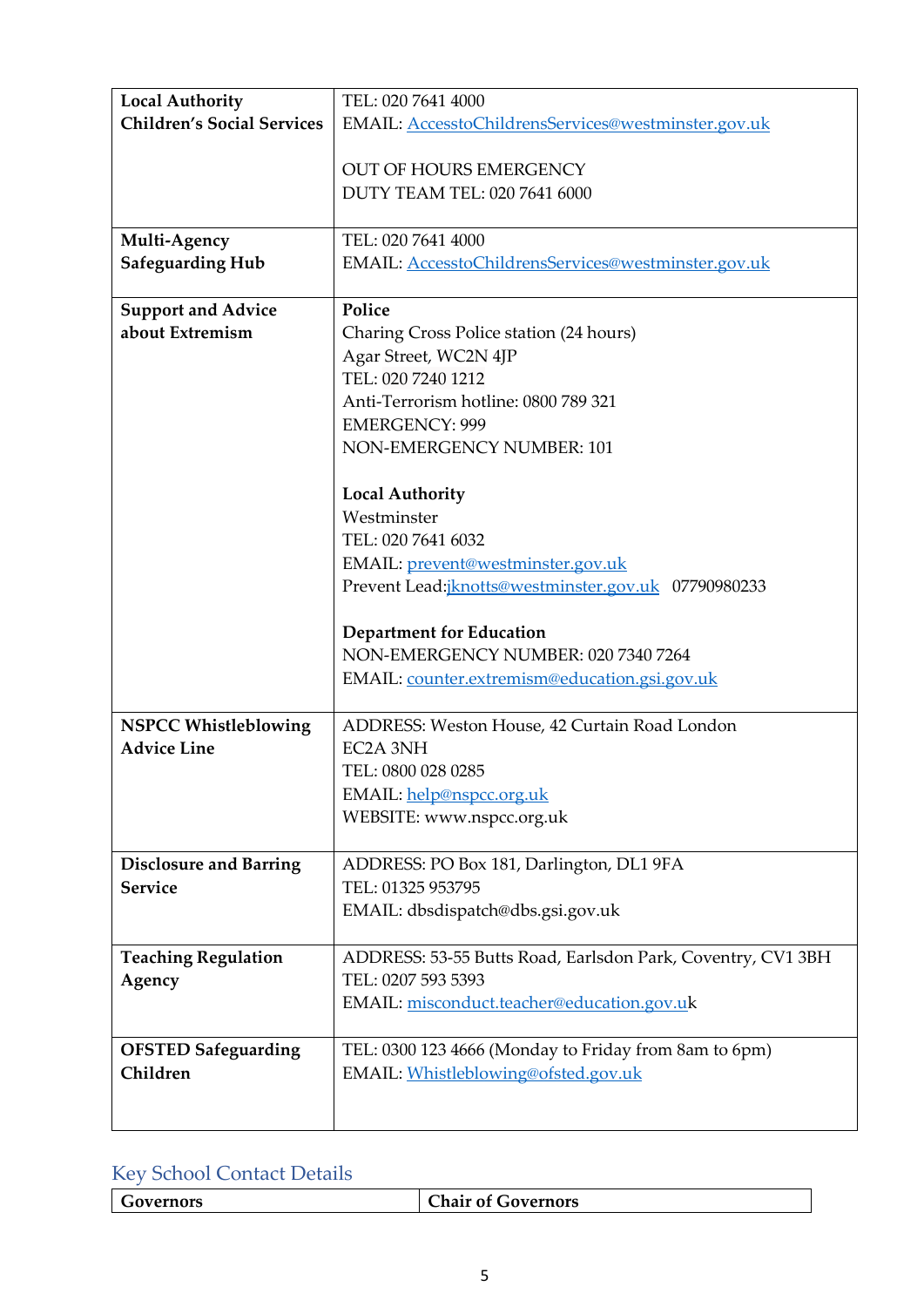| <b>Local Authority</b>            | TEL: 020 7641 4000                                          |
|-----------------------------------|-------------------------------------------------------------|
| <b>Children's Social Services</b> | EMAIL: AccesstoChildrensServices@westminster.gov.uk         |
|                                   |                                                             |
|                                   | <b>OUT OF HOURS EMERGENCY</b>                               |
|                                   | DUTY TEAM TEL: 020 7641 6000                                |
|                                   |                                                             |
| Multi-Agency                      | TEL: 020 7641 4000                                          |
| <b>Safeguarding Hub</b>           | EMAIL: AccesstoChildrensServices@westminster.gov.uk         |
|                                   |                                                             |
| <b>Support and Advice</b>         | Police                                                      |
| about Extremism                   | Charing Cross Police station (24 hours)                     |
|                                   | Agar Street, WC2N 4JP                                       |
|                                   | TEL: 020 7240 1212                                          |
|                                   | Anti-Terrorism hotline: 0800 789 321                        |
|                                   | <b>EMERGENCY: 999</b>                                       |
|                                   | NON-EMERGENCY NUMBER: 101                                   |
|                                   |                                                             |
|                                   | <b>Local Authority</b>                                      |
|                                   | Westminster                                                 |
|                                   | TEL: 020 7641 6032                                          |
|                                   | EMAIL: prevent@westminster.gov.uk                           |
|                                   | Prevent Lead: <i>iknotts@westminster.gov.uk 07790980233</i> |
|                                   |                                                             |
|                                   | <b>Department for Education</b>                             |
|                                   | NON-EMERGENCY NUMBER: 020 7340 7264                         |
|                                   | EMAIL: counter.extremism@education.gsi.gov.uk               |
|                                   |                                                             |
| <b>NSPCC Whistleblowing</b>       | ADDRESS: Weston House, 42 Curtain Road London               |
| <b>Advice Line</b>                | EC2A 3NH                                                    |
|                                   | TEL: 0800 028 0285                                          |
|                                   | EMAIL: help@nspcc.org.uk                                    |
|                                   | WEBSITE: www.nspcc.org.uk                                   |
|                                   |                                                             |
| <b>Disclosure and Barring</b>     | ADDRESS: PO Box 181, Darlington, DL1 9FA                    |
| <b>Service</b>                    | TEL: 01325 953795                                           |
|                                   | EMAIL: dbsdispatch@dbs.gsi.gov.uk                           |
|                                   |                                                             |
| <b>Teaching Regulation</b>        | ADDRESS: 53-55 Butts Road, Earlsdon Park, Coventry, CV1 3BH |
| Agency                            | TEL: 0207 593 5393                                          |
|                                   | EMAIL: misconduct.teacher@education.gov.uk                  |
|                                   |                                                             |
| <b>OFSTED Safeguarding</b>        | TEL: 0300 123 4666 (Monday to Friday from 8am to 6pm)       |
| Children                          | EMAIL: Whistleblowing@ofsted.gov.uk                         |
|                                   |                                                             |
|                                   |                                                             |

# <span id="page-4-0"></span>Key School Contact Details

| <b>Chair of Governors</b><br>Governors |
|----------------------------------------|
|----------------------------------------|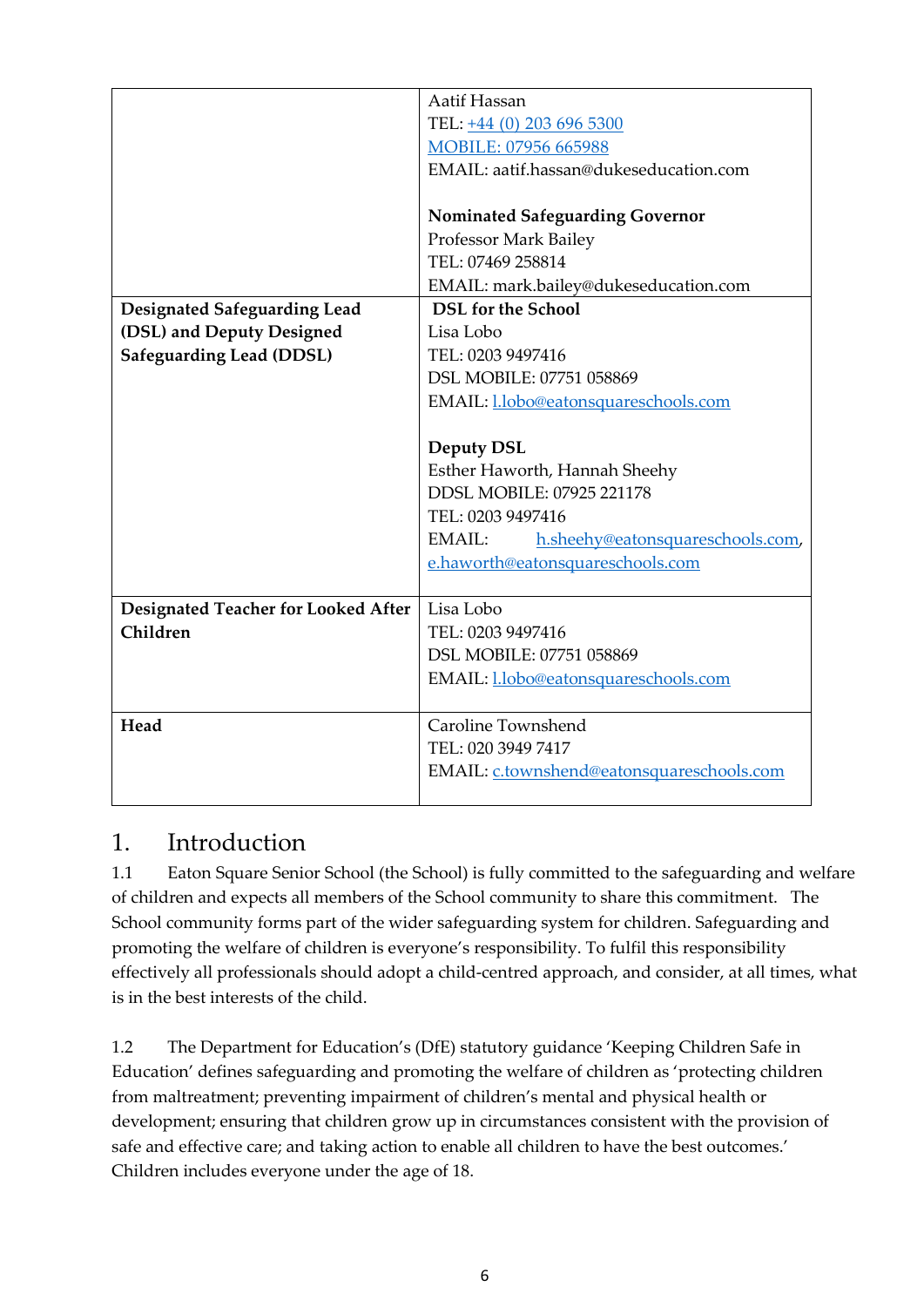|                                            | Aatif Hassan                                |  |
|--------------------------------------------|---------------------------------------------|--|
|                                            | TEL: +44 (0) 203 696 5300                   |  |
|                                            | MOBILE: 07956 665988                        |  |
|                                            | EMAIL: aatif.hassan@dukeseducation.com      |  |
|                                            |                                             |  |
|                                            | <b>Nominated Safeguarding Governor</b>      |  |
|                                            | Professor Mark Bailey                       |  |
|                                            | TEL: 07469 258814                           |  |
|                                            | EMAIL: mark.bailey@dukeseducation.com       |  |
| <b>Designated Safeguarding Lead</b>        | <b>DSL</b> for the School                   |  |
| (DSL) and Deputy Designed                  | Lisa Lobo                                   |  |
| <b>Safeguarding Lead (DDSL)</b>            | TEL: 0203 9497416                           |  |
|                                            | DSL MOBILE: 07751 058869                    |  |
|                                            | EMAIL: <i>l.lobo@eatonsquareschools.com</i> |  |
|                                            |                                             |  |
|                                            | <b>Deputy DSL</b>                           |  |
|                                            | Esther Haworth, Hannah Sheehy               |  |
|                                            | DDSL MOBILE: 07925 221178                   |  |
|                                            | TEL: 0203 9497416                           |  |
|                                            | EMAIL:<br>h.sheehy@eatonsquareschools.com,  |  |
|                                            | e.haworth@eatonsquareschools.com            |  |
|                                            |                                             |  |
| <b>Designated Teacher for Looked After</b> | Lisa Lobo                                   |  |
| Children                                   | TEL: 0203 9497416                           |  |
|                                            | DSL MOBILE: 07751 058869                    |  |
|                                            | EMAIL: <i>l.lobo@eatonsquareschools.com</i> |  |
|                                            |                                             |  |
| Head                                       | Caroline Townshend                          |  |
|                                            | TEL: 020 3949 7417                          |  |
|                                            | EMAIL: c.townshend@eatonsquareschools.com   |  |
|                                            |                                             |  |

## <span id="page-5-0"></span>1. Introduction

1.1 Eaton Square Senior School (the School) is fully committed to the safeguarding and welfare of children and expects all members of the School community to share this commitment. The School community forms part of the wider safeguarding system for children. Safeguarding and promoting the welfare of children is everyone's responsibility. To fulfil this responsibility effectively all professionals should adopt a child-centred approach, and consider, at all times, what is in the best interests of the child.

1.2 The Department for Education's (DfE) statutory guidance 'Keeping Children Safe in Education' defines safeguarding and promoting the welfare of children as 'protecting children from maltreatment; preventing impairment of children's mental and physical health or development; ensuring that children grow up in circumstances consistent with the provision of safe and effective care; and taking action to enable all children to have the best outcomes.' Children includes everyone under the age of 18.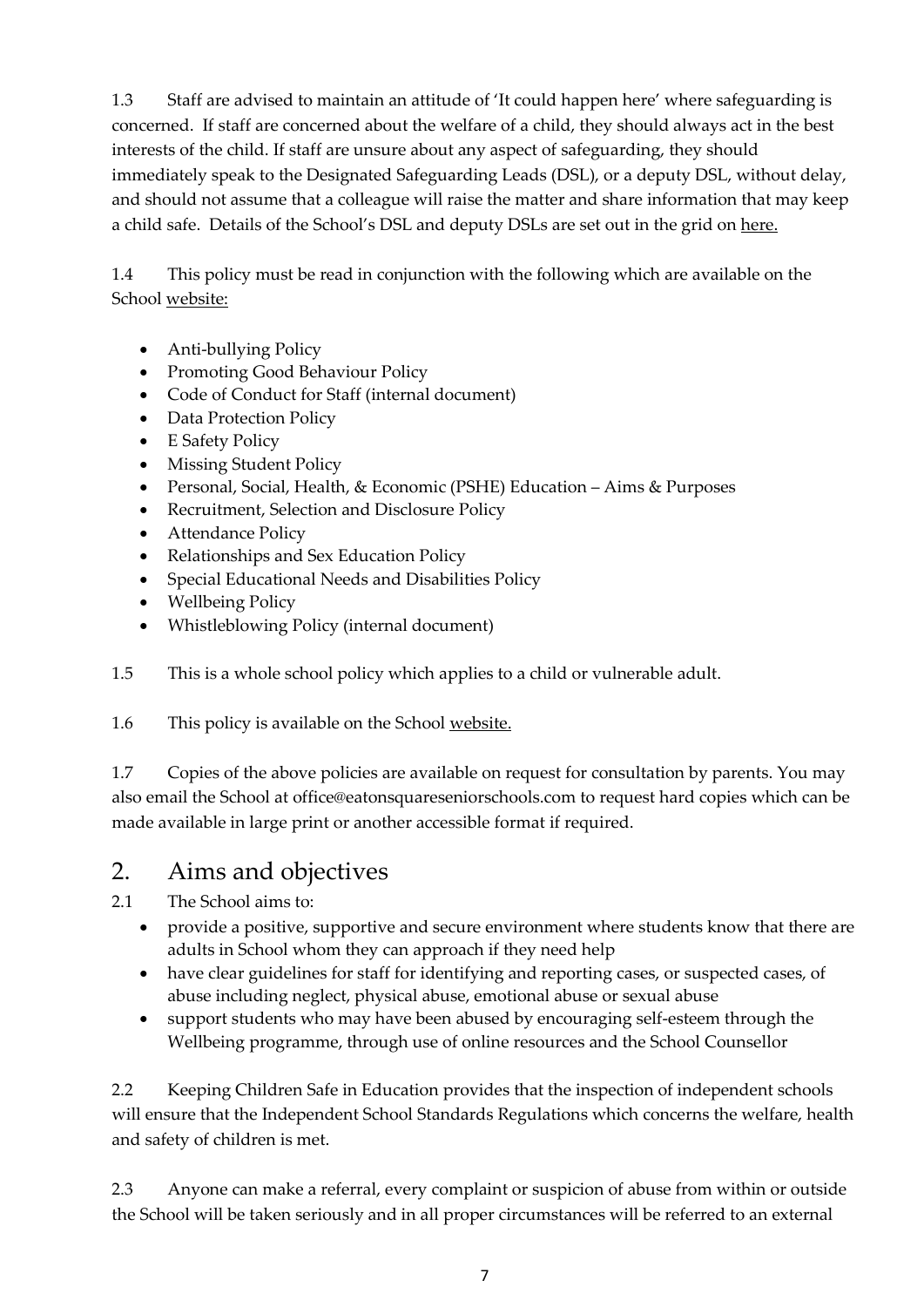1.3 Staff are advised to maintain an attitude of 'It could happen here' where safeguarding is concerned. If staff are concerned about the welfare of a child, they should always act in the best interests of the child. If staff are unsure about any aspect of safeguarding, they should immediately speak to the Designated Safeguarding Leads (DSL), or a deputy DSL, without delay, and should not assume that a colleague will raise the matter and share information that may keep a child safe. Details of the School's DSL and deputy DSLs are set out in the grid on [here.](#page-3-0)

1.4 This policy must be read in conjunction with the following which are available on the School [website:](https://www.eatonsquareschools.com/senior-sixth/information/policies/)

- Anti-bullying Policy
- Promoting Good Behaviour Policy
- Code of Conduct for Staff (internal document)
- Data Protection Policy
- E Safety Policy
- Missing Student Policy
- Personal, Social, Health, & Economic (PSHE) Education Aims & Purposes
- Recruitment, Selection and Disclosure Policy
- Attendance Policy
- Relationships and Sex Education Policy
- Special Educational Needs and Disabilities Policy
- Wellbeing Policy
- Whistleblowing Policy (internal document)

1.5 This is a whole school policy which applies to a child or vulnerable adult.

1.6 This policy is available on the Schoo[l website.](https://www.eatonsquareschools.com/senior-sixth/information/policies/)

1.7 Copies of the above policies are available on request for consultation by parents. You may also email the School at office@eatonsquareseniorschools.com to request hard copies which can be made available in large print or another accessible format if required.

## <span id="page-6-0"></span>2. Aims and objectives

2.1 The School aims to:

- provide a positive, supportive and secure environment where students know that there are adults in School whom they can approach if they need help
- have clear guidelines for staff for identifying and reporting cases, or suspected cases, of abuse including neglect, physical abuse, emotional abuse or sexual abuse
- support students who may have been abused by encouraging self-esteem through the Wellbeing programme, through use of online resources and the School Counsellor

2.2 Keeping Children Safe in Education provides that the inspection of independent schools will ensure that the Independent School Standards Regulations which concerns the welfare, health and safety of children is met.

2.3 Anyone can make a referral, every complaint or suspicion of abuse from within or outside the School will be taken seriously and in all proper circumstances will be referred to an external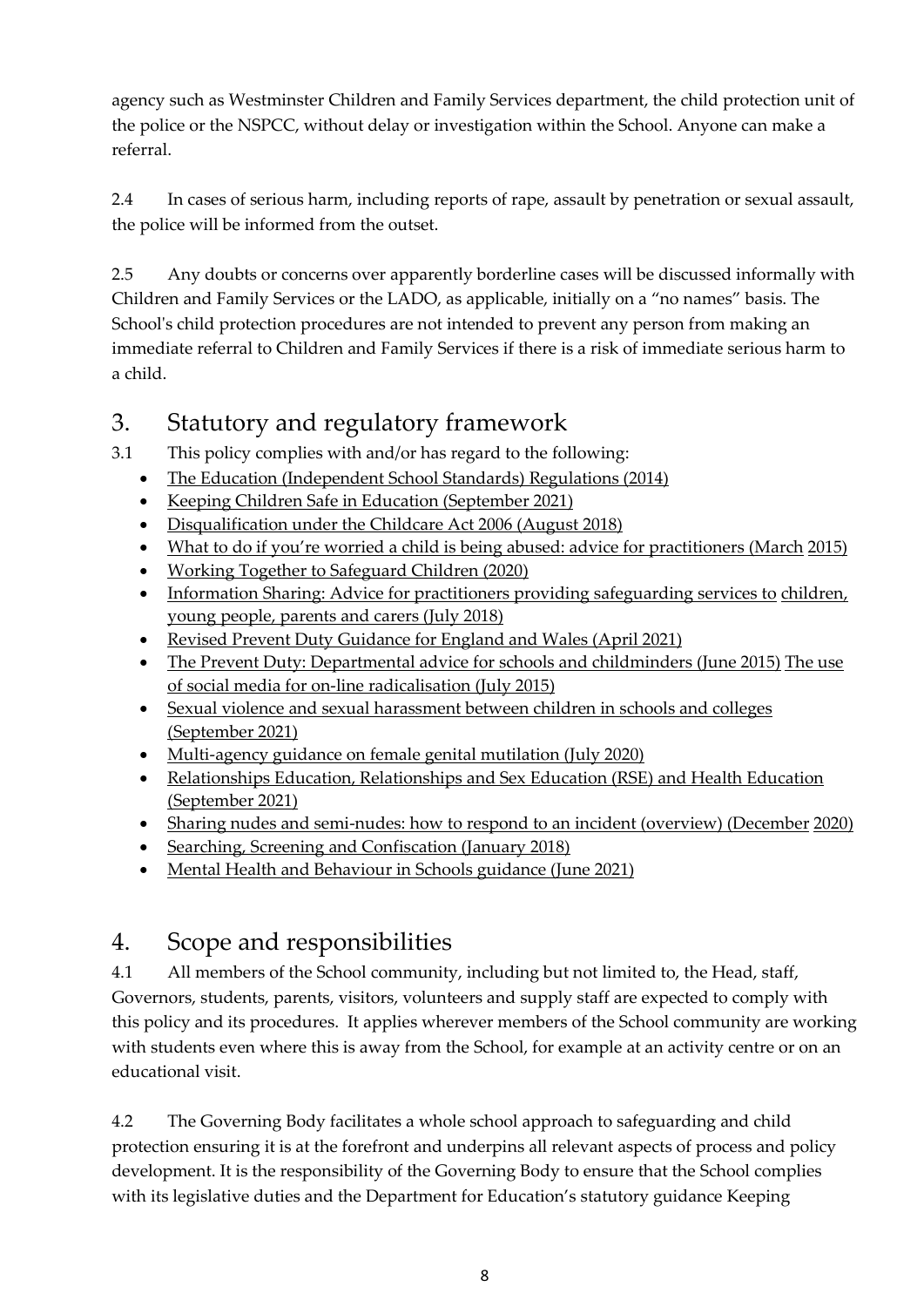agency such as Westminster Children and Family Services department, the child protection unit of the police or the NSPCC, without delay or investigation within the School. Anyone can make a referral.

2.4 In cases of serious harm, including reports of rape, assault by penetration or sexual assault, the police will be informed from the outset.

2.5 Any doubts or concerns over apparently borderline cases will be discussed informally with Children and Family Services or the LADO, as applicable, initially on a "no names" basis. The School's child protection procedures are not intended to prevent any person from making an immediate referral to Children and Family Services if there is a risk of immediate serious harm to a child.

## <span id="page-7-0"></span>3. Statutory and regulatory framework

3.1 This policy complies with and/or has regard to the following:

- [The Education \(Independent School Standards\) Regulations \(2014\)](https://www.legislation.gov.uk/uksi/2014/3283/schedule/made)
- [Keeping Children Safe in Education \(September 2021\)](https://www.gov.uk/government/publications/keeping-children-safe-in-education--2)
- [Disqualification under the Childcare Act 2006 \(August 2018\)](https://www.gov.uk/government/publications/disqualification-under-the-childcare-act-2006)
- [What to do if you're worried a child is being abused: advice for practitioners \(March](https://www.gov.uk/government/publications/what-to-do-if-youre-worried-a-child-is-being-abused--2) [2015\)](https://www.gov.uk/government/publications/what-to-do-if-youre-worried-a-child-is-being-abused--2)
- [Working Together to Safeguard Children \(2020\)](https://www.gov.uk/government/publications/working-together-to-safeguard-children--2)
- [Information Sharing: Advice for practitioners providing safeguarding services to](https://www.gov.uk/government/publications/safeguarding-practitioners-information-sharing-advice) children, [young people, parents and carers \(July 2018\)](https://www.gov.uk/government/publications/safeguarding-practitioners-information-sharing-advice)
- [Revised Prevent Duty Guidance for England and Wales \(April 2021\)](https://www.gov.uk/government/publications/prevent-duty-guidance)
- [The Prevent Duty: Departmental advice for schools and childminders \(June 2015\)](https://www.gov.uk/government/publications/protecting-children-from-radicalisation-the-prevent-duty) The use [of social media for on-line radicalisation \(July 2015\)](https://www.gov.uk/government/publications/the-use-of-social-media-for-online-radicalisation)
- [Sexual violence and sexual harassment between children in schools and colleges](https://www.gov.uk/government/publications/sexual-violence-and-sexual-harassment-between-children-in-schools-and-colleges) [\(September 2021\)](https://www.gov.uk/government/publications/sexual-violence-and-sexual-harassment-between-children-in-schools-and-colleges)
- [Multi-agency guidance on female genital mutilation \(July 2020\)](https://www.gov.uk/government/publications/multi-agency-statutory-guidance-on-female-genital-mutilation?utm_source=b2ee9271-33ee-4fce-9520-efa5db0e0c2e&utm_medium=email&utm_campaign=govuk-notifications&utm_content=daily)
- [Relationships Education, Relationships and Sex Education \(RSE\) and Health Education](https://assets.publishing.service.gov.uk/government/uploads/system/uploads/attachment_data/file/805781/Relationships_Education__Relationships_and_Sex_Education__RSE__and_Health_Education.pdf) [\(September 2021\)](https://assets.publishing.service.gov.uk/government/uploads/system/uploads/attachment_data/file/805781/Relationships_Education__Relationships_and_Sex_Education__RSE__and_Health_Education.pdf)
- [Sharing nudes and semi-nudes: how to respond to an incident \(overview\) \(December](https://www.gov.uk/government/publications/sharing-nudes-and-semi-nudes-advice-for-education-settings-working-with-children-and-young-people/sharing-nudes-and-semi-nudes-how-to-respond-to-an-incident-overview?utm_source=6%20April%202020%20C19&utm_medium=Daily%20Email%20C19&utm_campaign=DfE%20C19) [2020\)](https://www.gov.uk/government/publications/sharing-nudes-and-semi-nudes-advice-for-education-settings-working-with-children-and-young-people/sharing-nudes-and-semi-nudes-how-to-respond-to-an-incident-overview?utm_source=6%20April%202020%20C19&utm_medium=Daily%20Email%20C19&utm_campaign=DfE%20C19)
- [Searching, Screening and Confiscation \(January 2018\)](https://assets.publishing.service.gov.uk/government/uploads/system/uploads/attachment_data/file/674416/Searching_screening_and_confiscation.pdf)
- [Mental Health and Behaviour in Schools guidance \(June 2021\)](https://www.gov.uk/guidance/mental-health-and-wellbeing-support-in-schools-and-colleges)

## <span id="page-7-1"></span>4. Scope and responsibilities

4.1 All members of the School community, including but not limited to, the Head, staff, Governors, students, parents, visitors, volunteers and supply staff are expected to comply with this policy and its procedures. It applies wherever members of the School community are working with students even where this is away from the School, for example at an activity centre or on an educational visit.

4.2 The Governing Body facilitates a whole school approach to safeguarding and child protection ensuring it is at the forefront and underpins all relevant aspects of process and policy development. It is the responsibility of the Governing Body to ensure that the School complies with its legislative duties and the Department for Education's statutory guidance Keeping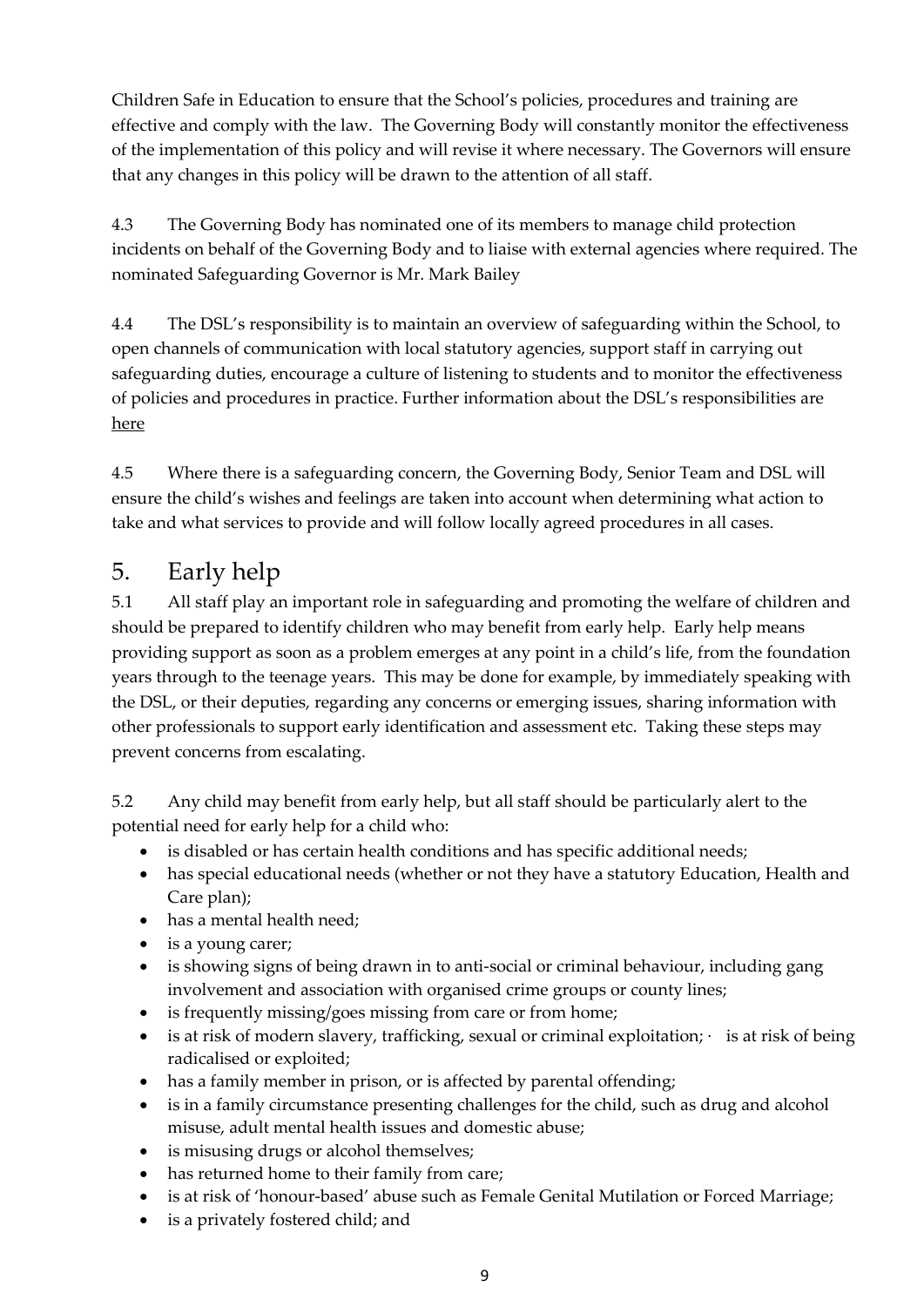Children Safe in Education to ensure that the School's policies, procedures and training are effective and comply with the law. The Governing Body will constantly monitor the effectiveness of the implementation of this policy and will revise it where necessary. The Governors will ensure that any changes in this policy will be drawn to the attention of all staff.

4.3 The Governing Body has nominated one of its members to manage child protection incidents on behalf of the Governing Body and to liaise with external agencies where required. The nominated Safeguarding Governor is Mr. Mark Bailey

4.4 The DSL's responsibility is to maintain an overview of safeguarding within the School, to open channels of communication with local statutory agencies, support staff in carrying out safeguarding duties, encourage a culture of listening to students and to monitor the effectiveness of policies and procedures in practice. Further information about the DSL's responsibilities are [here](#page-23-0)

4.5 Where there is a safeguarding concern, the Governing Body, Senior Team and DSL will ensure the child's wishes and feelings are taken into account when determining what action to take and what services to provide and will follow locally agreed procedures in all cases.

## <span id="page-8-0"></span>5. Early help

5.1 All staff play an important role in safeguarding and promoting the welfare of children and should be prepared to identify children who may benefit from early help. Early help means providing support as soon as a problem emerges at any point in a child's life, from the foundation years through to the teenage years. This may be done for example, by immediately speaking with the DSL, or their deputies, regarding any concerns or emerging issues, sharing information with other professionals to support early identification and assessment etc. Taking these steps may prevent concerns from escalating.

5.2 Any child may benefit from early help, but all staff should be particularly alert to the potential need for early help for a child who:

- is disabled or has certain health conditions and has specific additional needs;
- has special educational needs (whether or not they have a statutory Education, Health and Care plan);
- has a mental health need;
- is a young carer;
- is showing signs of being drawn in to anti-social or criminal behaviour, including gang involvement and association with organised crime groups or county lines;
- is frequently missing/goes missing from care or from home;
- is at risk of modern slavery, trafficking, sexual or criminal exploitation;  $\cdot$  is at risk of being radicalised or exploited;
- has a family member in prison, or is affected by parental offending;
- is in a family circumstance presenting challenges for the child, such as drug and alcohol misuse, adult mental health issues and domestic abuse;
- is misusing drugs or alcohol themselves;
- has returned home to their family from care;
- is at risk of 'honour-based' abuse such as Female Genital Mutilation or Forced Marriage;
- is a privately fostered child; and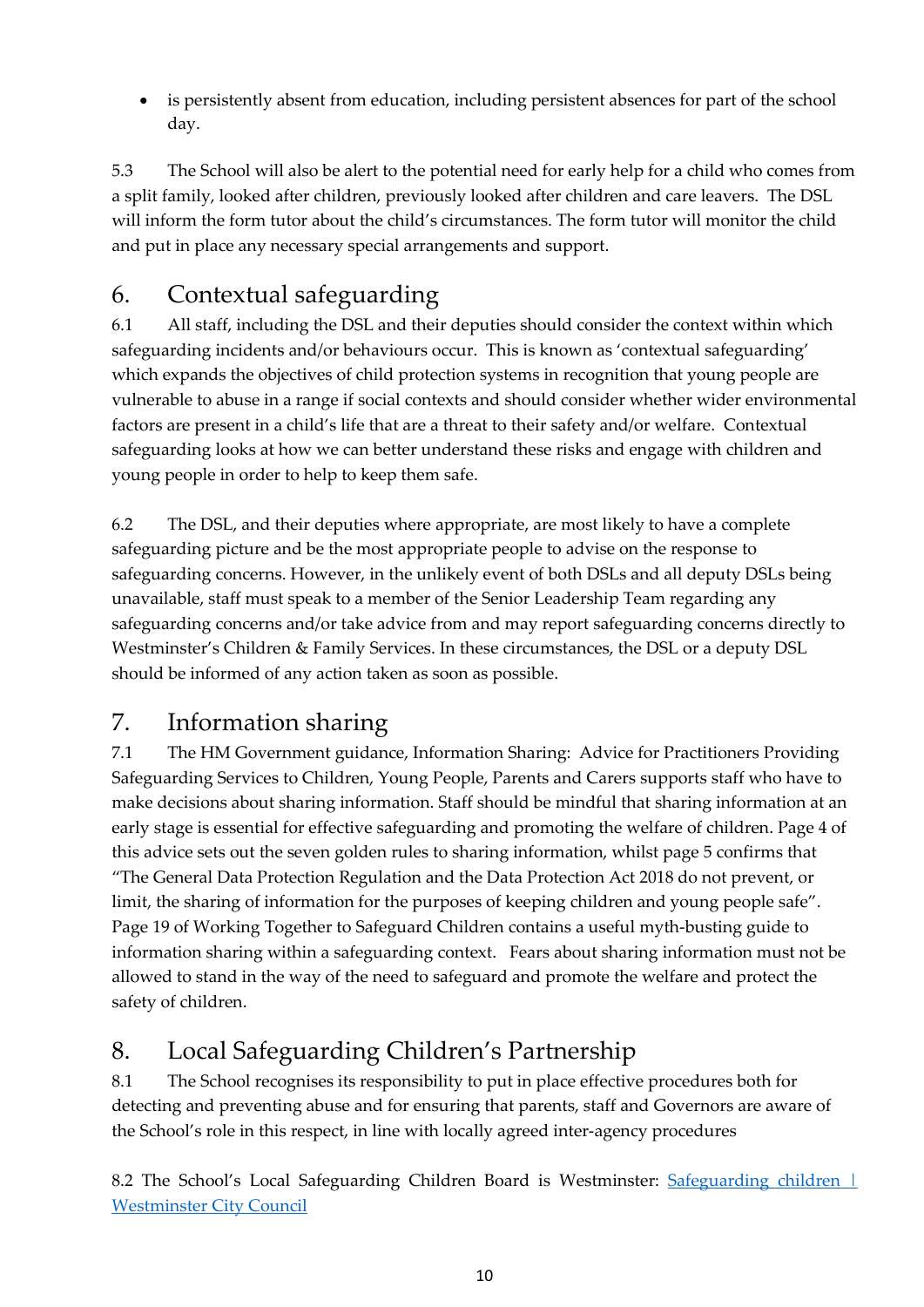• is persistently absent from education, including persistent absences for part of the school day.

5.3 The School will also be alert to the potential need for early help for a child who comes from a split family, looked after children, previously looked after children and care leavers. The DSL will inform the form tutor about the child's circumstances. The form tutor will monitor the child and put in place any necessary special arrangements and support.

# <span id="page-9-0"></span>6. Contextual safeguarding

6.1 All staff, including the DSL and their deputies should consider the context within which safeguarding incidents and/or behaviours occur. This is known as 'contextual safeguarding' which expands the objectives of child protection systems in recognition that young people are vulnerable to abuse in a range if social contexts and should consider whether wider environmental factors are present in a child's life that are a threat to their safety and/or welfare. Contextual safeguarding looks at how we can better understand these risks and engage with children and young people in order to help to keep them safe.

6.2 The DSL, and their deputies where appropriate, are most likely to have a complete safeguarding picture and be the most appropriate people to advise on the response to safeguarding concerns. However, in the unlikely event of both DSLs and all deputy DSLs being unavailable, staff must speak to a member of the Senior Leadership Team regarding any safeguarding concerns and/or take advice from and may report safeguarding concerns directly to Westminster's Children & Family Services. In these circumstances, the DSL or a deputy DSL should be informed of any action taken as soon as possible.

## <span id="page-9-1"></span>7. Information sharing

7.1 The HM Government guidance, Information Sharing: Advice for Practitioners Providing Safeguarding Services to Children, Young People, Parents and Carers supports staff who have to make decisions about sharing information. Staff should be mindful that sharing information at an early stage is essential for effective safeguarding and promoting the welfare of children. Page 4 of this advice sets out the seven golden rules to sharing information, whilst page 5 confirms that "The General Data Protection Regulation and the Data Protection Act 2018 do not prevent, or limit, the sharing of information for the purposes of keeping children and young people safe". Page 19 of Working Together to Safeguard Children contains a useful myth-busting guide to information sharing within a safeguarding context. Fears about sharing information must not be allowed to stand in the way of the need to safeguard and promote the welfare and protect the safety of children.

# <span id="page-9-2"></span>8. Local Safeguarding Children's Partnership

8.1 The School recognises its responsibility to put in place effective procedures both for detecting and preventing abuse and for ensuring that parents, staff and Governors are aware of the School's role in this respect, in line with locally agreed inter-agency procedures

8.2 The School's Local Safeguarding Children Board is Westminster: Safeguarding children | [Westminster City Council](https://www.westminster.gov.uk/children-and-education/safeguarding-children)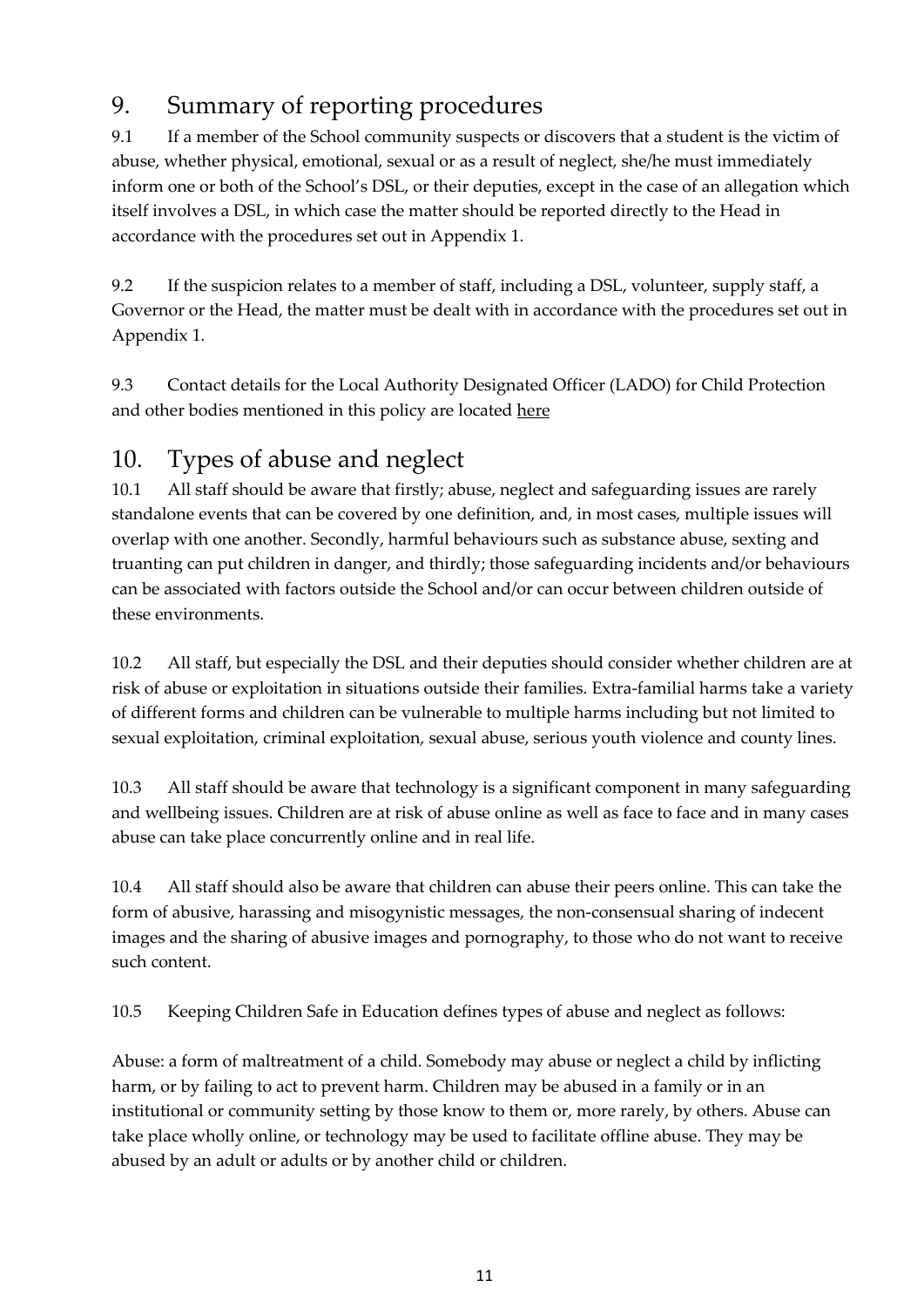## <span id="page-10-0"></span>9. Summary of reporting procedures

9.1 If a member of the School community suspects or discovers that a student is the victim of abuse, whether physical, emotional, sexual or as a result of neglect, she/he must immediately inform one or both of the School's DSL, or their deputies, except in the case of an allegation which itself involves a DSL, in which case the matter should be reported directly to the Head in accordance with the procedures set out in Appendix 1.

9.2 If the suspicion relates to a member of staff, including a DSL, volunteer, supply staff, a Governor or the Head, the matter must be dealt with in accordance with the procedures set out in Appendix 1.

9.3 Contact details for the Local Authority Designated Officer (LADO) for Child Protection and other bodies mentioned in this policy are located [here](#page-3-0)

## <span id="page-10-1"></span>10. Types of abuse and neglect

10.1 All staff should be aware that firstly; abuse, neglect and safeguarding issues are rarely standalone events that can be covered by one definition, and, in most cases, multiple issues will overlap with one another. Secondly, harmful behaviours such as substance abuse, sexting and truanting can put children in danger, and thirdly; those safeguarding incidents and/or behaviours can be associated with factors outside the School and/or can occur between children outside of these environments.

10.2 All staff, but especially the DSL and their deputies should consider whether children are at risk of abuse or exploitation in situations outside their families. Extra-familial harms take a variety of different forms and children can be vulnerable to multiple harms including but not limited to sexual exploitation, criminal exploitation, sexual abuse, serious youth violence and county lines.

10.3 All staff should be aware that technology is a significant component in many safeguarding and wellbeing issues. Children are at risk of abuse online as well as face to face and in many cases abuse can take place concurrently online and in real life.

10.4 All staff should also be aware that children can abuse their peers online. This can take the form of abusive, harassing and misogynistic messages, the non-consensual sharing of indecent images and the sharing of abusive images and pornography, to those who do not want to receive such content.

10.5 Keeping Children Safe in Education defines types of abuse and neglect as follows:

Abuse: a form of maltreatment of a child. Somebody may abuse or neglect a child by inflicting harm, or by failing to act to prevent harm. Children may be abused in a family or in an institutional or community setting by those know to them or, more rarely, by others. Abuse can take place wholly online, or technology may be used to facilitate offline abuse. They may be abused by an adult or adults or by another child or children.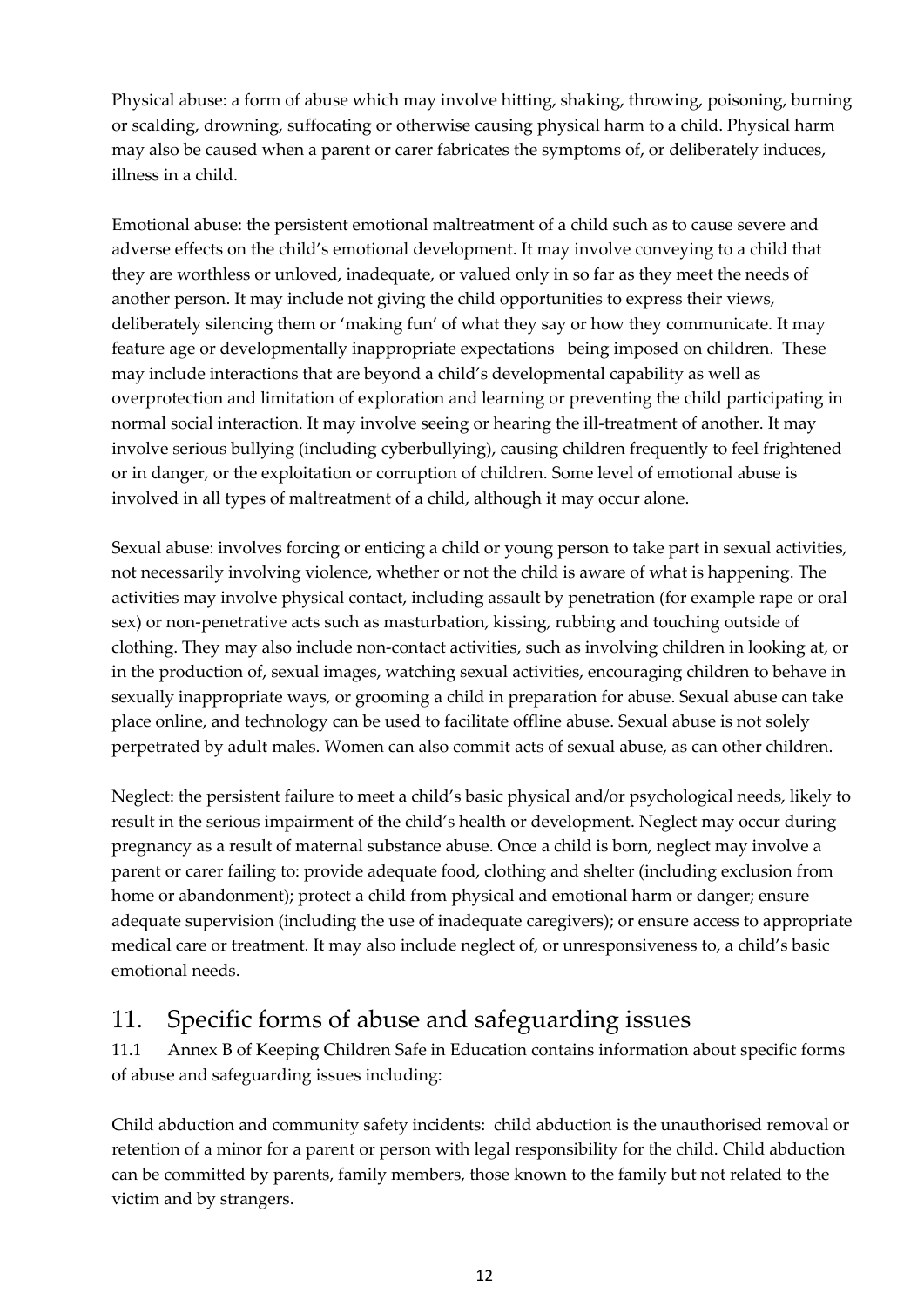Physical abuse: a form of abuse which may involve hitting, shaking, throwing, poisoning, burning or scalding, drowning, suffocating or otherwise causing physical harm to a child. Physical harm may also be caused when a parent or carer fabricates the symptoms of, or deliberately induces, illness in a child.

Emotional abuse: the persistent emotional maltreatment of a child such as to cause severe and adverse effects on the child's emotional development. It may involve conveying to a child that they are worthless or unloved, inadequate, or valued only in so far as they meet the needs of another person. It may include not giving the child opportunities to express their views, deliberately silencing them or 'making fun' of what they say or how they communicate. It may feature age or developmentally inappropriate expectations being imposed on children. These may include interactions that are beyond a child's developmental capability as well as overprotection and limitation of exploration and learning or preventing the child participating in normal social interaction. It may involve seeing or hearing the ill-treatment of another. It may involve serious bullying (including cyberbullying), causing children frequently to feel frightened or in danger, or the exploitation or corruption of children. Some level of emotional abuse is involved in all types of maltreatment of a child, although it may occur alone.

Sexual abuse: involves forcing or enticing a child or young person to take part in sexual activities, not necessarily involving violence, whether or not the child is aware of what is happening. The activities may involve physical contact, including assault by penetration (for example rape or oral sex) or non-penetrative acts such as masturbation, kissing, rubbing and touching outside of clothing. They may also include non-contact activities, such as involving children in looking at, or in the production of, sexual images, watching sexual activities, encouraging children to behave in sexually inappropriate ways, or grooming a child in preparation for abuse. Sexual abuse can take place online, and technology can be used to facilitate offline abuse. Sexual abuse is not solely perpetrated by adult males. Women can also commit acts of sexual abuse, as can other children.

Neglect: the persistent failure to meet a child's basic physical and/or psychological needs, likely to result in the serious impairment of the child's health or development. Neglect may occur during pregnancy as a result of maternal substance abuse. Once a child is born, neglect may involve a parent or carer failing to: provide adequate food, clothing and shelter (including exclusion from home or abandonment); protect a child from physical and emotional harm or danger; ensure adequate supervision (including the use of inadequate caregivers); or ensure access to appropriate medical care or treatment. It may also include neglect of, or unresponsiveness to, a child's basic emotional needs.

## <span id="page-11-0"></span>11. Specific forms of abuse and safeguarding issues

11.1 Annex B of Keeping Children Safe in Education contains information about specific forms of abuse and safeguarding issues including:

Child abduction and community safety incidents: child abduction is the unauthorised removal or retention of a minor for a parent or person with legal responsibility for the child. Child abduction can be committed by parents, family members, those known to the family but not related to the victim and by strangers.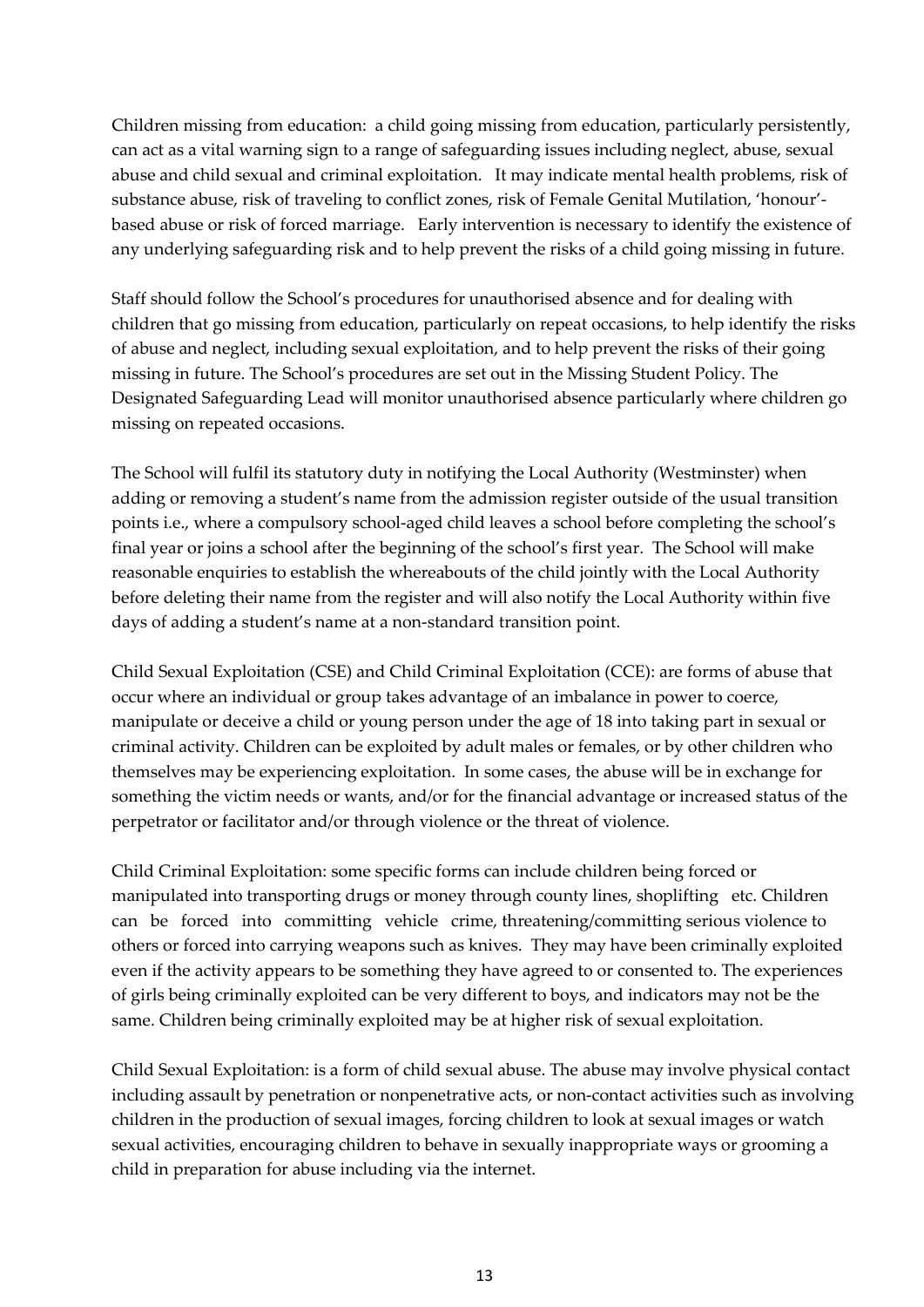Children missing from education: a child going missing from education, particularly persistently, can act as a vital warning sign to a range of safeguarding issues including neglect, abuse, sexual abuse and child sexual and criminal exploitation. It may indicate mental health problems, risk of substance abuse, risk of traveling to conflict zones, risk of Female Genital Mutilation, 'honour' based abuse or risk of forced marriage. Early intervention is necessary to identify the existence of any underlying safeguarding risk and to help prevent the risks of a child going missing in future.

Staff should follow the School's procedures for unauthorised absence and for dealing with children that go missing from education, particularly on repeat occasions, to help identify the risks of abuse and neglect, including sexual exploitation, and to help prevent the risks of their going missing in future. The School's procedures are set out in the Missing Student Policy. The Designated Safeguarding Lead will monitor unauthorised absence particularly where children go missing on repeated occasions.

The School will fulfil its statutory duty in notifying the Local Authority (Westminster) when adding or removing a student's name from the admission register outside of the usual transition points i.e., where a compulsory school-aged child leaves a school before completing the school's final year or joins a school after the beginning of the school's first year. The School will make reasonable enquiries to establish the whereabouts of the child jointly with the Local Authority before deleting their name from the register and will also notify the Local Authority within five days of adding a student's name at a non-standard transition point.

Child Sexual Exploitation (CSE) and Child Criminal Exploitation (CCE): are forms of abuse that occur where an individual or group takes advantage of an imbalance in power to coerce, manipulate or deceive a child or young person under the age of 18 into taking part in sexual or criminal activity. Children can be exploited by adult males or females, or by other children who themselves may be experiencing exploitation. In some cases, the abuse will be in exchange for something the victim needs or wants, and/or for the financial advantage or increased status of the perpetrator or facilitator and/or through violence or the threat of violence.

Child Criminal Exploitation: some specific forms can include children being forced or manipulated into transporting drugs or money through county lines, shoplifting etc. Children can be forced into committing vehicle crime, threatening/committing serious violence to others or forced into carrying weapons such as knives. They may have been criminally exploited even if the activity appears to be something they have agreed to or consented to. The experiences of girls being criminally exploited can be very different to boys, and indicators may not be the same. Children being criminally exploited may be at higher risk of sexual exploitation.

Child Sexual Exploitation: is a form of child sexual abuse. The abuse may involve physical contact including assault by penetration or nonpenetrative acts, or non-contact activities such as involving children in the production of sexual images, forcing children to look at sexual images or watch sexual activities, encouraging children to behave in sexually inappropriate ways or grooming a child in preparation for abuse including via the internet.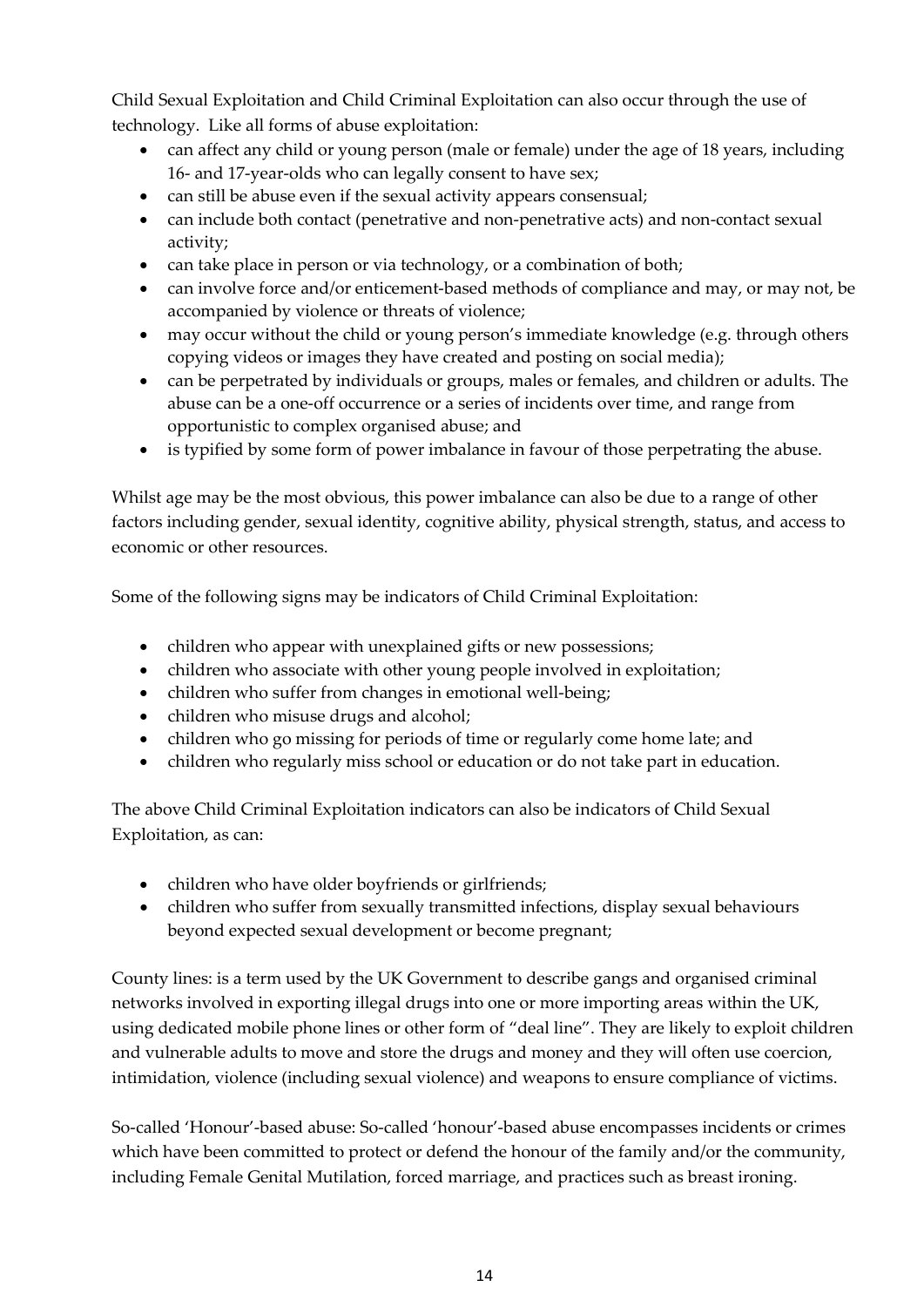Child Sexual Exploitation and Child Criminal Exploitation can also occur through the use of technology. Like all forms of abuse exploitation:

- can affect any child or young person (male or female) under the age of 18 years, including 16- and 17-year-olds who can legally consent to have sex;
- can still be abuse even if the sexual activity appears consensual;
- can include both contact (penetrative and non-penetrative acts) and non-contact sexual activity;
- can take place in person or via technology, or a combination of both;
- can involve force and/or enticement-based methods of compliance and may, or may not, be accompanied by violence or threats of violence;
- may occur without the child or young person's immediate knowledge (e.g. through others copying videos or images they have created and posting on social media);
- can be perpetrated by individuals or groups, males or females, and children or adults. The abuse can be a one-off occurrence or a series of incidents over time, and range from opportunistic to complex organised abuse; and
- is typified by some form of power imbalance in favour of those perpetrating the abuse.

Whilst age may be the most obvious, this power imbalance can also be due to a range of other factors including gender, sexual identity, cognitive ability, physical strength, status, and access to economic or other resources.

Some of the following signs may be indicators of Child Criminal Exploitation:

- children who appear with unexplained gifts or new possessions;
- children who associate with other young people involved in exploitation;
- children who suffer from changes in emotional well-being;
- children who misuse drugs and alcohol;
- children who go missing for periods of time or regularly come home late; and
- children who regularly miss school or education or do not take part in education.

The above Child Criminal Exploitation indicators can also be indicators of Child Sexual Exploitation, as can:

- children who have older boyfriends or girlfriends;
- children who suffer from sexually transmitted infections, display sexual behaviours beyond expected sexual development or become pregnant;

County lines: is a term used by the UK Government to describe gangs and organised criminal networks involved in exporting illegal drugs into one or more importing areas within the UK, using dedicated mobile phone lines or other form of "deal line". They are likely to exploit children and vulnerable adults to move and store the drugs and money and they will often use coercion, intimidation, violence (including sexual violence) and weapons to ensure compliance of victims.

So-called 'Honour'-based abuse: So-called 'honour'-based abuse encompasses incidents or crimes which have been committed to protect or defend the honour of the family and/or the community, including Female Genital Mutilation, forced marriage, and practices such as breast ironing.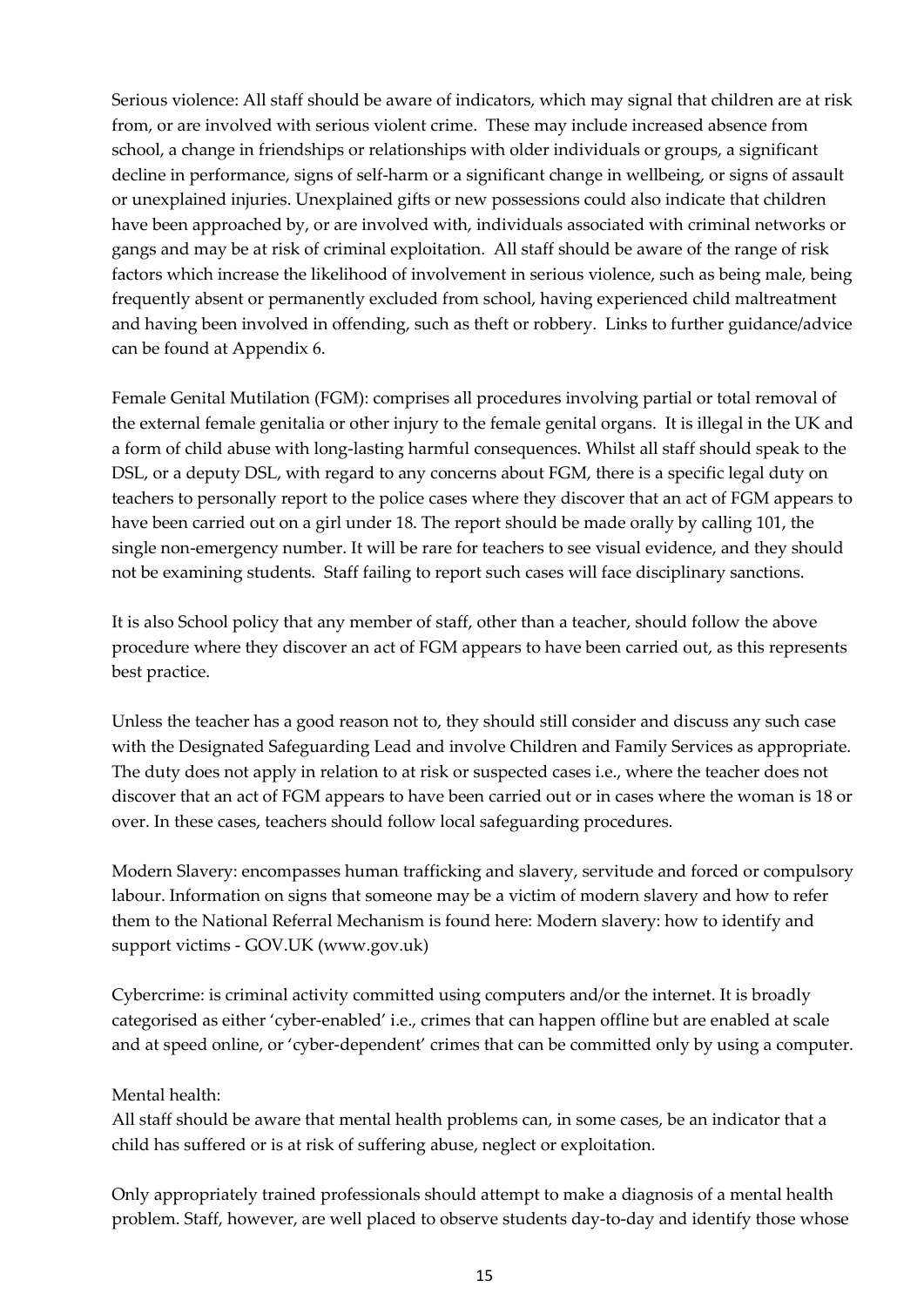Serious violence: All staff should be aware of indicators, which may signal that children are at risk from, or are involved with serious violent crime. These may include increased absence from school, a change in friendships or relationships with older individuals or groups, a significant decline in performance, signs of self-harm or a significant change in wellbeing, or signs of assault or unexplained injuries. Unexplained gifts or new possessions could also indicate that children have been approached by, or are involved with, individuals associated with criminal networks or gangs and may be at risk of criminal exploitation. All staff should be aware of the range of risk factors which increase the likelihood of involvement in serious violence, such as being male, being frequently absent or permanently excluded from school, having experienced child maltreatment and having been involved in offending, such as theft or robbery. Links to further guidance/advice can be found at Appendix 6.

Female Genital Mutilation (FGM): comprises all procedures involving partial or total removal of the external female genitalia or other injury to the female genital organs. It is illegal in the UK and a form of child abuse with long-lasting harmful consequences. Whilst all staff should speak to the DSL, or a deputy DSL, with regard to any concerns about FGM, there is a specific legal duty on teachers to personally report to the police cases where they discover that an act of FGM appears to have been carried out on a girl under 18. The report should be made orally by calling 101, the single non-emergency number. It will be rare for teachers to see visual evidence, and they should not be examining students. Staff failing to report such cases will face disciplinary sanctions.

It is also School policy that any member of staff, other than a teacher, should follow the above procedure where they discover an act of FGM appears to have been carried out, as this represents best practice.

Unless the teacher has a good reason not to, they should still consider and discuss any such case with the Designated Safeguarding Lead and involve Children and Family Services as appropriate. The duty does not apply in relation to at risk or suspected cases i.e., where the teacher does not discover that an act of FGM appears to have been carried out or in cases where the woman is 18 or over. In these cases, teachers should follow local safeguarding procedures.

Modern Slavery: encompasses human trafficking and slavery, servitude and forced or compulsory labour. Information on signs that someone may be a victim of modern slavery and how to refer them to the National Referral Mechanism is found here: Modern slavery: how to identify and support victims - GOV.UK (www.gov.uk)

Cybercrime: is criminal activity committed using computers and/or the internet. It is broadly categorised as either 'cyber-enabled' i.e., crimes that can happen offline but are enabled at scale and at speed online, or 'cyber-dependent' crimes that can be committed only by using a computer.

### Mental health:

All staff should be aware that mental health problems can, in some cases, be an indicator that a child has suffered or is at risk of suffering abuse, neglect or exploitation.

Only appropriately trained professionals should attempt to make a diagnosis of a mental health problem. Staff, however, are well placed to observe students day-to-day and identify those whose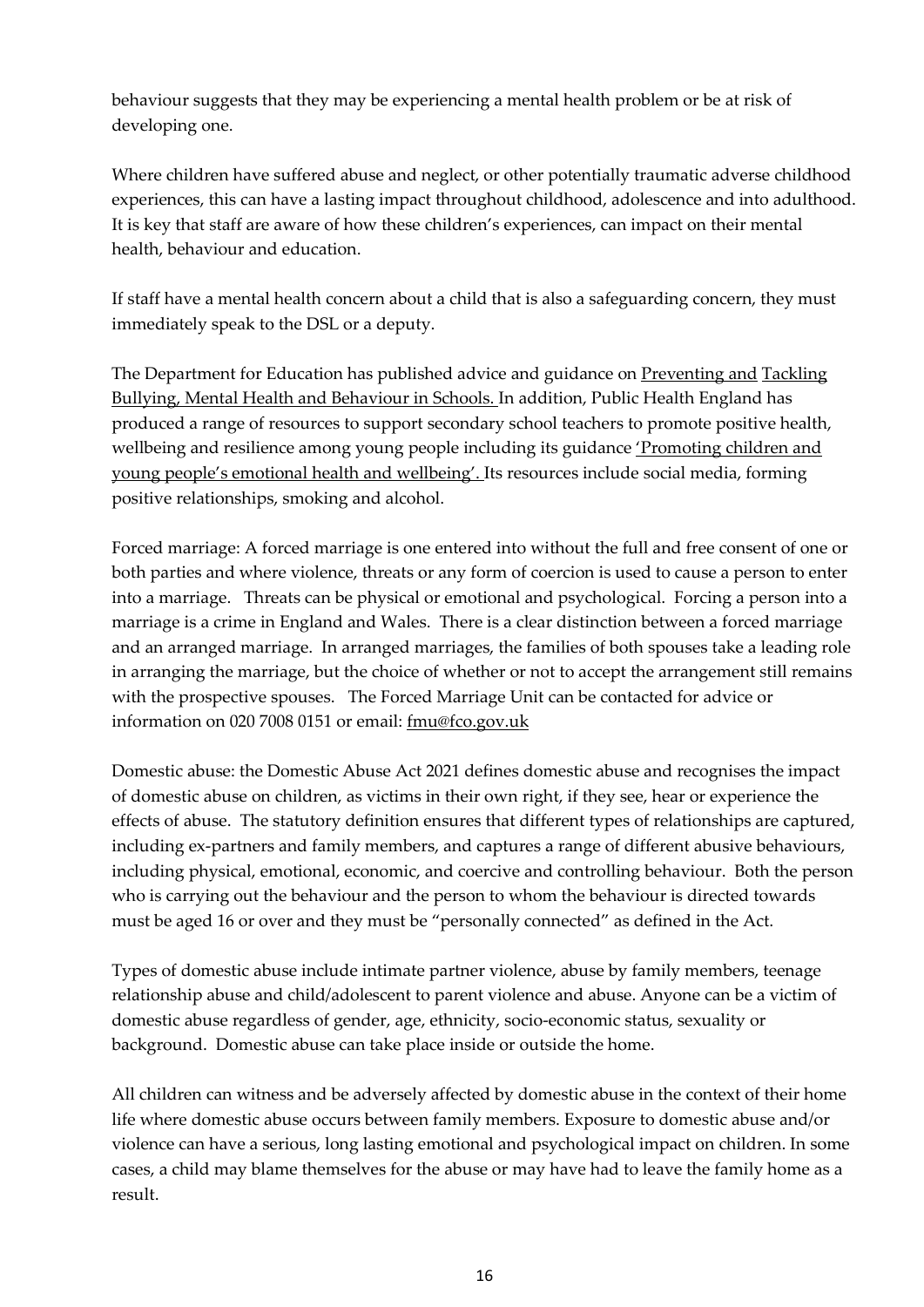behaviour suggests that they may be experiencing a mental health problem or be at risk of developing one.

Where children have suffered abuse and neglect, or other potentially traumatic adverse childhood experiences, this can have a lasting impact throughout childhood, adolescence and into adulthood. It is key that staff are aware of how these children's experiences, can impact on their mental health, behaviour and education.

If staff have a mental health concern about a child that is also a safeguarding concern, they must immediately speak to the DSL or a deputy.

The Department for Education has published advice and guidance on [Preventing and](https://www.gov.uk/government/publications/preventing-and-tackling-bullying) [Tackling](https://www.gov.uk/government/publications/preventing-and-tackling-bullying)  [Bullying, Mental Health and Behaviour in Schools. I](https://www.gov.uk/government/publications/preventing-and-tackling-bullying)n addition, Public Health England has produced a range of resources to support secondary school teachers to promote positive health, wellbeing and resilience among young people including its guidance *'Promoting children and* [young people's emotional health and wellbeing'. I](https://assets.publishing.service.gov.uk/government/uploads/system/uploads/attachment_data/file/958151/Promoting_children_and_young_people_s_emotional_health_and_wellbeing_a_whole_school_and_college_approach.pdf)ts resources include social media, forming positive relationships, smoking and alcohol.

Forced marriage: A forced marriage is one entered into without the full and free consent of one or both parties and where violence, threats or any form of coercion is used to cause a person to enter into a marriage. Threats can be physical or emotional and psychological. Forcing a person into a marriage is a crime in England and Wales. There is a clear distinction between a forced marriage and an arranged marriage. In arranged marriages, the families of both spouses take a leading role in arranging the marriage, but the choice of whether or not to accept the arrangement still remains with the prospective spouses. The Forced Marriage Unit can be contacted for advice or information on 020 7008 0151 or email: [fmu@fco.gov.uk](mailto:fmu@fco.gov.uk)

Domestic abuse: the Domestic Abuse Act 2021 defines domestic abuse and recognises the impact of domestic abuse on children, as victims in their own right, if they see, hear or experience the effects of abuse. The statutory definition ensures that different types of relationships are captured, including ex-partners and family members, and captures a range of different abusive behaviours, including physical, emotional, economic, and coercive and controlling behaviour. Both the person who is carrying out the behaviour and the person to whom the behaviour is directed towards must be aged 16 or over and they must be "personally connected" as defined in the Act.

Types of domestic abuse include intimate partner violence, abuse by family members, teenage relationship abuse and child/adolescent to parent violence and abuse. Anyone can be a victim of domestic abuse regardless of gender, age, ethnicity, socio-economic status, sexuality or background. Domestic abuse can take place inside or outside the home.

All children can witness and be adversely affected by domestic abuse in the context of their home life where domestic abuse occurs between family members. Exposure to domestic abuse and/or violence can have a serious, long lasting emotional and psychological impact on children. In some cases, a child may blame themselves for the abuse or may have had to leave the family home as a result.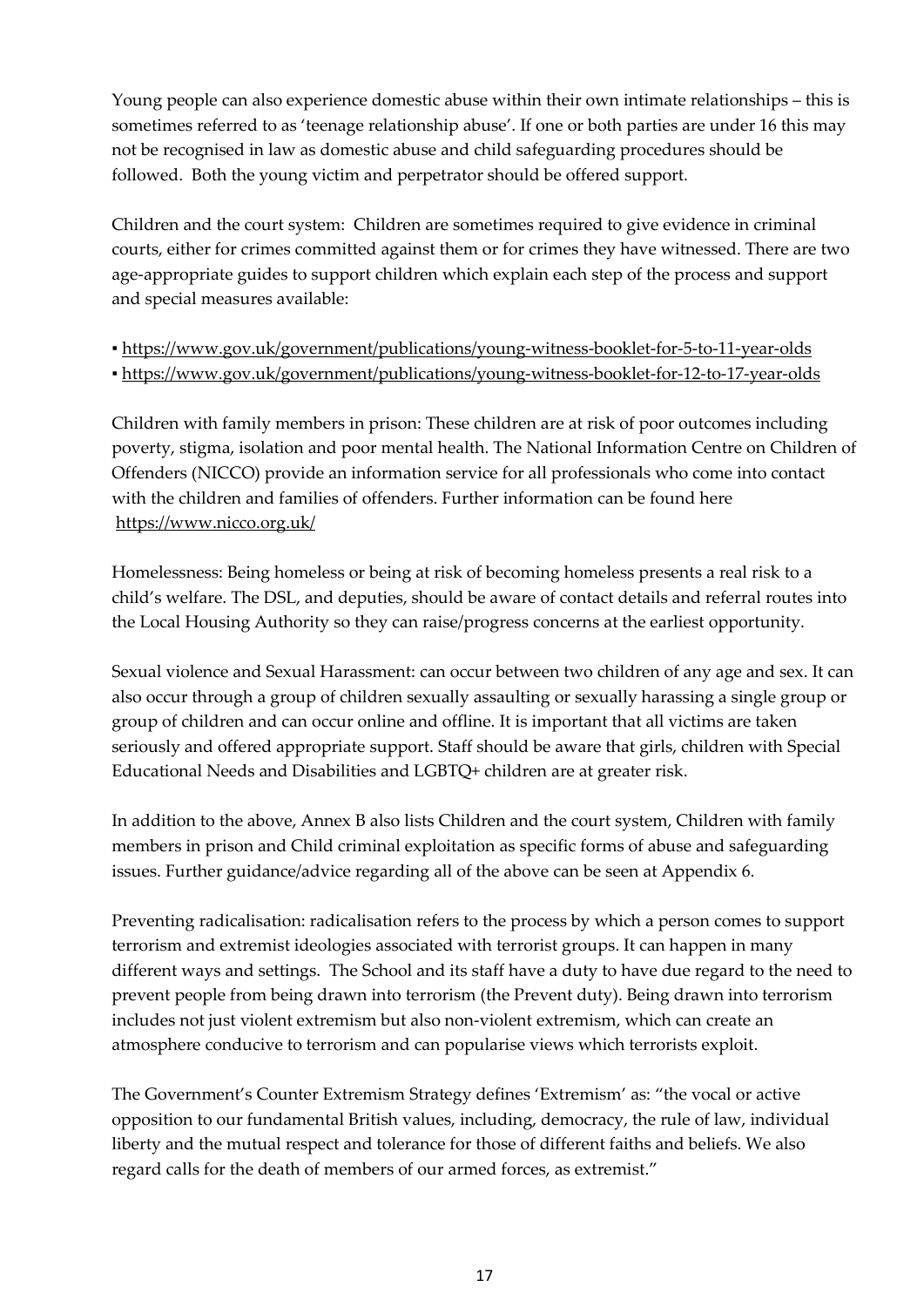Young people can also experience domestic abuse within their own intimate relationships – this is sometimes referred to as 'teenage relationship abuse'. If one or both parties are under 16 this may not be recognised in law as domestic abuse and child safeguarding procedures should be followed. Both the young victim and perpetrator should be offered support.

Children and the court system: Children are sometimes required to give evidence in criminal courts, either for crimes committed against them or for crimes they have witnessed. There are two age-appropriate guides to support children which explain each step of the process and support and special measures available:

▪ <https://www.gov.uk/government/publications/young-witness-booklet-for-5-to-11-year-olds>

▪ <https://www.gov.uk/government/publications/young-witness-booklet-for-12-to-17-year-olds>

Children with family members in prison: These children are at risk of poor outcomes including poverty, stigma, isolation and poor mental health. The National Information Centre on Children of Offenders (NICCO) provide an information service for all professionals who come into contact with the children and families of offenders. Further information can be found here <https://www.nicco.org.uk/>

Homelessness: Being homeless or being at risk of becoming homeless presents a real risk to a child's welfare. The DSL, and deputies, should be aware of contact details and referral routes into the Local Housing Authority so they can raise/progress concerns at the earliest opportunity.

Sexual violence and Sexual Harassment: can occur between two children of any age and sex. It can also occur through a group of children sexually assaulting or sexually harassing a single group or group of children and can occur online and offline. It is important that all victims are taken seriously and offered appropriate support. Staff should be aware that girls, children with Special Educational Needs and Disabilities and LGBTQ+ children are at greater risk.

In addition to the above, Annex B also lists Children and the court system, Children with family members in prison and Child criminal exploitation as specific forms of abuse and safeguarding issues. Further guidance/advice regarding all of the above can be seen at Appendix 6.

Preventing radicalisation: radicalisation refers to the process by which a person comes to support terrorism and extremist ideologies associated with terrorist groups. It can happen in many different ways and settings. The School and its staff have a duty to have due regard to the need to prevent people from being drawn into terrorism (the Prevent duty). Being drawn into terrorism includes not just violent extremism but also non-violent extremism, which can create an atmosphere conducive to terrorism and can popularise views which terrorists exploit.

The Government's Counter Extremism Strategy defines 'Extremism' as: "the vocal or active opposition to our fundamental British values, including, democracy, the rule of law, individual liberty and the mutual respect and tolerance for those of different faiths and beliefs. We also regard calls for the death of members of our armed forces, as extremist."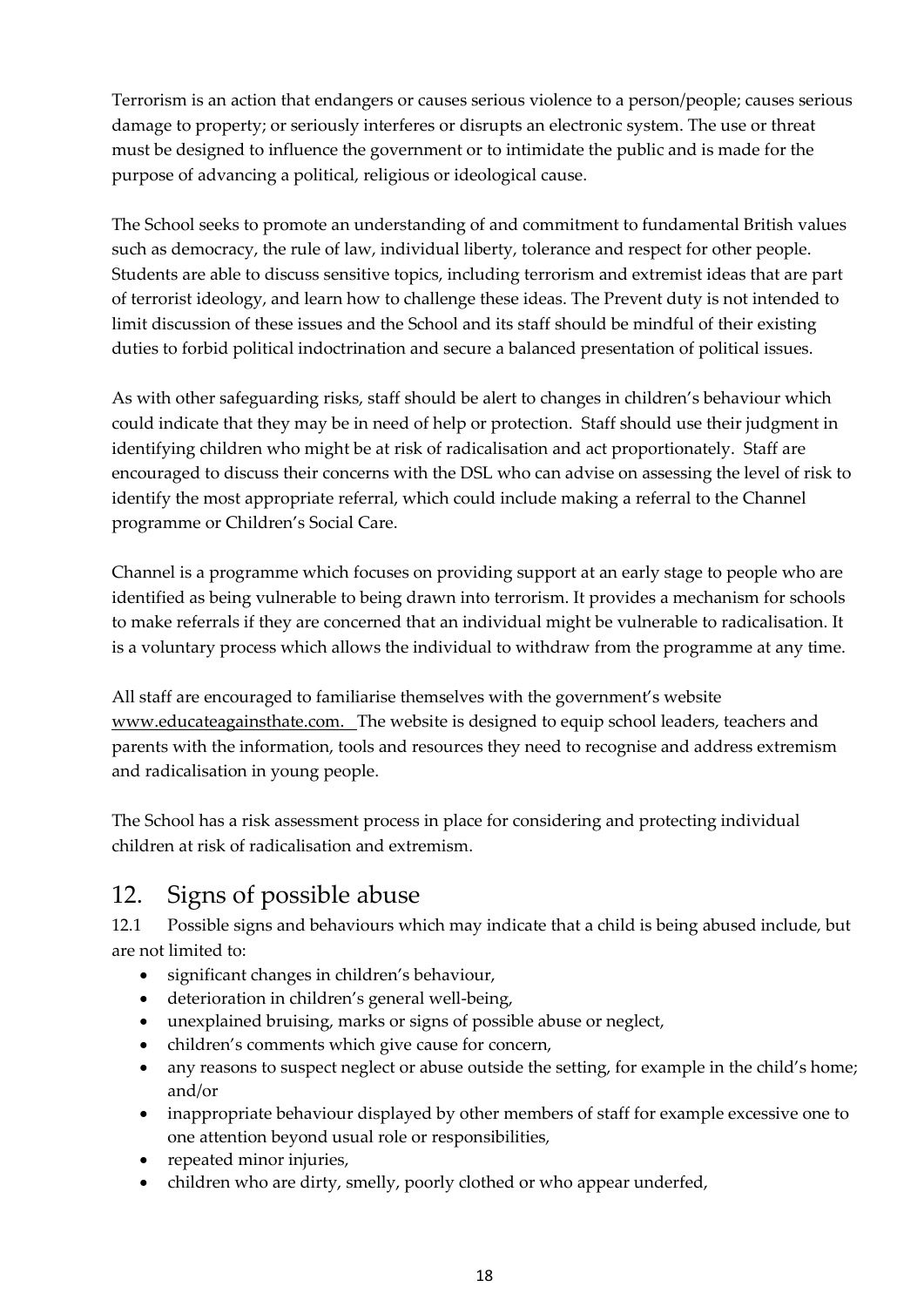Terrorism is an action that endangers or causes serious violence to a person/people; causes serious damage to property; or seriously interferes or disrupts an electronic system. The use or threat must be designed to influence the government or to intimidate the public and is made for the purpose of advancing a political, religious or ideological cause.

The School seeks to promote an understanding of and commitment to fundamental British values such as democracy, the rule of law, individual liberty, tolerance and respect for other people. Students are able to discuss sensitive topics, including terrorism and extremist ideas that are part of terrorist ideology, and learn how to challenge these ideas. The Prevent duty is not intended to limit discussion of these issues and the School and its staff should be mindful of their existing duties to forbid political indoctrination and secure a balanced presentation of political issues.

As with other safeguarding risks, staff should be alert to changes in children's behaviour which could indicate that they may be in need of help or protection. Staff should use their judgment in identifying children who might be at risk of radicalisation and act proportionately. Staff are encouraged to discuss their concerns with the DSL who can advise on assessing the level of risk to identify the most appropriate referral, which could include making a referral to the Channel programme or Children's Social Care.

Channel is a programme which focuses on providing support at an early stage to people who are identified as being vulnerable to being drawn into terrorism. It provides a mechanism for schools to make referrals if they are concerned that an individual might be vulnerable to radicalisation. It is a voluntary process which allows the individual to withdraw from the programme at any time.

All staff are encouraged to familiarise themselves with the government's website [www.educateagainsthate.com. T](http://www.educateagainsthate.com/)he website is designed to equip school leaders, teachers and parents with the information, tools and resources they need to recognise and address extremism and radicalisation in young people.

The School has a risk assessment process in place for considering and protecting individual children at risk of radicalisation and extremism.

## <span id="page-17-0"></span>12. Signs of possible abuse

12.1 Possible signs and behaviours which may indicate that a child is being abused include, but are not limited to:

- significant changes in children's behaviour,
- deterioration in children's general well-being,
- unexplained bruising, marks or signs of possible abuse or neglect,
- children's comments which give cause for concern,
- any reasons to suspect neglect or abuse outside the setting, for example in the child's home; and/or
- inappropriate behaviour displayed by other members of staff for example excessive one to one attention beyond usual role or responsibilities,
- repeated minor injuries,
- children who are dirty, smelly, poorly clothed or who appear underfed,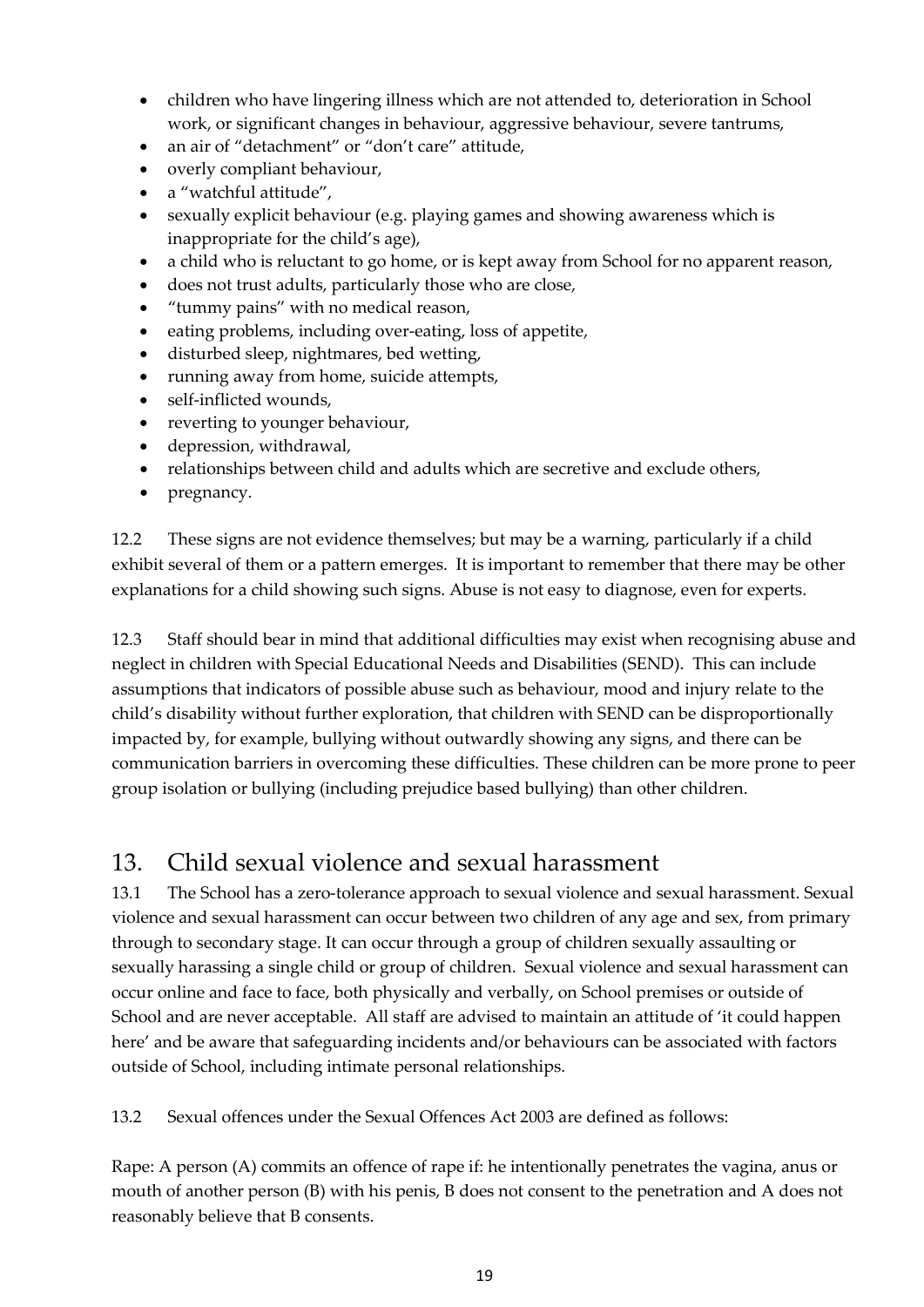- children who have lingering illness which are not attended to, deterioration in School work, or significant changes in behaviour, aggressive behaviour, severe tantrums,
- an air of "detachment" or "don't care" attitude,
- overly compliant behaviour,
- a "watchful attitude",
- sexually explicit behaviour (e.g. playing games and showing awareness which is inappropriate for the child's age),
- a child who is reluctant to go home, or is kept away from School for no apparent reason,
- does not trust adults, particularly those who are close,
- "tummy pains" with no medical reason,
- eating problems, including over-eating, loss of appetite,
- disturbed sleep, nightmares, bed wetting,
- running away from home, suicide attempts,
- self-inflicted wounds,
- reverting to younger behaviour,
- depression, withdrawal,
- relationships between child and adults which are secretive and exclude others,
- pregnancy.

12.2 These signs are not evidence themselves; but may be a warning, particularly if a child exhibit several of them or a pattern emerges. It is important to remember that there may be other explanations for a child showing such signs. Abuse is not easy to diagnose, even for experts.

12.3 Staff should bear in mind that additional difficulties may exist when recognising abuse and neglect in children with Special Educational Needs and Disabilities (SEND). This can include assumptions that indicators of possible abuse such as behaviour, mood and injury relate to the child's disability without further exploration, that children with SEND can be disproportionally impacted by, for example, bullying without outwardly showing any signs, and there can be communication barriers in overcoming these difficulties. These children can be more prone to peer group isolation or bullying (including prejudice based bullying) than other children.

## <span id="page-18-0"></span>13. Child sexual violence and sexual harassment

13.1 The School has a zero-tolerance approach to sexual violence and sexual harassment. Sexual violence and sexual harassment can occur between two children of any age and sex, from primary through to secondary stage. It can occur through a group of children sexually assaulting or sexually harassing a single child or group of children. Sexual violence and sexual harassment can occur online and face to face, both physically and verbally, on School premises or outside of School and are never acceptable. All staff are advised to maintain an attitude of 'it could happen here' and be aware that safeguarding incidents and/or behaviours can be associated with factors outside of School, including intimate personal relationships.

13.2 Sexual offences under the Sexual Offences Act 2003 are defined as follows:

Rape: A person (A) commits an offence of rape if: he intentionally penetrates the vagina, anus or mouth of another person (B) with his penis, B does not consent to the penetration and A does not reasonably believe that B consents.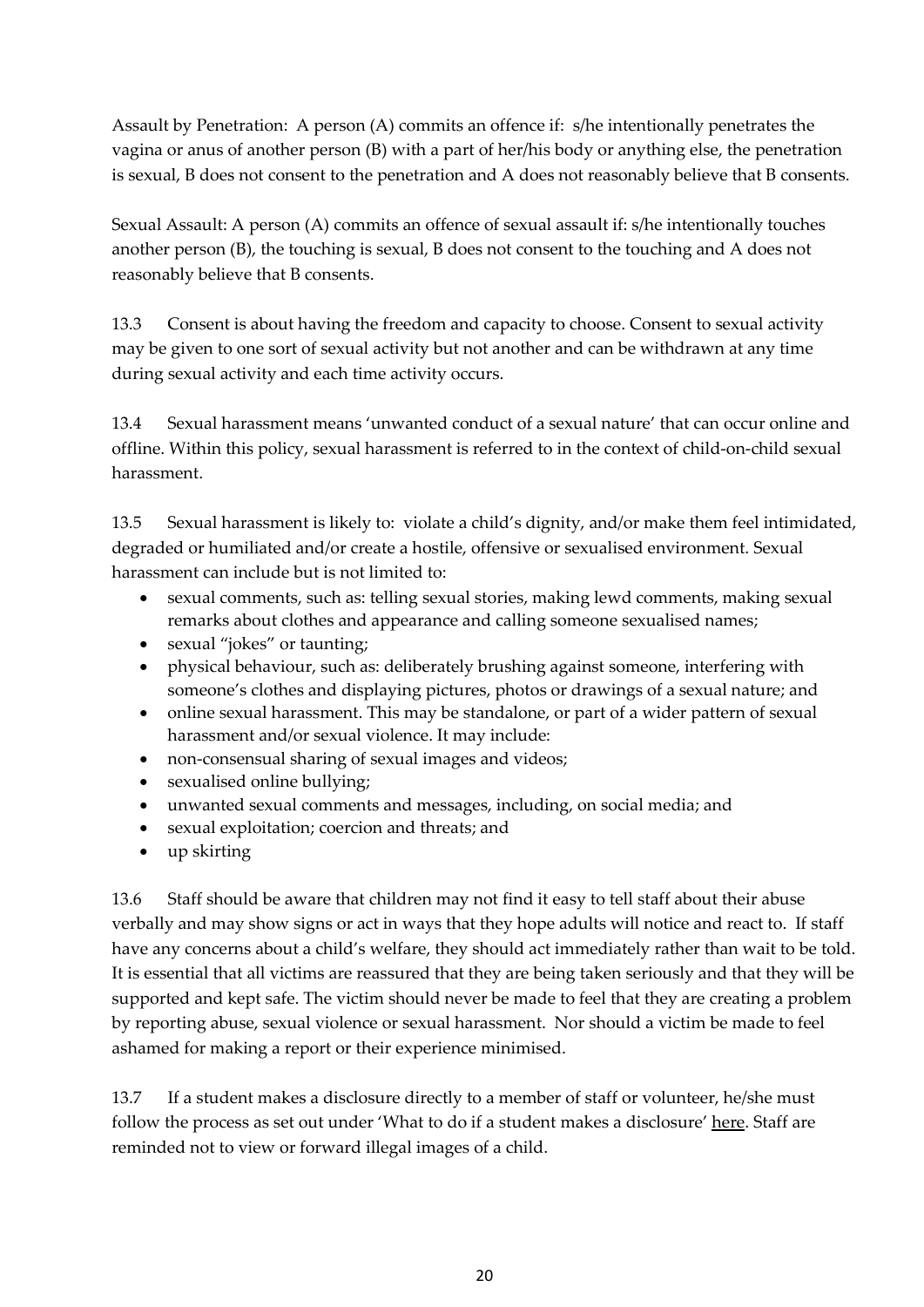Assault by Penetration: A person (A) commits an offence if: s/he intentionally penetrates the vagina or anus of another person (B) with a part of her/his body or anything else, the penetration is sexual, B does not consent to the penetration and A does not reasonably believe that B consents.

Sexual Assault: A person (A) commits an offence of sexual assault if: s/he intentionally touches another person (B), the touching is sexual, B does not consent to the touching and A does not reasonably believe that B consents.

13.3 Consent is about having the freedom and capacity to choose. Consent to sexual activity may be given to one sort of sexual activity but not another and can be withdrawn at any time during sexual activity and each time activity occurs.

13.4 Sexual harassment means 'unwanted conduct of a sexual nature' that can occur online and offline. Within this policy, sexual harassment is referred to in the context of child-on-child sexual harassment.

13.5 Sexual harassment is likely to: violate a child's dignity, and/or make them feel intimidated, degraded or humiliated and/or create a hostile, offensive or sexualised environment. Sexual harassment can include but is not limited to:

- sexual comments, such as: telling sexual stories, making lewd comments, making sexual remarks about clothes and appearance and calling someone sexualised names;
- sexual "jokes" or taunting;
- physical behaviour, such as: deliberately brushing against someone, interfering with someone's clothes and displaying pictures, photos or drawings of a sexual nature; and
- online sexual harassment. This may be standalone, or part of a wider pattern of sexual harassment and/or sexual violence. It may include:
- non-consensual sharing of sexual images and videos;
- sexualised online bullying;
- unwanted sexual comments and messages, including, on social media; and
- sexual exploitation; coercion and threats; and
- up skirting

13.6 Staff should be aware that children may not find it easy to tell staff about their abuse verbally and may show signs or act in ways that they hope adults will notice and react to. If staff have any concerns about a child's welfare, they should act immediately rather than wait to be told. It is essential that all victims are reassured that they are being taken seriously and that they will be supported and kept safe. The victim should never be made to feel that they are creating a problem by reporting abuse, sexual violence or sexual harassment. Nor should a victim be made to feel ashamed for making a report or their experience minimised.

13.7 If a student makes a disclosure directly to a member of staff or volunteer, he/she must follow the process as set out under 'What to do if a student makes a disclosure[' here.](#page-26-0) Staff are reminded not to view or forward illegal images of a child.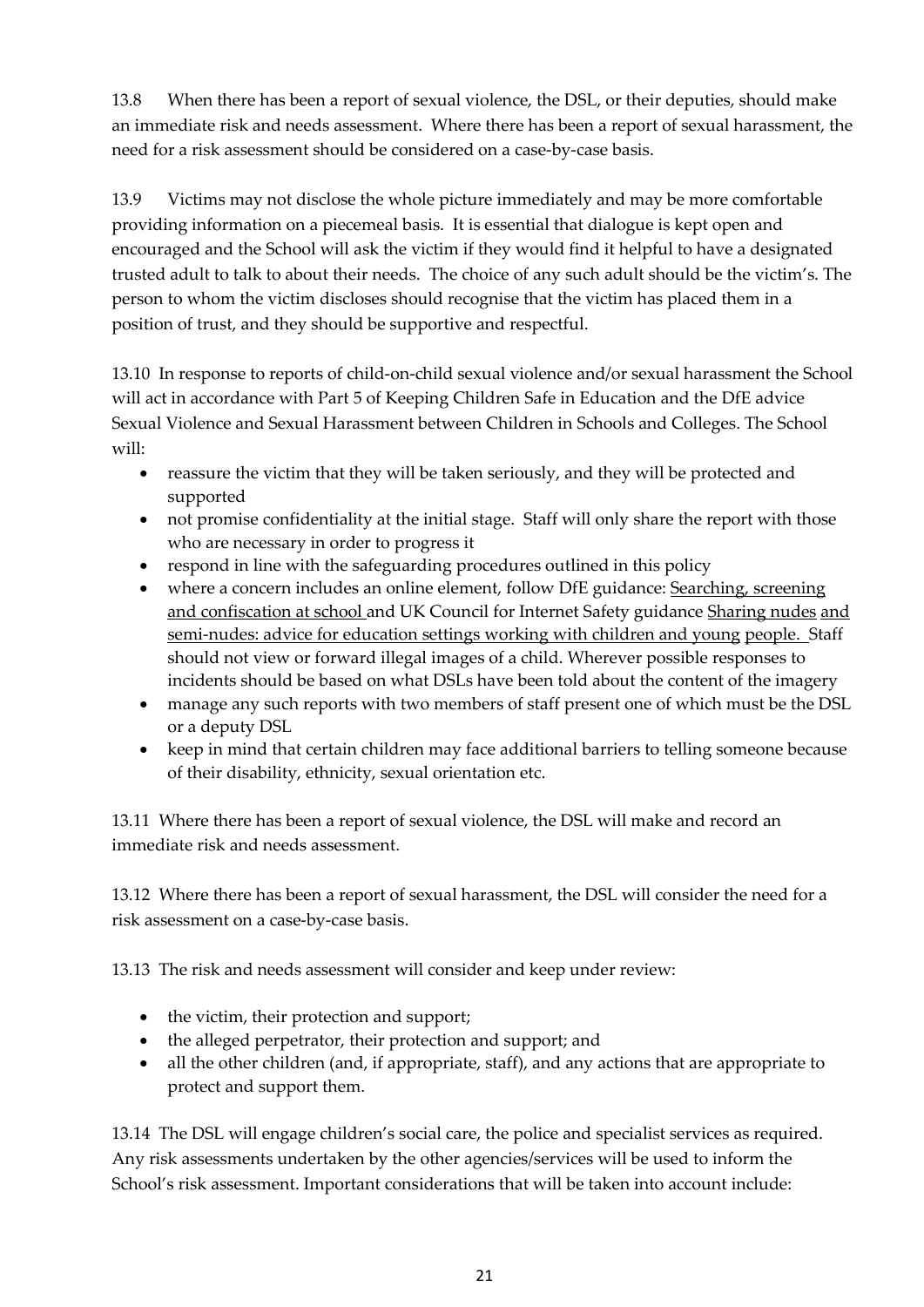13.8 When there has been a report of sexual violence, the DSL, or their deputies, should make an immediate risk and needs assessment. Where there has been a report of sexual harassment, the need for a risk assessment should be considered on a case-by-case basis.

13.9 Victims may not disclose the whole picture immediately and may be more comfortable providing information on a piecemeal basis. It is essential that dialogue is kept open and encouraged and the School will ask the victim if they would find it helpful to have a designated trusted adult to talk to about their needs. The choice of any such adult should be the victim's. The person to whom the victim discloses should recognise that the victim has placed them in a position of trust, and they should be supportive and respectful.

13.10 In response to reports of child-on-child sexual violence and/or sexual harassment the School will act in accordance with Part 5 of Keeping Children Safe in Education and the DfE advice Sexual Violence and Sexual Harassment between Children in Schools and Colleges. The School will:

- reassure the victim that they will be taken seriously, and they will be protected and supported
- not promise confidentiality at the initial stage. Staff will only share the report with those who are necessary in order to progress it
- respond in line with the safeguarding procedures outlined in this policy
- where a concern includes an online element, follow DfE guidance: [Searching, screening](https://www.gov.uk/government/publications/searching-screening-and-confiscation) [and confiscation at school a](https://www.gov.uk/government/publications/searching-screening-and-confiscation)nd UK Council for Internet Safety guidance [Sharing nudes](https://www.gov.uk/government/publications/sharing-nudes-and-semi-nudes-advice-for-education-settings-working-with-children-and-young-people) [and](https://www.gov.uk/government/publications/sharing-nudes-and-semi-nudes-advice-for-education-settings-working-with-children-and-young-people)  [semi-nudes: advice for education settings working with children and young](https://www.gov.uk/government/publications/sharing-nudes-and-semi-nudes-advice-for-education-settings-working-with-children-and-young-people) [people. S](https://www.gov.uk/government/publications/sharing-nudes-and-semi-nudes-advice-for-education-settings-working-with-children-and-young-people)taff should not view or forward illegal images of a child. Wherever possible responses to incidents should be based on what DSLs have been told about the content of the imagery
- manage any such reports with two members of staff present one of which must be the DSL or a deputy DSL
- keep in mind that certain children may face additional barriers to telling someone because of their disability, ethnicity, sexual orientation etc.

13.11 Where there has been a report of sexual violence, the DSL will make and record an immediate risk and needs assessment.

13.12 Where there has been a report of sexual harassment, the DSL will consider the need for a risk assessment on a case-by-case basis.

13.13 The risk and needs assessment will consider and keep under review:

- the victim, their protection and support;
- the alleged perpetrator, their protection and support; and
- all the other children (and, if appropriate, staff), and any actions that are appropriate to protect and support them.

13.14 The DSL will engage children's social care, the police and specialist services as required. Any risk assessments undertaken by the other agencies/services will be used to inform the School's risk assessment. Important considerations that will be taken into account include: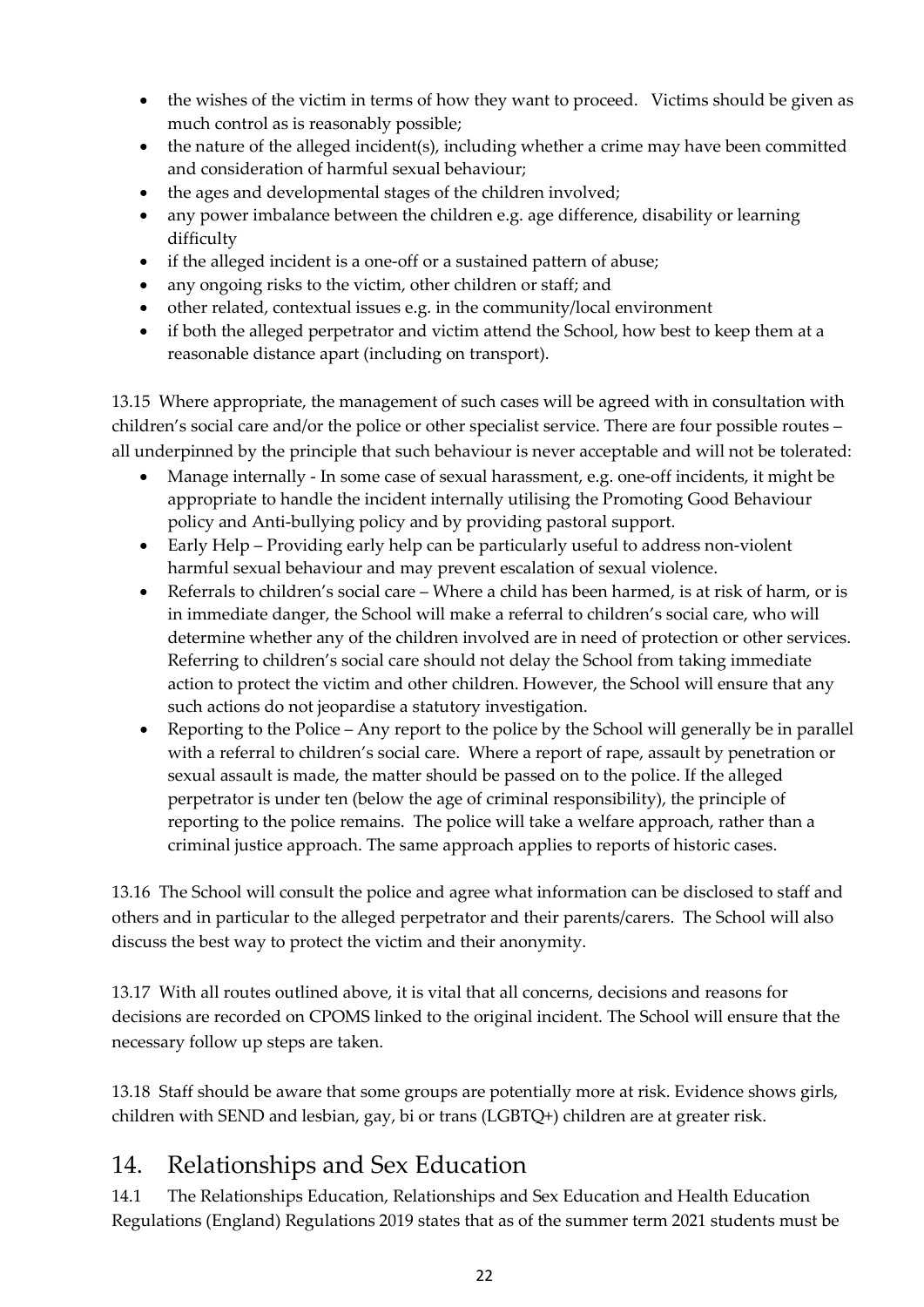- the wishes of the victim in terms of how they want to proceed. Victims should be given as much control as is reasonably possible;
- the nature of the alleged incident(s), including whether a crime may have been committed and consideration of harmful sexual behaviour;
- the ages and developmental stages of the children involved;
- any power imbalance between the children e.g. age difference, disability or learning difficulty
- if the alleged incident is a one-off or a sustained pattern of abuse;
- any ongoing risks to the victim, other children or staff; and
- other related, contextual issues e.g. in the community/local environment
- if both the alleged perpetrator and victim attend the School, how best to keep them at a reasonable distance apart (including on transport).

13.15 Where appropriate, the management of such cases will be agreed with in consultation with children's social care and/or the police or other specialist service. There are four possible routes – all underpinned by the principle that such behaviour is never acceptable and will not be tolerated:

- Manage internally In some case of sexual harassment, e.g. one-off incidents, it might be appropriate to handle the incident internally utilising the Promoting Good Behaviour policy and Anti-bullying policy and by providing pastoral support.
- Early Help Providing early help can be particularly useful to address non-violent harmful sexual behaviour and may prevent escalation of sexual violence.
- Referrals to children's social care Where a child has been harmed, is at risk of harm, or is in immediate danger, the School will make a referral to children's social care, who will determine whether any of the children involved are in need of protection or other services. Referring to children's social care should not delay the School from taking immediate action to protect the victim and other children. However, the School will ensure that any such actions do not jeopardise a statutory investigation.
- Reporting to the Police Any report to the police by the School will generally be in parallel with a referral to children's social care. Where a report of rape, assault by penetration or sexual assault is made, the matter should be passed on to the police. If the alleged perpetrator is under ten (below the age of criminal responsibility), the principle of reporting to the police remains. The police will take a welfare approach, rather than a criminal justice approach. The same approach applies to reports of historic cases.

13.16 The School will consult the police and agree what information can be disclosed to staff and others and in particular to the alleged perpetrator and their parents/carers. The School will also discuss the best way to protect the victim and their anonymity.

13.17 With all routes outlined above, it is vital that all concerns, decisions and reasons for decisions are recorded on CPOMS linked to the original incident. The School will ensure that the necessary follow up steps are taken.

13.18 Staff should be aware that some groups are potentially more at risk. Evidence shows girls, children with SEND and lesbian, gay, bi or trans (LGBTQ+) children are at greater risk.

## <span id="page-21-0"></span>14. Relationships and Sex Education

14.1 The Relationships Education, Relationships and Sex Education and Health Education Regulations (England) Regulations 2019 states that as of the summer term 2021 students must be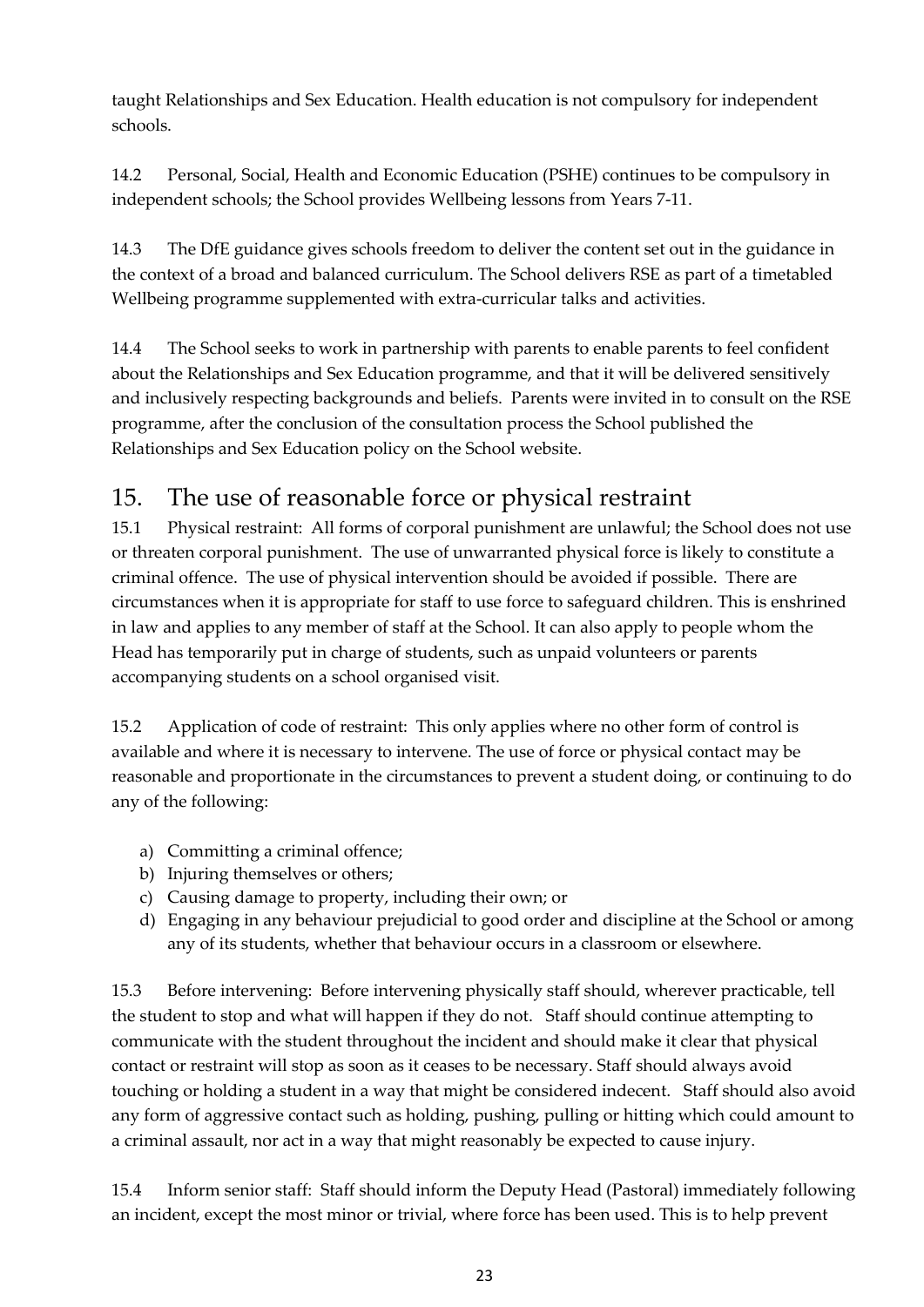taught Relationships and Sex Education. Health education is not compulsory for independent schools.

14.2 Personal, Social, Health and Economic Education (PSHE) continues to be compulsory in independent schools; the School provides Wellbeing lessons from Years 7-11.

14.3 The DfE guidance gives schools freedom to deliver the content set out in the guidance in the context of a broad and balanced curriculum. The School delivers RSE as part of a timetabled Wellbeing programme supplemented with extra-curricular talks and activities.

14.4 The School seeks to work in partnership with parents to enable parents to feel confident about the Relationships and Sex Education programme, and that it will be delivered sensitively and inclusively respecting backgrounds and beliefs. Parents were invited in to consult on the RSE programme, after the conclusion of the consultation process the School published the Relationships and Sex Education policy on the School website.

# <span id="page-22-0"></span>15. The use of reasonable force or physical restraint

15.1 Physical restraint: All forms of corporal punishment are unlawful; the School does not use or threaten corporal punishment. The use of unwarranted physical force is likely to constitute a criminal offence. The use of physical intervention should be avoided if possible. There are circumstances when it is appropriate for staff to use force to safeguard children. This is enshrined in law and applies to any member of staff at the School. It can also apply to people whom the Head has temporarily put in charge of students, such as unpaid volunteers or parents accompanying students on a school organised visit.

15.2 Application of code of restraint: This only applies where no other form of control is available and where it is necessary to intervene. The use of force or physical contact may be reasonable and proportionate in the circumstances to prevent a student doing, or continuing to do any of the following:

- a) Committing a criminal offence;
- b) Injuring themselves or others;
- c) Causing damage to property, including their own; or
- d) Engaging in any behaviour prejudicial to good order and discipline at the School or among any of its students, whether that behaviour occurs in a classroom or elsewhere.

15.3 Before intervening: Before intervening physically staff should, wherever practicable, tell the student to stop and what will happen if they do not. Staff should continue attempting to communicate with the student throughout the incident and should make it clear that physical contact or restraint will stop as soon as it ceases to be necessary. Staff should always avoid touching or holding a student in a way that might be considered indecent. Staff should also avoid any form of aggressive contact such as holding, pushing, pulling or hitting which could amount to a criminal assault, nor act in a way that might reasonably be expected to cause injury.

15.4 Inform senior staff: Staff should inform the Deputy Head (Pastoral) immediately following an incident, except the most minor or trivial, where force has been used. This is to help prevent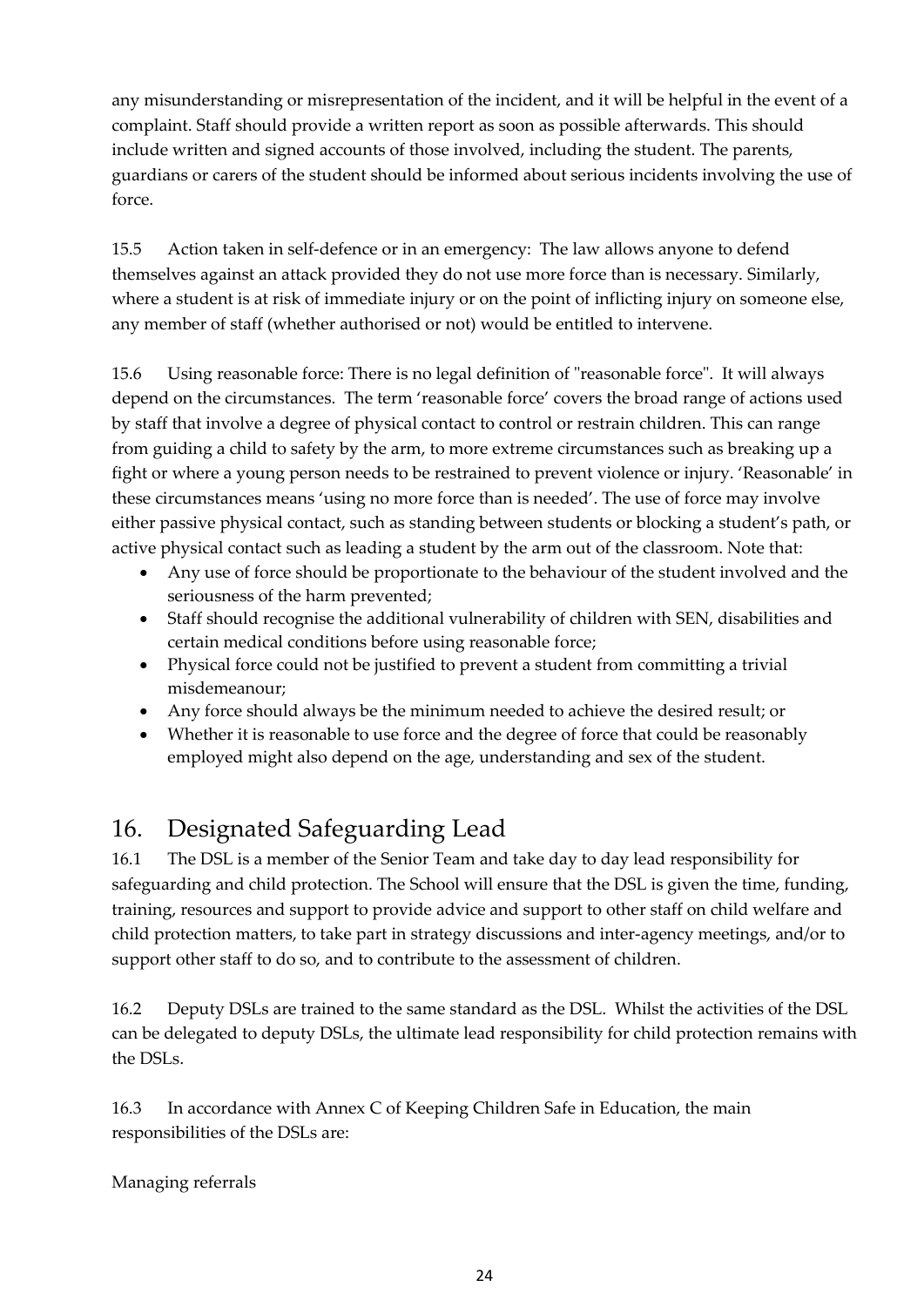any misunderstanding or misrepresentation of the incident, and it will be helpful in the event of a complaint. Staff should provide a written report as soon as possible afterwards. This should include written and signed accounts of those involved, including the student. The parents, guardians or carers of the student should be informed about serious incidents involving the use of force.

15.5 Action taken in self-defence or in an emergency: The law allows anyone to defend themselves against an attack provided they do not use more force than is necessary. Similarly, where a student is at risk of immediate injury or on the point of inflicting injury on someone else, any member of staff (whether authorised or not) would be entitled to intervene.

15.6 Using reasonable force: There is no legal definition of "reasonable force". It will always depend on the circumstances. The term 'reasonable force' covers the broad range of actions used by staff that involve a degree of physical contact to control or restrain children. This can range from guiding a child to safety by the arm, to more extreme circumstances such as breaking up a fight or where a young person needs to be restrained to prevent violence or injury. 'Reasonable' in these circumstances means 'using no more force than is needed'. The use of force may involve either passive physical contact, such as standing between students or blocking a student's path, or active physical contact such as leading a student by the arm out of the classroom. Note that:

- Any use of force should be proportionate to the behaviour of the student involved and the seriousness of the harm prevented;
- Staff should recognise the additional vulnerability of children with SEN, disabilities and certain medical conditions before using reasonable force;
- Physical force could not be justified to prevent a student from committing a trivial misdemeanour;
- Any force should always be the minimum needed to achieve the desired result; or
- Whether it is reasonable to use force and the degree of force that could be reasonably employed might also depend on the age, understanding and sex of the student.

## <span id="page-23-0"></span>16. Designated Safeguarding Lead

16.1 The DSL is a member of the Senior Team and take day to day lead responsibility for safeguarding and child protection. The School will ensure that the DSL is given the time, funding, training, resources and support to provide advice and support to other staff on child welfare and child protection matters, to take part in strategy discussions and inter-agency meetings, and/or to support other staff to do so, and to contribute to the assessment of children.

16.2 Deputy DSLs are trained to the same standard as the DSL. Whilst the activities of the DSL can be delegated to deputy DSLs, the ultimate lead responsibility for child protection remains with the DSLs.

16.3 In accordance with Annex C of Keeping Children Safe in Education, the main responsibilities of the DSLs are:

Managing referrals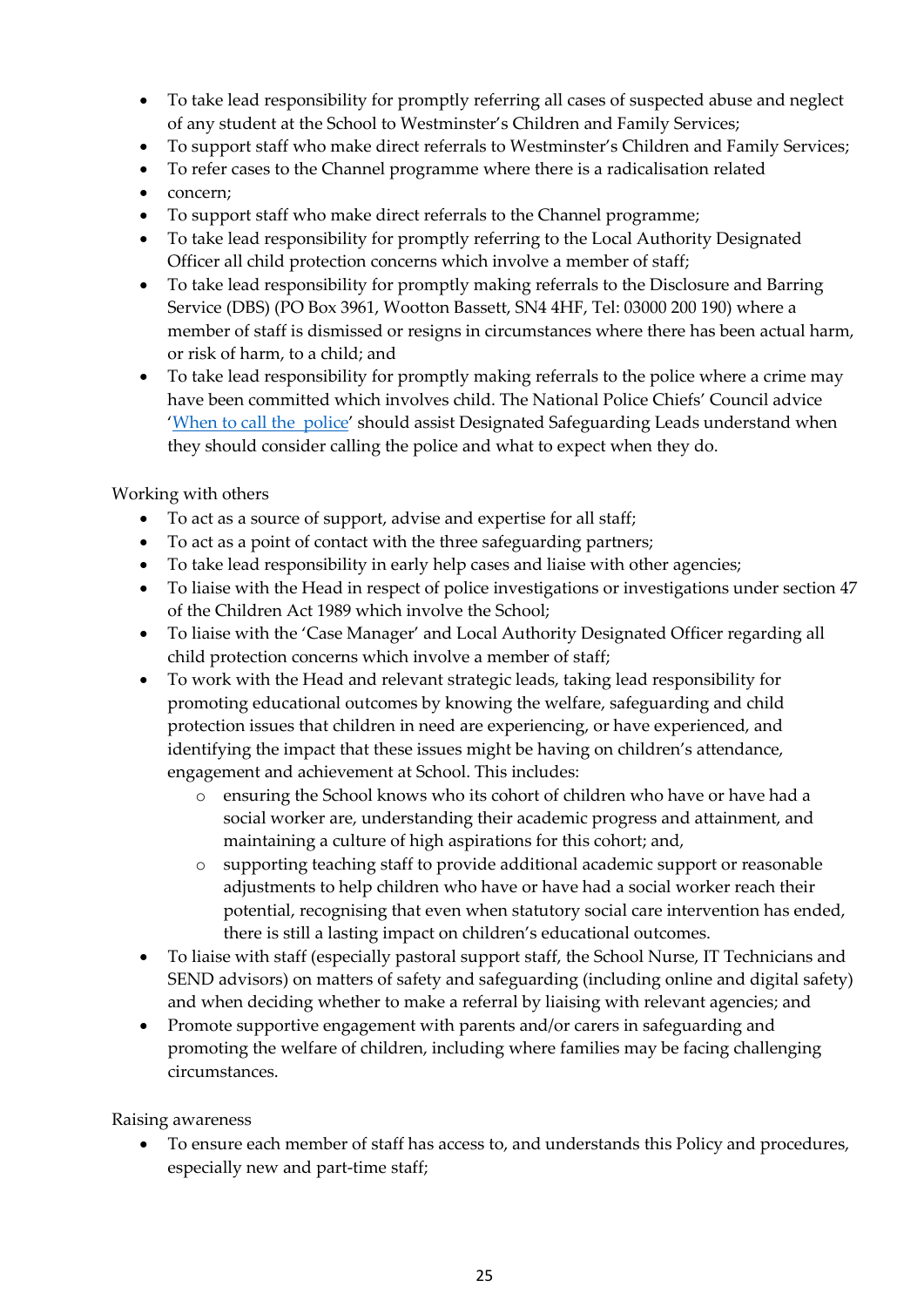- To take lead responsibility for promptly referring all cases of suspected abuse and neglect of any student at the School to Westminster's Children and Family Services;
- To support staff who make direct referrals to Westminster's Children and Family Services;
- To refer cases to the Channel programme where there is a radicalisation related
- concern;
- To support staff who make direct referrals to the Channel programme;
- To take lead responsibility for promptly referring to the Local Authority Designated Officer all child protection concerns which involve a member of staff;
- To take lead responsibility for promptly making referrals to the Disclosure and Barring Service (DBS) (PO Box 3961, Wootton Bassett, SN4 4HF, Tel: 03000 200 190) where a member of staff is dismissed or resigns in circumstances where there has been actual harm, or risk of harm, to a child; and
- To take lead responsibility for promptly making referrals to the police where a crime may have been committed which involves child. The National Police Chiefs' Council advice ['When to call the police'](https://www.npcc.police.uk/documents/Children%20and%20Young%20people/When%20to%20call%20police%20guidance%20for%20schools%20and%20colleges.pdf) should assist Designated Safeguarding Leads understand when they should consider calling the police and what to expect when they do.

Working with others

- To act as a source of support, advise and expertise for all staff;
- To act as a point of contact with the three safeguarding partners;
- To take lead responsibility in early help cases and liaise with other agencies;
- To liaise with the Head in respect of police investigations or investigations under section 47 of the Children Act 1989 which involve the School;
- To liaise with the 'Case Manager' and Local Authority Designated Officer regarding all child protection concerns which involve a member of staff;
- To work with the Head and relevant strategic leads, taking lead responsibility for promoting educational outcomes by knowing the welfare, safeguarding and child protection issues that children in need are experiencing, or have experienced, and identifying the impact that these issues might be having on children's attendance, engagement and achievement at School. This includes:
	- o ensuring the School knows who its cohort of children who have or have had a social worker are, understanding their academic progress and attainment, and maintaining a culture of high aspirations for this cohort; and,
	- o supporting teaching staff to provide additional academic support or reasonable adjustments to help children who have or have had a social worker reach their potential, recognising that even when statutory social care intervention has ended, there is still a lasting impact on children's educational outcomes.
- To liaise with staff (especially pastoral support staff, the School Nurse, IT Technicians and SEND advisors) on matters of safety and safeguarding (including online and digital safety) and when deciding whether to make a referral by liaising with relevant agencies; and
- Promote supportive engagement with parents and/or carers in safeguarding and promoting the welfare of children, including where families may be facing challenging circumstances.

Raising awareness

• To ensure each member of staff has access to, and understands this Policy and procedures, especially new and part-time staff;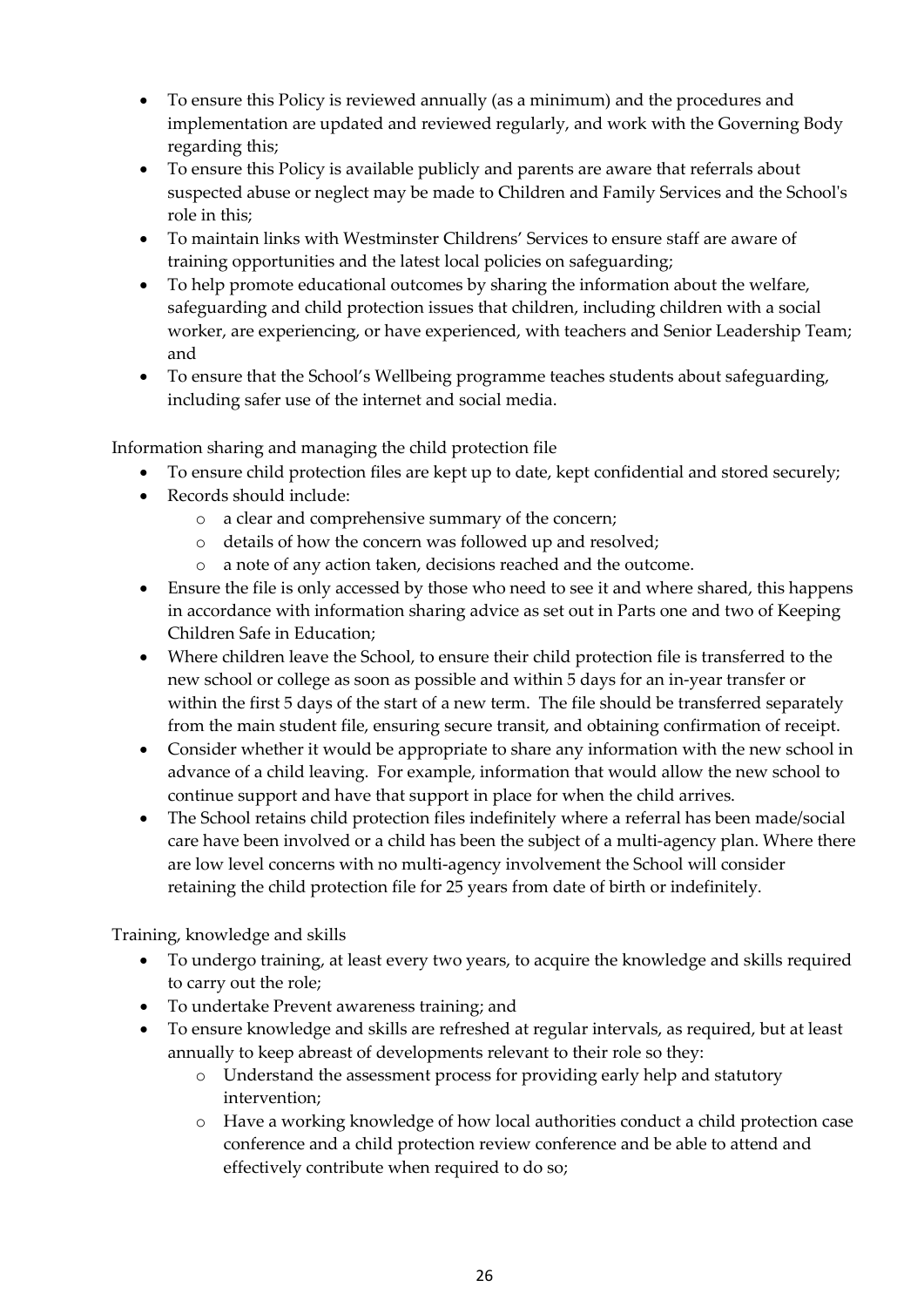- To ensure this Policy is reviewed annually (as a minimum) and the procedures and implementation are updated and reviewed regularly, and work with the Governing Body regarding this;
- To ensure this Policy is available publicly and parents are aware that referrals about suspected abuse or neglect may be made to Children and Family Services and the School's role in this;
- To maintain links with Westminster Childrens' Services to ensure staff are aware of training opportunities and the latest local policies on safeguarding;
- To help promote educational outcomes by sharing the information about the welfare, safeguarding and child protection issues that children, including children with a social worker, are experiencing, or have experienced, with teachers and Senior Leadership Team; and
- To ensure that the School's Wellbeing programme teaches students about safeguarding, including safer use of the internet and social media.

Information sharing and managing the child protection file

- To ensure child protection files are kept up to date, kept confidential and stored securely;
- Records should include:
	- o a clear and comprehensive summary of the concern;
	- o details of how the concern was followed up and resolved;
	- o a note of any action taken, decisions reached and the outcome.
- Ensure the file is only accessed by those who need to see it and where shared, this happens in accordance with information sharing advice as set out in Parts one and two of Keeping Children Safe in Education;
- Where children leave the School, to ensure their child protection file is transferred to the new school or college as soon as possible and within 5 days for an in-year transfer or within the first 5 days of the start of a new term. The file should be transferred separately from the main student file, ensuring secure transit, and obtaining confirmation of receipt.
- Consider whether it would be appropriate to share any information with the new school in advance of a child leaving. For example, information that would allow the new school to continue support and have that support in place for when the child arrives.
- The School retains child protection files indefinitely where a referral has been made/social care have been involved or a child has been the subject of a multi-agency plan. Where there are low level concerns with no multi-agency involvement the School will consider retaining the child protection file for 25 years from date of birth or indefinitely.

Training, knowledge and skills

- To undergo training, at least every two years, to acquire the knowledge and skills required to carry out the role;
- To undertake Prevent awareness training; and
- To ensure knowledge and skills are refreshed at regular intervals, as required, but at least annually to keep abreast of developments relevant to their role so they:
	- o Understand the assessment process for providing early help and statutory intervention;
	- o Have a working knowledge of how local authorities conduct a child protection case conference and a child protection review conference and be able to attend and effectively contribute when required to do so;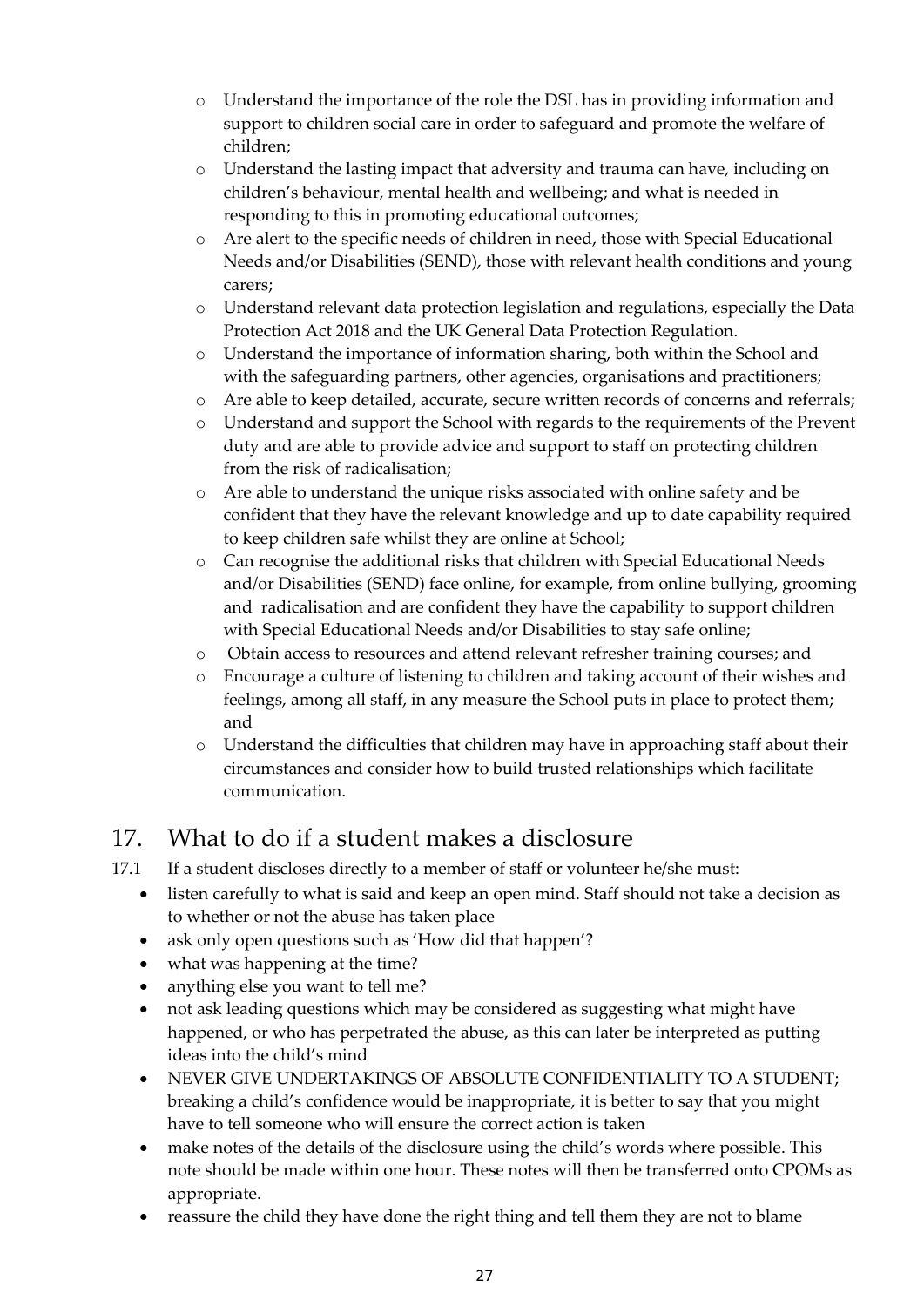- o Understand the importance of the role the DSL has in providing information and support to children social care in order to safeguard and promote the welfare of children;
- o Understand the lasting impact that adversity and trauma can have, including on children's behaviour, mental health and wellbeing; and what is needed in responding to this in promoting educational outcomes;
- o Are alert to the specific needs of children in need, those with Special Educational Needs and/or Disabilities (SEND), those with relevant health conditions and young carers;
- o Understand relevant data protection legislation and regulations, especially the Data Protection Act 2018 and the UK General Data Protection Regulation.
- o Understand the importance of information sharing, both within the School and with the safeguarding partners, other agencies, organisations and practitioners;
- o Are able to keep detailed, accurate, secure written records of concerns and referrals;
- o Understand and support the School with regards to the requirements of the Prevent duty and are able to provide advice and support to staff on protecting children from the risk of radicalisation;
- o Are able to understand the unique risks associated with online safety and be confident that they have the relevant knowledge and up to date capability required to keep children safe whilst they are online at School;
- o Can recognise the additional risks that children with Special Educational Needs and/or Disabilities (SEND) face online, for example, from online bullying, grooming and radicalisation and are confident they have the capability to support children with Special Educational Needs and/or Disabilities to stay safe online;
- o Obtain access to resources and attend relevant refresher training courses; and
- o Encourage a culture of listening to children and taking account of their wishes and feelings, among all staff, in any measure the School puts in place to protect them; and
- o Understand the difficulties that children may have in approaching staff about their circumstances and consider how to build trusted relationships which facilitate communication.

## <span id="page-26-0"></span>17. What to do if a student makes a disclosure

17.1 If a student discloses directly to a member of staff or volunteer he/she must:

- listen carefully to what is said and keep an open mind. Staff should not take a decision as to whether or not the abuse has taken place
- ask only open questions such as 'How did that happen'?
- what was happening at the time?
- anything else you want to tell me?
- not ask leading questions which may be considered as suggesting what might have happened, or who has perpetrated the abuse, as this can later be interpreted as putting ideas into the child's mind
- NEVER GIVE UNDERTAKINGS OF ABSOLUTE CONFIDENTIALITY TO A STUDENT; breaking a child's confidence would be inappropriate, it is better to say that you might have to tell someone who will ensure the correct action is taken
- make notes of the details of the disclosure using the child's words where possible. This note should be made within one hour. These notes will then be transferred onto CPOMs as appropriate.
- reassure the child they have done the right thing and tell them they are not to blame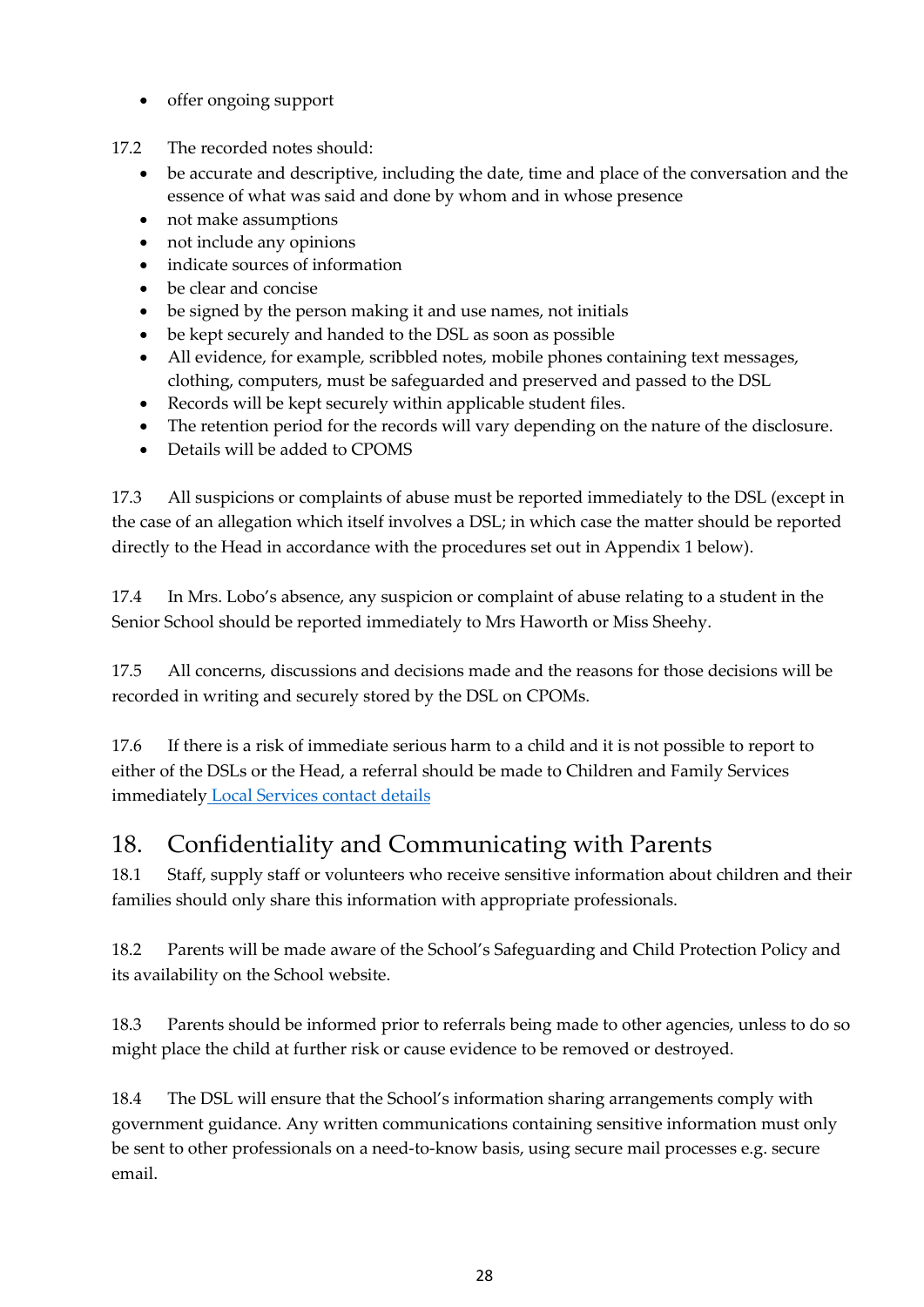- offer ongoing support
- 17.2 The recorded notes should:
	- be accurate and descriptive, including the date, time and place of the conversation and the essence of what was said and done by whom and in whose presence
	- not make assumptions
	- not include any opinions
	- indicate sources of information
	- be clear and concise
	- be signed by the person making it and use names, not initials
	- be kept securely and handed to the DSL as soon as possible
	- All evidence, for example, scribbled notes, mobile phones containing text messages, clothing, computers, must be safeguarded and preserved and passed to the DSL
	- Records will be kept securely within applicable student files.
	- The retention period for the records will vary depending on the nature of the disclosure.
	- Details will be added to CPOMS

17.3 All suspicions or complaints of abuse must be reported immediately to the DSL (except in the case of an allegation which itself involves a DSL; in which case the matter should be reported directly to the Head in accordance with the procedures set out in Appendix 1 below).

17.4 In Mrs. Lobo's absence, any suspicion or complaint of abuse relating to a student in the Senior School should be reported immediately to Mrs Haworth or Miss Sheehy.

17.5 All concerns, discussions and decisions made and the reasons for those decisions will be recorded in writing and securely stored by the DSL on CPOMs.

17.6 If there is a risk of immediate serious harm to a child and it is not possible to report to either of the DSLs or the Head, a referral should be made to Children and Family Services immediatel[y Local Services contact details](#page-3-0)

## <span id="page-27-0"></span>18. Confidentiality and Communicating with Parents

18.1 Staff, supply staff or volunteers who receive sensitive information about children and their families should only share this information with appropriate professionals.

18.2 Parents will be made aware of the School's Safeguarding and Child Protection Policy and its availability on the School website.

18.3 Parents should be informed prior to referrals being made to other agencies, unless to do so might place the child at further risk or cause evidence to be removed or destroyed.

18.4 The DSL will ensure that the School's information sharing arrangements comply with government guidance. Any written communications containing sensitive information must only be sent to other professionals on a need-to-know basis, using secure mail processes e.g. secure email.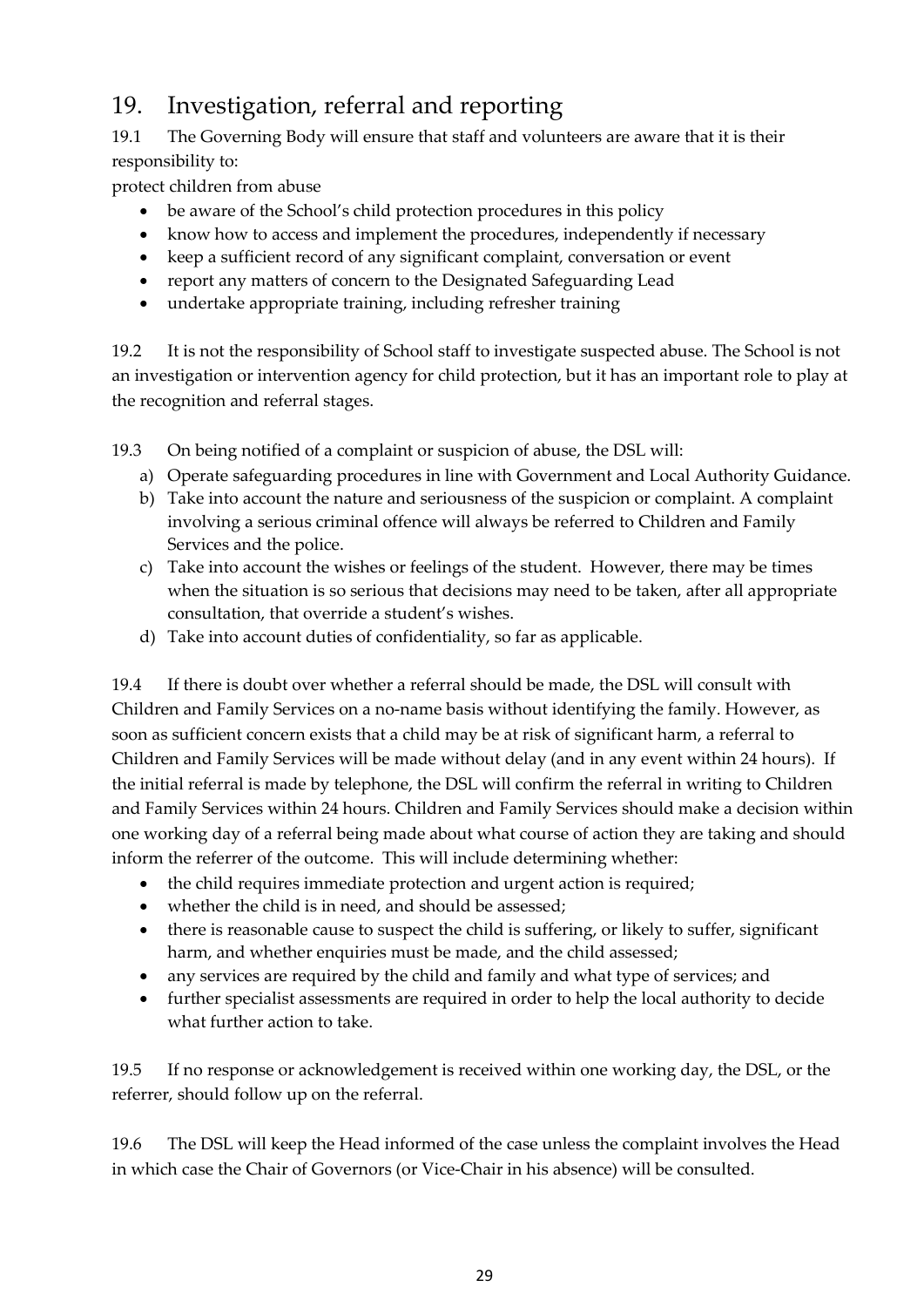## <span id="page-28-0"></span>19. Investigation, referral and reporting

19.1 The Governing Body will ensure that staff and volunteers are aware that it is their responsibility to:

protect children from abuse

- be aware of the School's child protection procedures in this policy
- know how to access and implement the procedures, independently if necessary
- keep a sufficient record of any significant complaint, conversation or event
- report any matters of concern to the Designated Safeguarding Lead
- undertake appropriate training, including refresher training

19.2 It is not the responsibility of School staff to investigate suspected abuse. The School is not an investigation or intervention agency for child protection, but it has an important role to play at the recognition and referral stages.

19.3 On being notified of a complaint or suspicion of abuse, the DSL will:

- a) Operate safeguarding procedures in line with Government and Local Authority Guidance.
- b) Take into account the nature and seriousness of the suspicion or complaint. A complaint involving a serious criminal offence will always be referred to Children and Family Services and the police.
- c) Take into account the wishes or feelings of the student. However, there may be times when the situation is so serious that decisions may need to be taken, after all appropriate consultation, that override a student's wishes.
- d) Take into account duties of confidentiality, so far as applicable.

19.4 If there is doubt over whether a referral should be made, the DSL will consult with Children and Family Services on a no-name basis without identifying the family. However, as soon as sufficient concern exists that a child may be at risk of significant harm, a referral to Children and Family Services will be made without delay (and in any event within 24 hours). If the initial referral is made by telephone, the DSL will confirm the referral in writing to Children and Family Services within 24 hours. Children and Family Services should make a decision within one working day of a referral being made about what course of action they are taking and should inform the referrer of the outcome. This will include determining whether:

- the child requires immediate protection and urgent action is required;
- whether the child is in need, and should be assessed;
- there is reasonable cause to suspect the child is suffering, or likely to suffer, significant harm, and whether enquiries must be made, and the child assessed;
- any services are required by the child and family and what type of services; and
- further specialist assessments are required in order to help the local authority to decide what further action to take.

19.5 If no response or acknowledgement is received within one working day, the DSL, or the referrer, should follow up on the referral.

19.6 The DSL will keep the Head informed of the case unless the complaint involves the Head in which case the Chair of Governors (or Vice-Chair in his absence) will be consulted.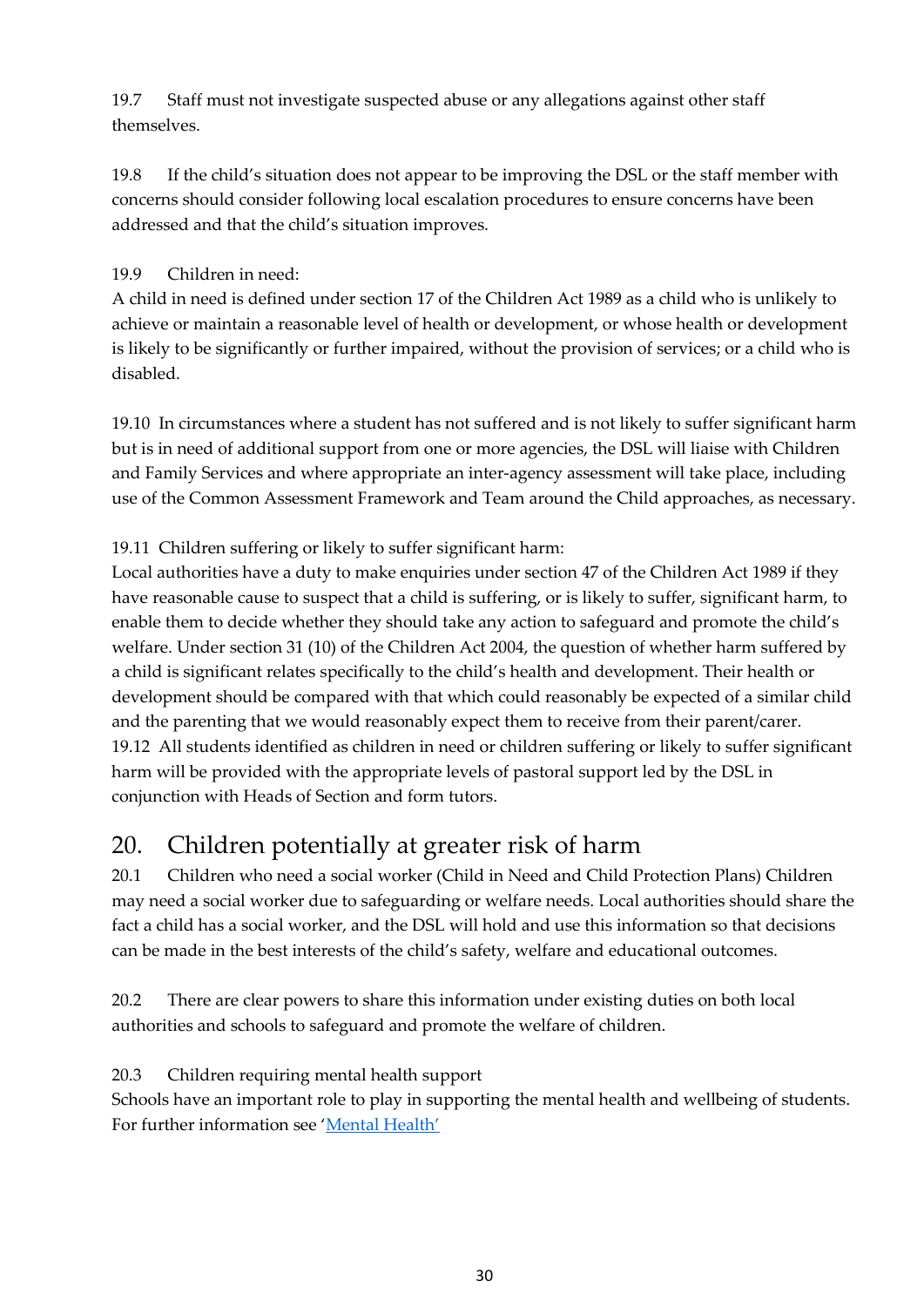19.7 Staff must not investigate suspected abuse or any allegations against other staff themselves.

19.8 If the child's situation does not appear to be improving the DSL or the staff member with concerns should consider following local escalation procedures to ensure concerns have been addressed and that the child's situation improves.

### 19.9 Children in need:

A child in need is defined under section 17 of the Children Act 1989 as a child who is unlikely to achieve or maintain a reasonable level of health or development, or whose health or development is likely to be significantly or further impaired, without the provision of services; or a child who is disabled.

19.10 In circumstances where a student has not suffered and is not likely to suffer significant harm but is in need of additional support from one or more agencies, the DSL will liaise with Children and Family Services and where appropriate an inter-agency assessment will take place, including use of the Common Assessment Framework and Team around the Child approaches, as necessary.

### 19.11 Children suffering or likely to suffer significant harm:

Local authorities have a duty to make enquiries under section 47 of the Children Act 1989 if they have reasonable cause to suspect that a child is suffering, or is likely to suffer, significant harm, to enable them to decide whether they should take any action to safeguard and promote the child's welfare. Under section 31 (10) of the Children Act 2004, the question of whether harm suffered by a child is significant relates specifically to the child's health and development. Their health or development should be compared with that which could reasonably be expected of a similar child and the parenting that we would reasonably expect them to receive from their parent/carer. 19.12 All students identified as children in need or children suffering or likely to suffer significant harm will be provided with the appropriate levels of pastoral support led by the DSL in conjunction with Heads of Section and form tutors.

## <span id="page-29-0"></span>20. Children potentially at greater risk of harm

20.1 Children who need a social worker (Child in Need and Child Protection Plans) Children may need a social worker due to safeguarding or welfare needs. Local authorities should share the fact a child has a social worker, and the DSL will hold and use this information so that decisions can be made in the best interests of the child's safety, welfare and educational outcomes.

20.2 There are clear powers to share this information under existing duties on both local authorities and schools to safeguard and promote the welfare of children.

### 20.3 Children requiring mental health support

Schools have an important role to play in supporting the mental health and wellbeing of students. For further information see ['Mental Health'](#page-11-0)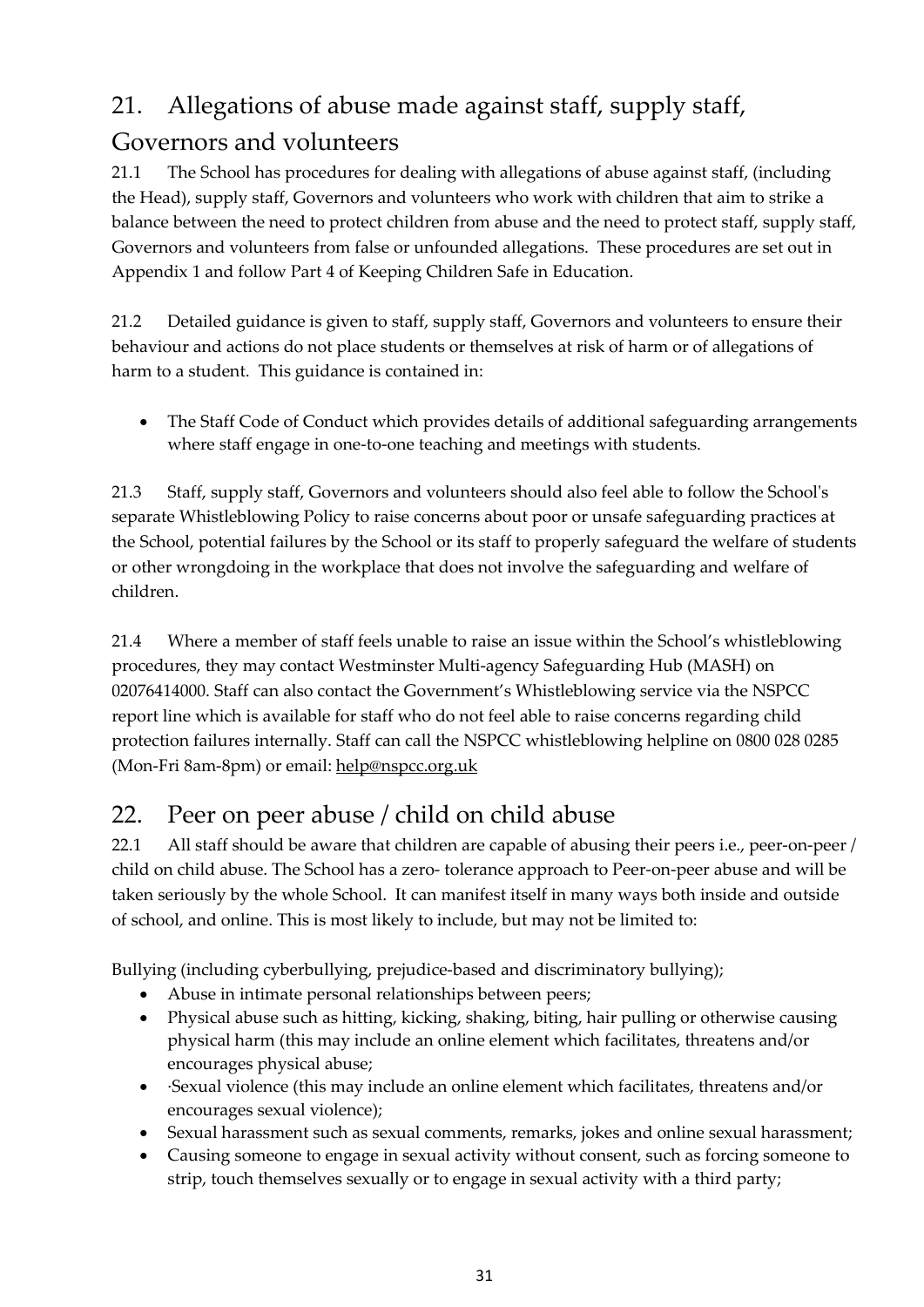## <span id="page-30-0"></span>21. Allegations of abuse made against staff, supply staff,

## Governors and volunteers

21.1 The School has procedures for dealing with allegations of abuse against staff, (including the Head), supply staff, Governors and volunteers who work with children that aim to strike a balance between the need to protect children from abuse and the need to protect staff, supply staff, Governors and volunteers from false or unfounded allegations. These procedures are set out in Appendix 1 and follow Part 4 of Keeping Children Safe in Education.

21.2 Detailed guidance is given to staff, supply staff, Governors and volunteers to ensure their behaviour and actions do not place students or themselves at risk of harm or of allegations of harm to a student. This guidance is contained in:

• The Staff Code of Conduct which provides details of additional safeguarding arrangements where staff engage in one-to-one teaching and meetings with students.

21.3 Staff, supply staff, Governors and volunteers should also feel able to follow the School's separate Whistleblowing Policy to raise concerns about poor or unsafe safeguarding practices at the School, potential failures by the School or its staff to properly safeguard the welfare of students or other wrongdoing in the workplace that does not involve the safeguarding and welfare of children.

21.4 Where a member of staff feels unable to raise an issue within the School's whistleblowing procedures, they may contact Westminster Multi-agency Safeguarding Hub (MASH) on 02076414000. Staff can also contact the Government's Whistleblowing service via the NSPCC report line which is available for staff who do not feel able to raise concerns regarding child protection failures internally. Staff can call the NSPCC whistleblowing helpline on 0800 028 0285 (Mon-Fri 8am-8pm) or email: [help@nspcc.org.uk](mailto:help@nspcc.org.uk)

## <span id="page-30-1"></span>22. Peer on peer abuse / child on child abuse

22.1 All staff should be aware that children are capable of abusing their peers i.e., peer-on-peer / child on child abuse. The School has a zero- tolerance approach to Peer-on-peer abuse and will be taken seriously by the whole School. It can manifest itself in many ways both inside and outside of school, and online. This is most likely to include, but may not be limited to:

Bullying (including cyberbullying, prejudice-based and discriminatory bullying);

- Abuse in intimate personal relationships between peers;
- Physical abuse such as hitting, kicking, shaking, biting, hair pulling or otherwise causing physical harm (this may include an online element which facilitates, threatens and/or encourages physical abuse;
- Sexual violence (this may include an online element which facilitates, threatens and/or encourages sexual violence);
- Sexual harassment such as sexual comments, remarks, jokes and online sexual harassment;
- Causing someone to engage in sexual activity without consent, such as forcing someone to strip, touch themselves sexually or to engage in sexual activity with a third party;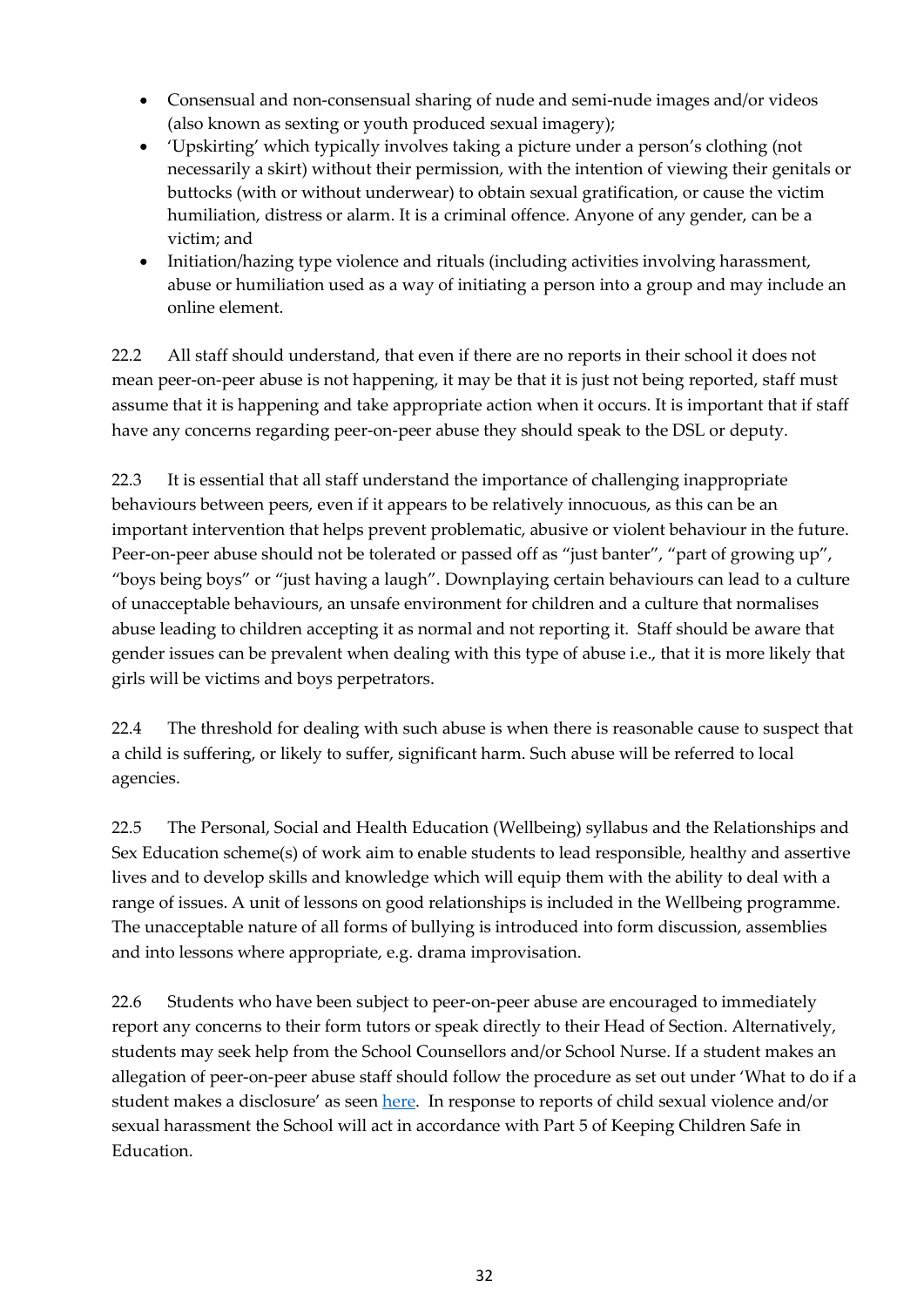- Consensual and non-consensual sharing of nude and semi-nude images and/or videos (also known as sexting or youth produced sexual imagery);
- 'Upskirting' which typically involves taking a picture under a person's clothing (not necessarily a skirt) without their permission, with the intention of viewing their genitals or buttocks (with or without underwear) to obtain sexual gratification, or cause the victim humiliation, distress or alarm. It is a criminal offence. Anyone of any gender, can be a victim; and
- Initiation/hazing type violence and rituals (including activities involving harassment, abuse or humiliation used as a way of initiating a person into a group and may include an online element.

22.2 All staff should understand, that even if there are no reports in their school it does not mean peer-on-peer abuse is not happening, it may be that it is just not being reported, staff must assume that it is happening and take appropriate action when it occurs. It is important that if staff have any concerns regarding peer-on-peer abuse they should speak to the DSL or deputy.

22.3 It is essential that all staff understand the importance of challenging inappropriate behaviours between peers, even if it appears to be relatively innocuous, as this can be an important intervention that helps prevent problematic, abusive or violent behaviour in the future. Peer-on-peer abuse should not be tolerated or passed off as "just banter", "part of growing up", "boys being boys" or "just having a laugh". Downplaying certain behaviours can lead to a culture of unacceptable behaviours, an unsafe environment for children and a culture that normalises abuse leading to children accepting it as normal and not reporting it. Staff should be aware that gender issues can be prevalent when dealing with this type of abuse i.e., that it is more likely that girls will be victims and boys perpetrators.

22.4 The threshold for dealing with such abuse is when there is reasonable cause to suspect that a child is suffering, or likely to suffer, significant harm. Such abuse will be referred to local agencies.

22.5 The Personal, Social and Health Education (Wellbeing) syllabus and the Relationships and Sex Education scheme(s) of work aim to enable students to lead responsible, healthy and assertive lives and to develop skills and knowledge which will equip them with the ability to deal with a range of issues. A unit of lessons on good relationships is included in the Wellbeing programme. The unacceptable nature of all forms of bullying is introduced into form discussion, assemblies and into lessons where appropriate, e.g. drama improvisation.

22.6 Students who have been subject to peer-on-peer abuse are encouraged to immediately report any concerns to their form tutors or speak directly to their Head of Section. Alternatively, students may seek help from the School Counsellors and/or School Nurse. If a student makes an allegation of peer-on-peer abuse staff should follow the procedure as set out under 'What to do if a student makes a disclosure' as seen [here.](#page-26-0) In response to reports of child sexual violence and/or sexual harassment the School will act in accordance with Part 5 of Keeping Children Safe in Education.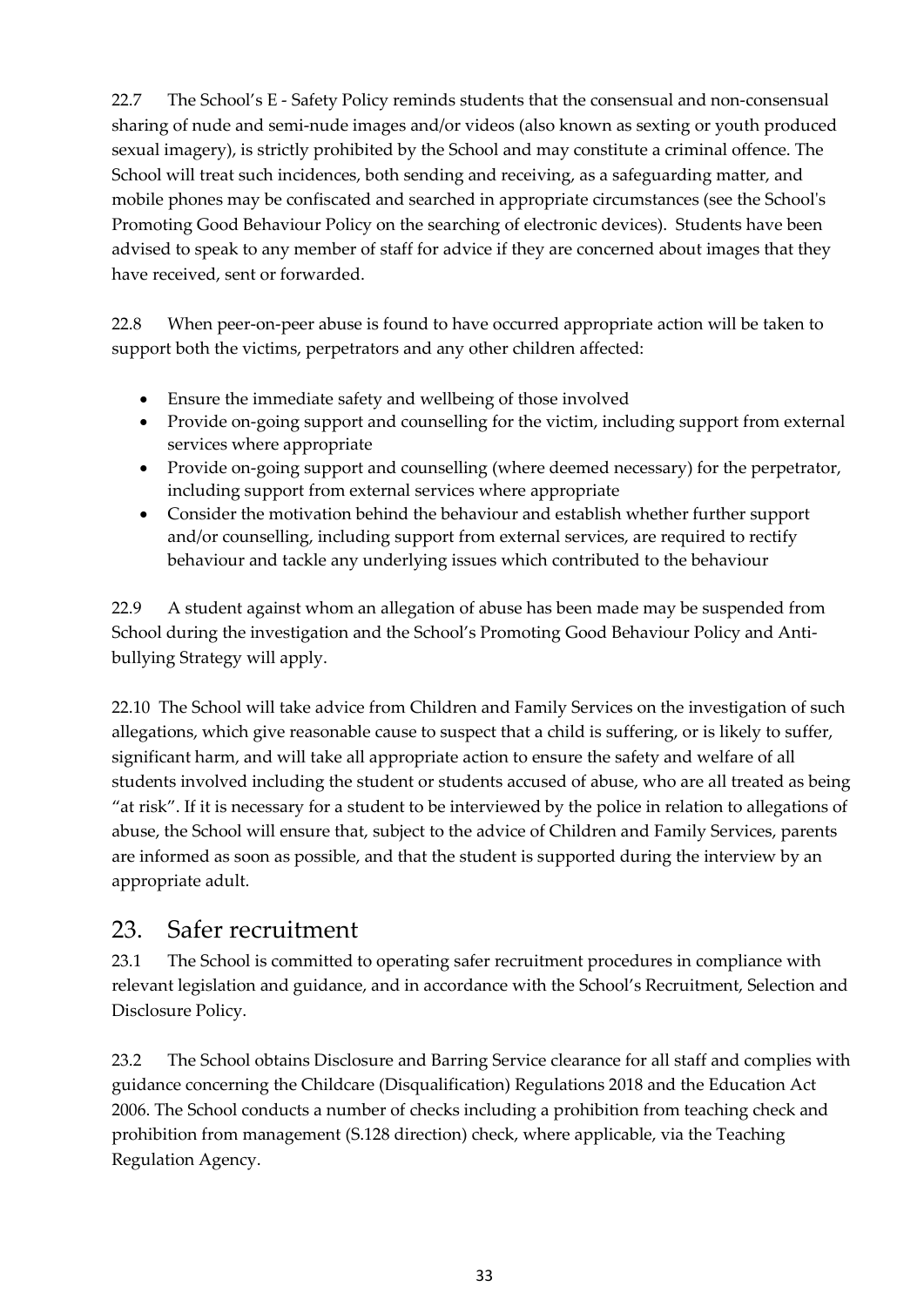22.7 The School's E - Safety Policy reminds students that the consensual and non-consensual sharing of nude and semi-nude images and/or videos (also known as sexting or youth produced sexual imagery), is strictly prohibited by the School and may constitute a criminal offence. The School will treat such incidences, both sending and receiving, as a safeguarding matter, and mobile phones may be confiscated and searched in appropriate circumstances (see the School's Promoting Good Behaviour Policy on the searching of electronic devices). Students have been advised to speak to any member of staff for advice if they are concerned about images that they have received, sent or forwarded.

22.8 When peer-on-peer abuse is found to have occurred appropriate action will be taken to support both the victims, perpetrators and any other children affected:

- Ensure the immediate safety and wellbeing of those involved
- Provide on-going support and counselling for the victim, including support from external services where appropriate
- Provide on-going support and counselling (where deemed necessary) for the perpetrator, including support from external services where appropriate
- Consider the motivation behind the behaviour and establish whether further support and/or counselling, including support from external services, are required to rectify behaviour and tackle any underlying issues which contributed to the behaviour

22.9 A student against whom an allegation of abuse has been made may be suspended from School during the investigation and the School's Promoting Good Behaviour Policy and Antibullying Strategy will apply.

22.10 The School will take advice from Children and Family Services on the investigation of such allegations, which give reasonable cause to suspect that a child is suffering, or is likely to suffer, significant harm, and will take all appropriate action to ensure the safety and welfare of all students involved including the student or students accused of abuse, who are all treated as being "at risk". If it is necessary for a student to be interviewed by the police in relation to allegations of abuse, the School will ensure that, subject to the advice of Children and Family Services, parents are informed as soon as possible, and that the student is supported during the interview by an appropriate adult.

## <span id="page-32-0"></span>23. Safer recruitment

23.1 The School is committed to operating safer recruitment procedures in compliance with relevant legislation and guidance, and in accordance with the School's Recruitment, Selection and Disclosure Policy.

23.2 The School obtains Disclosure and Barring Service clearance for all staff and complies with guidance concerning the Childcare (Disqualification) Regulations 2018 and the Education Act 2006. The School conducts a number of checks including a prohibition from teaching check and prohibition from management (S.128 direction) check, where applicable, via the Teaching Regulation Agency.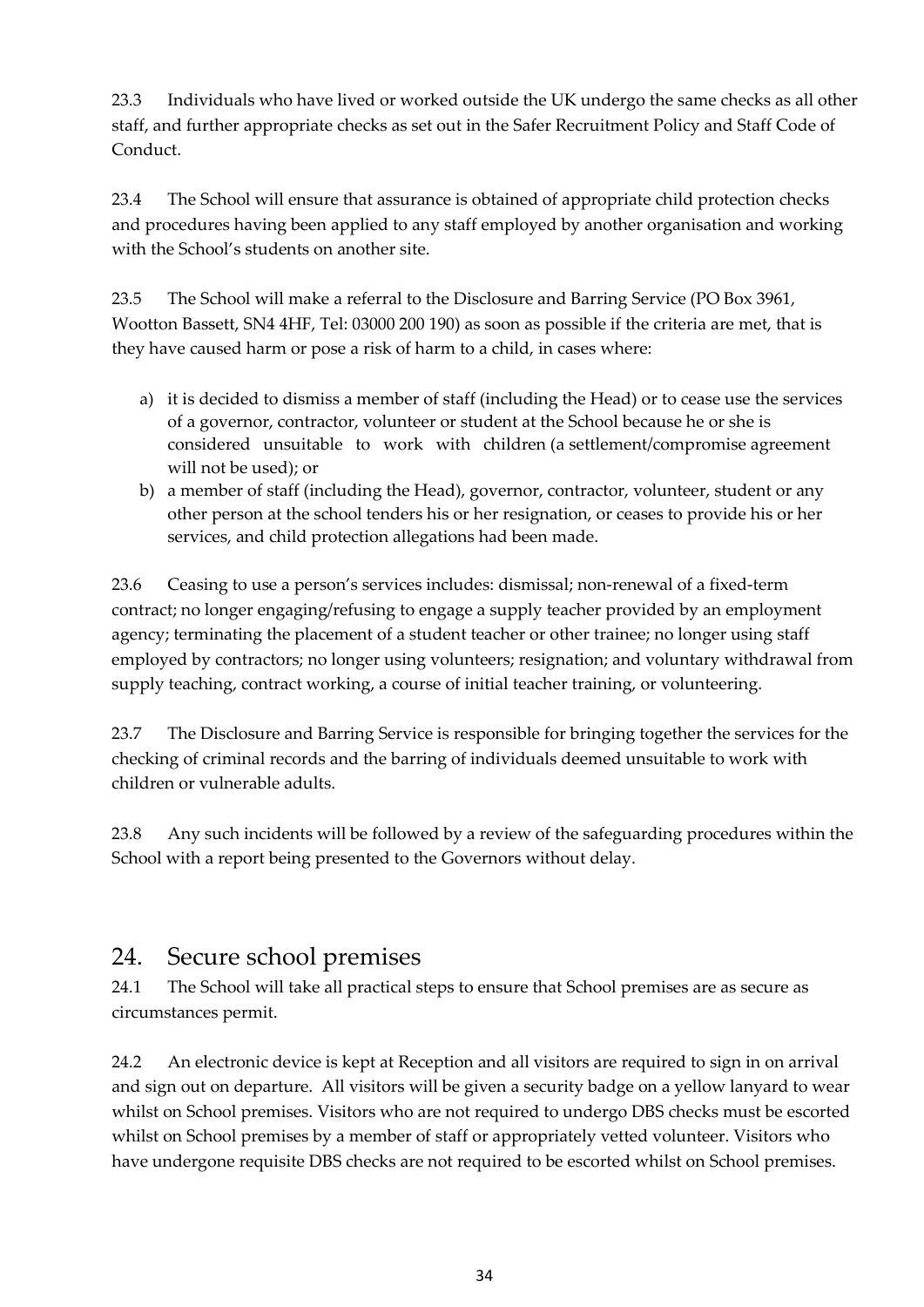23.3 Individuals who have lived or worked outside the UK undergo the same checks as all other staff, and further appropriate checks as set out in the Safer Recruitment Policy and Staff Code of Conduct.

23.4 The School will ensure that assurance is obtained of appropriate child protection checks and procedures having been applied to any staff employed by another organisation and working with the School's students on another site.

23.5 The School will make a referral to the Disclosure and Barring Service (PO Box 3961, Wootton Bassett, SN4 4HF, Tel: 03000 200 190) as soon as possible if the criteria are met, that is they have caused harm or pose a risk of harm to a child, in cases where:

- a) it is decided to dismiss a member of staff (including the Head) or to cease use the services of a governor, contractor, volunteer or student at the School because he or she is considered unsuitable to work with children (a settlement/compromise agreement will not be used); or
- b) a member of staff (including the Head), governor, contractor, volunteer, student or any other person at the school tenders his or her resignation, or ceases to provide his or her services, and child protection allegations had been made.

23.6 Ceasing to use a person's services includes: dismissal; non-renewal of a fixed-term contract; no longer engaging/refusing to engage a supply teacher provided by an employment agency; terminating the placement of a student teacher or other trainee; no longer using staff employed by contractors; no longer using volunteers; resignation; and voluntary withdrawal from supply teaching, contract working, a course of initial teacher training, or volunteering.

23.7 The Disclosure and Barring Service is responsible for bringing together the services for the checking of criminal records and the barring of individuals deemed unsuitable to work with children or vulnerable adults.

23.8 Any such incidents will be followed by a review of the safeguarding procedures within the School with a report being presented to the Governors without delay.

## <span id="page-33-0"></span>24. Secure school premises

24.1 The School will take all practical steps to ensure that School premises are as secure as circumstances permit.

24.2 An electronic device is kept at Reception and all visitors are required to sign in on arrival and sign out on departure. All visitors will be given a security badge on a yellow lanyard to wear whilst on School premises. Visitors who are not required to undergo DBS checks must be escorted whilst on School premises by a member of staff or appropriately vetted volunteer. Visitors who have undergone requisite DBS checks are not required to be escorted whilst on School premises.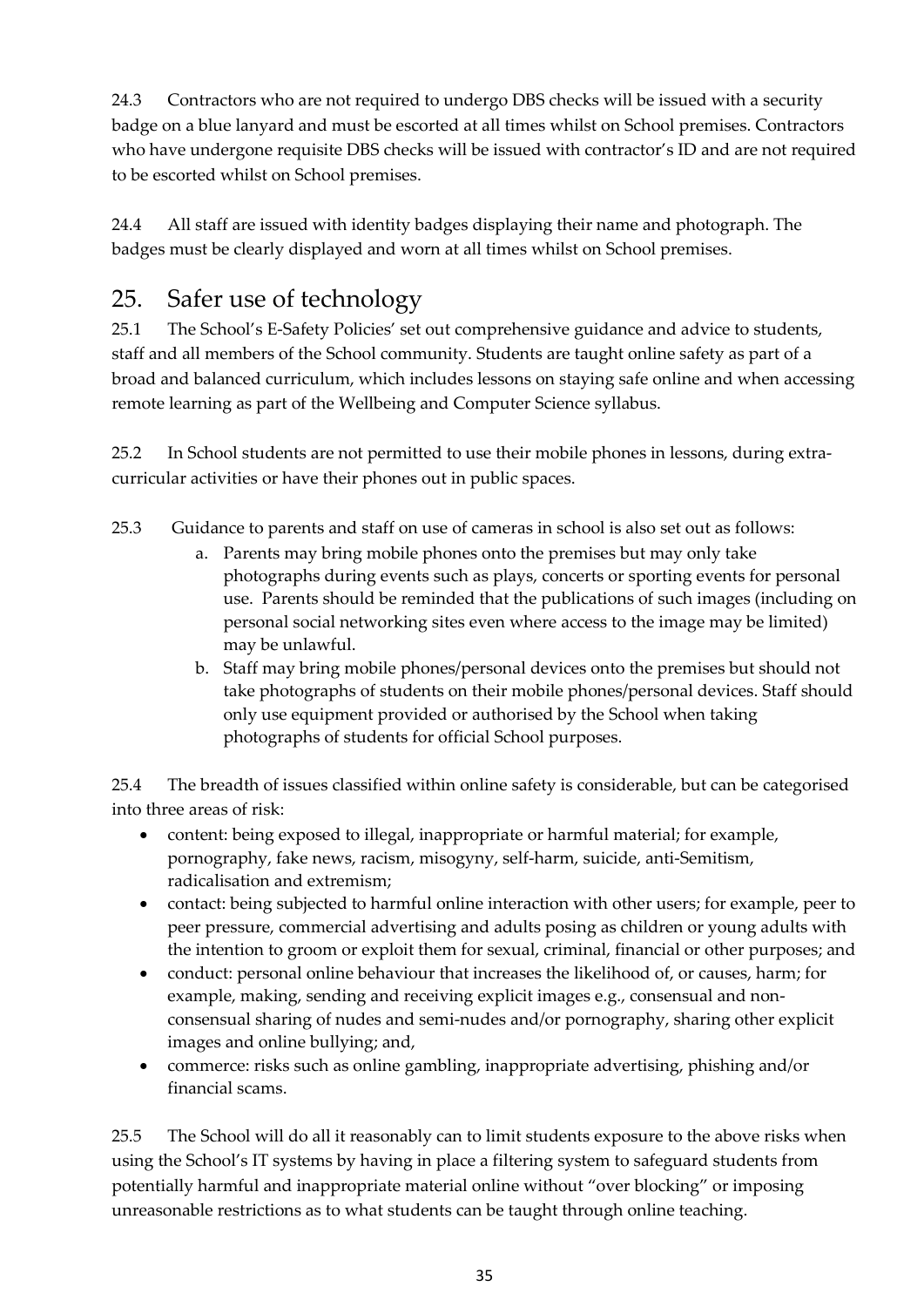24.3 Contractors who are not required to undergo DBS checks will be issued with a security badge on a blue lanyard and must be escorted at all times whilst on School premises. Contractors who have undergone requisite DBS checks will be issued with contractor's ID and are not required to be escorted whilst on School premises.

24.4 All staff are issued with identity badges displaying their name and photograph. The badges must be clearly displayed and worn at all times whilst on School premises.

## <span id="page-34-0"></span>25. Safer use of technology

25.1 The School's E-Safety Policies' set out comprehensive guidance and advice to students, staff and all members of the School community. Students are taught online safety as part of a broad and balanced curriculum, which includes lessons on staying safe online and when accessing remote learning as part of the Wellbeing and Computer Science syllabus.

25.2 In School students are not permitted to use their mobile phones in lessons, during extracurricular activities or have their phones out in public spaces.

25.3 Guidance to parents and staff on use of cameras in school is also set out as follows:

- a. Parents may bring mobile phones onto the premises but may only take photographs during events such as plays, concerts or sporting events for personal use. Parents should be reminded that the publications of such images (including on personal social networking sites even where access to the image may be limited) may be unlawful.
- b. Staff may bring mobile phones/personal devices onto the premises but should not take photographs of students on their mobile phones/personal devices. Staff should only use equipment provided or authorised by the School when taking photographs of students for official School purposes.

25.4 The breadth of issues classified within online safety is considerable, but can be categorised into three areas of risk:

- content: being exposed to illegal, inappropriate or harmful material; for example, pornography, fake news, racism, misogyny, self-harm, suicide, anti-Semitism, radicalisation and extremism;
- contact: being subjected to harmful online interaction with other users; for example, peer to peer pressure, commercial advertising and adults posing as children or young adults with the intention to groom or exploit them for sexual, criminal, financial or other purposes; and
- conduct: personal online behaviour that increases the likelihood of, or causes, harm; for example, making, sending and receiving explicit images e.g., consensual and nonconsensual sharing of nudes and semi-nudes and/or pornography, sharing other explicit images and online bullying; and,
- commerce: risks such as online gambling, inappropriate advertising, phishing and/or financial scams.

25.5 The School will do all it reasonably can to limit students exposure to the above risks when using the School's IT systems by having in place a filtering system to safeguard students from potentially harmful and inappropriate material online without "over blocking" or imposing unreasonable restrictions as to what students can be taught through online teaching.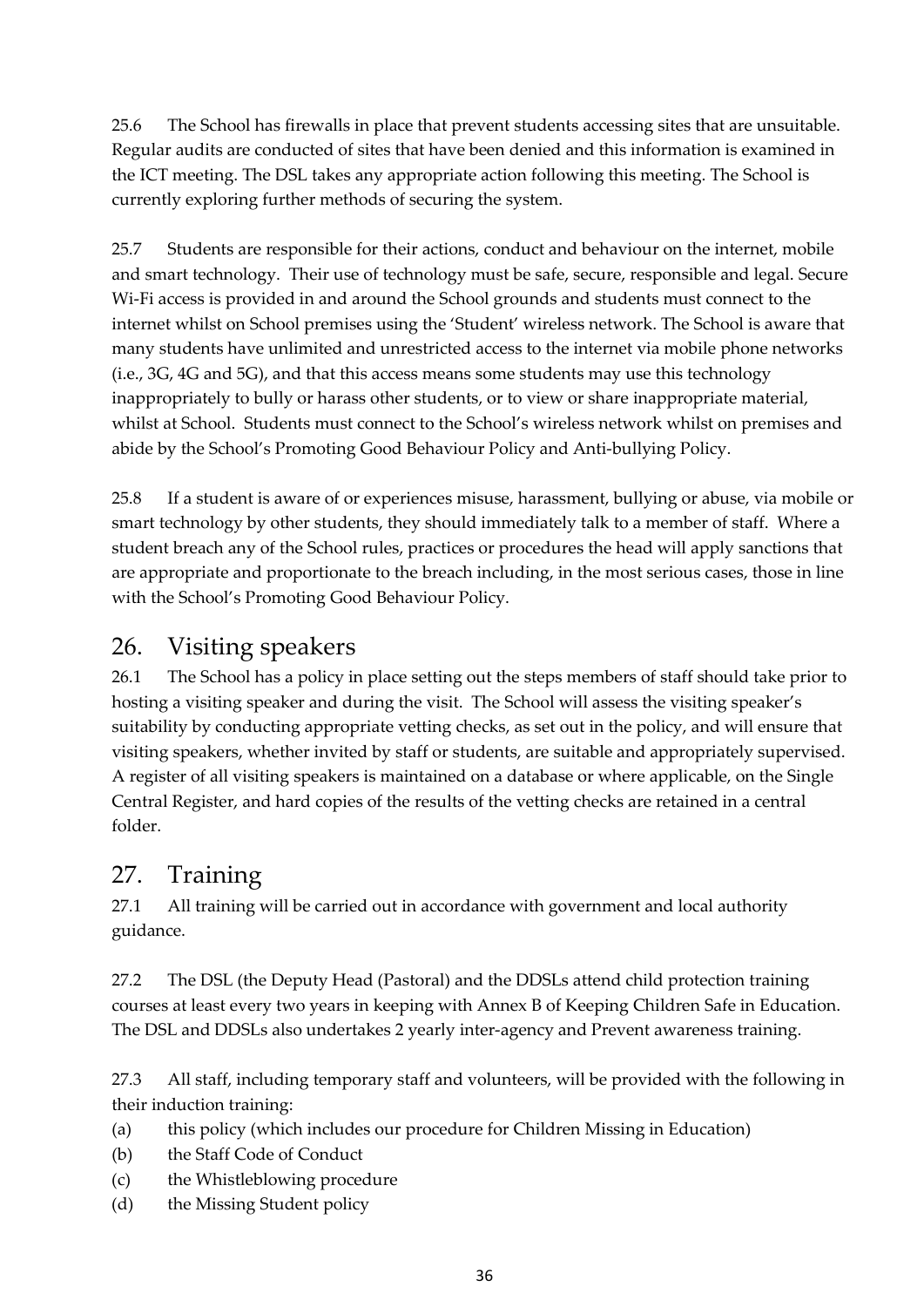25.6 The School has firewalls in place that prevent students accessing sites that are unsuitable. Regular audits are conducted of sites that have been denied and this information is examined in the ICT meeting. The DSL takes any appropriate action following this meeting. The School is currently exploring further methods of securing the system.

25.7 Students are responsible for their actions, conduct and behaviour on the internet, mobile and smart technology. Their use of technology must be safe, secure, responsible and legal. Secure Wi-Fi access is provided in and around the School grounds and students must connect to the internet whilst on School premises using the 'Student' wireless network. The School is aware that many students have unlimited and unrestricted access to the internet via mobile phone networks (i.e., 3G, 4G and 5G), and that this access means some students may use this technology inappropriately to bully or harass other students, or to view or share inappropriate material, whilst at School. Students must connect to the School's wireless network whilst on premises and abide by the School's Promoting Good Behaviour Policy and Anti-bullying Policy.

25.8 If a student is aware of or experiences misuse, harassment, bullying or abuse, via mobile or smart technology by other students, they should immediately talk to a member of staff. Where a student breach any of the School rules, practices or procedures the head will apply sanctions that are appropriate and proportionate to the breach including, in the most serious cases, those in line with the School's Promoting Good Behaviour Policy.

## <span id="page-35-0"></span>26. Visiting speakers

26.1 The School has a policy in place setting out the steps members of staff should take prior to hosting a visiting speaker and during the visit. The School will assess the visiting speaker's suitability by conducting appropriate vetting checks, as set out in the policy, and will ensure that visiting speakers, whether invited by staff or students, are suitable and appropriately supervised. A register of all visiting speakers is maintained on a database or where applicable, on the Single Central Register, and hard copies of the results of the vetting checks are retained in a central folder.

## <span id="page-35-1"></span>27. Training

27.1 All training will be carried out in accordance with government and local authority guidance.

27.2 The DSL (the Deputy Head (Pastoral) and the DDSLs attend child protection training courses at least every two years in keeping with Annex B of Keeping Children Safe in Education. The DSL and DDSLs also undertakes 2 yearly inter-agency and Prevent awareness training.

27.3 All staff, including temporary staff and volunteers, will be provided with the following in their induction training:

- (a) this policy (which includes our procedure for Children Missing in Education)
- (b) the Staff Code of Conduct
- (c) the Whistleblowing procedure
- (d) the Missing Student policy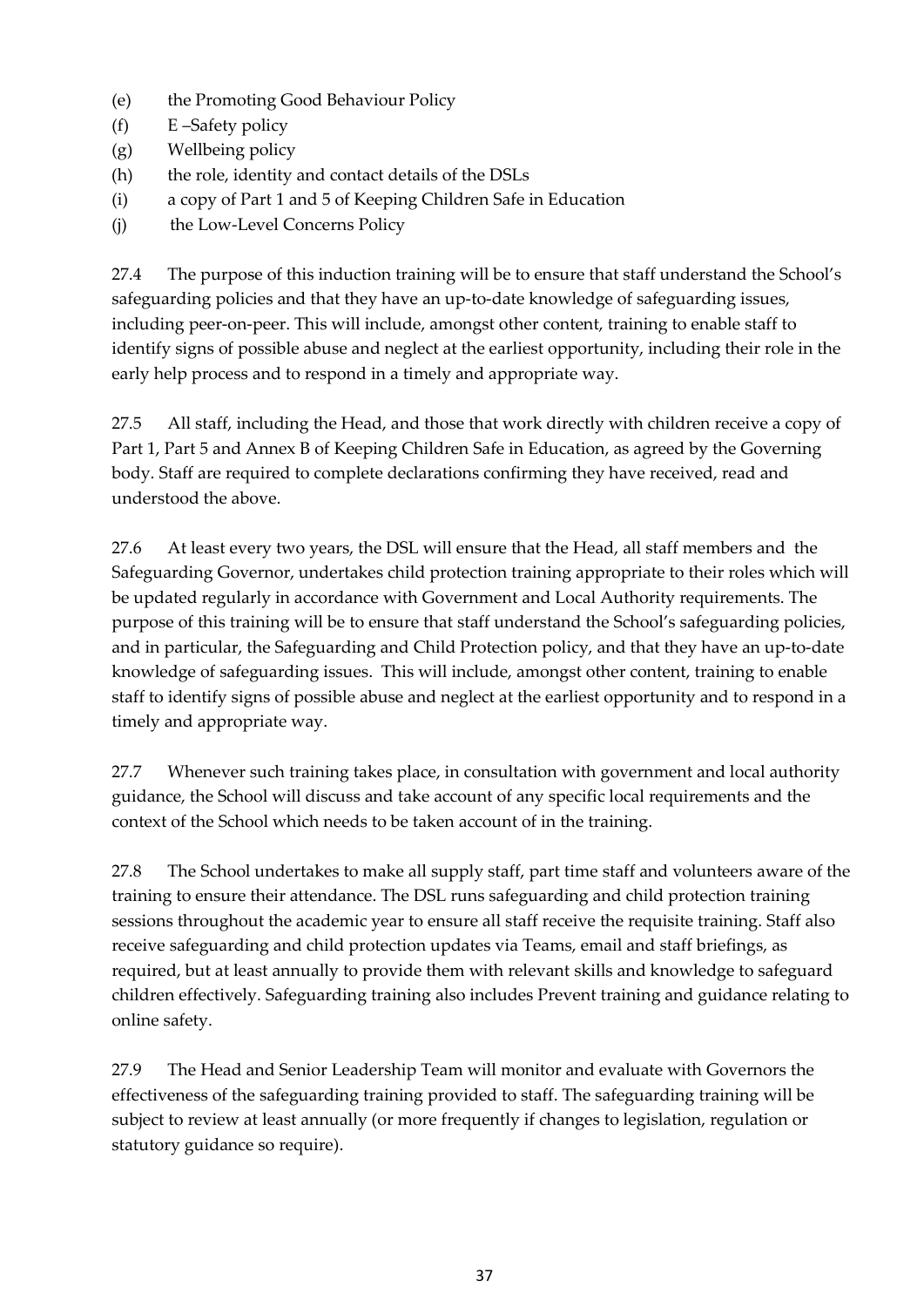- (e) the Promoting Good Behaviour Policy
- (f) E –Safety policy
- (g) Wellbeing policy
- (h) the role, identity and contact details of the DSLs
- (i) a copy of Part 1 and 5 of Keeping Children Safe in Education
- (j) the Low-Level Concerns Policy

27.4 The purpose of this induction training will be to ensure that staff understand the School's safeguarding policies and that they have an up-to-date knowledge of safeguarding issues, including peer-on-peer. This will include, amongst other content, training to enable staff to identify signs of possible abuse and neglect at the earliest opportunity, including their role in the early help process and to respond in a timely and appropriate way.

27.5 All staff, including the Head, and those that work directly with children receive a copy of Part 1, Part 5 and Annex B of Keeping Children Safe in Education, as agreed by the Governing body. Staff are required to complete declarations confirming they have received, read and understood the above.

27.6 At least every two years, the DSL will ensure that the Head, all staff members and the Safeguarding Governor, undertakes child protection training appropriate to their roles which will be updated regularly in accordance with Government and Local Authority requirements. The purpose of this training will be to ensure that staff understand the School's safeguarding policies, and in particular, the Safeguarding and Child Protection policy, and that they have an up-to-date knowledge of safeguarding issues. This will include, amongst other content, training to enable staff to identify signs of possible abuse and neglect at the earliest opportunity and to respond in a timely and appropriate way.

27.7 Whenever such training takes place, in consultation with government and local authority guidance, the School will discuss and take account of any specific local requirements and the context of the School which needs to be taken account of in the training.

27.8 The School undertakes to make all supply staff, part time staff and volunteers aware of the training to ensure their attendance. The DSL runs safeguarding and child protection training sessions throughout the academic year to ensure all staff receive the requisite training. Staff also receive safeguarding and child protection updates via Teams, email and staff briefings, as required, but at least annually to provide them with relevant skills and knowledge to safeguard children effectively. Safeguarding training also includes Prevent training and guidance relating to online safety.

27.9 The Head and Senior Leadership Team will monitor and evaluate with Governors the effectiveness of the safeguarding training provided to staff. The safeguarding training will be subject to review at least annually (or more frequently if changes to legislation, regulation or statutory guidance so require).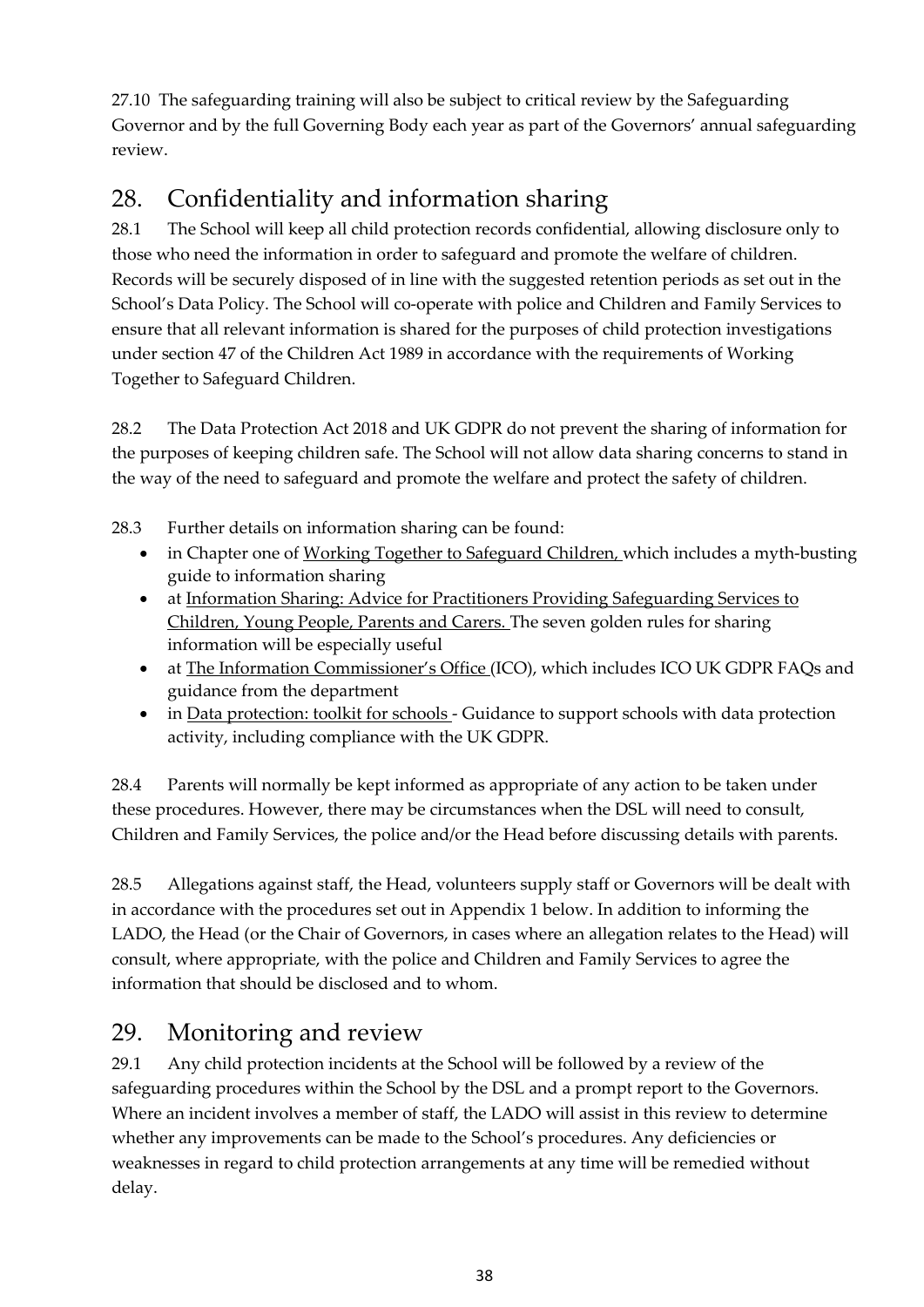27.10 The safeguarding training will also be subject to critical review by the Safeguarding Governor and by the full Governing Body each year as part of the Governors' annual safeguarding review.

# <span id="page-37-0"></span>28. Confidentiality and information sharing

28.1 The School will keep all child protection records confidential, allowing disclosure only to those who need the information in order to safeguard and promote the welfare of children. Records will be securely disposed of in line with the suggested retention periods as set out in the School's Data Policy. The School will co-operate with police and Children and Family Services to ensure that all relevant information is shared for the purposes of child protection investigations under section 47 of the Children Act 1989 in accordance with the requirements of Working Together to Safeguard Children.

28.2 The Data Protection Act 2018 and UK GDPR do not prevent the sharing of information for the purposes of keeping children safe. The School will not allow data sharing concerns to stand in the way of the need to safeguard and promote the welfare and protect the safety of children.

28.3 Further details on information sharing can be found:

- in Chapter one of [Working Together to Safeguard Children, w](https://www.gov.uk/government/publications/working-together-to-safeguard-children--2)hich includes a myth-busting guide to information sharing
- at [Information Sharing: Advice for Practitioners Providing Safeguarding Services to](https://www.gov.uk/government/publications/safeguarding-practitioners-information-sharing-advice) [Children, Young People, Parents and Carers. T](https://www.gov.uk/government/publications/safeguarding-practitioners-information-sharing-advice)he seven golden rules for sharing information will be especially useful
- at The Information [Commissioner's Office \(](https://ico.org.uk/for-organisations/business/)ICO), which includes ICO UK GDPR FAQs and guidance from the department
- in [Data protection: toolkit for schools -](https://www.gov.uk/government/publications/data-protection-toolkit-for-schools) Guidance to support schools with data protection activity, including compliance with the UK GDPR.

28.4 Parents will normally be kept informed as appropriate of any action to be taken under these procedures. However, there may be circumstances when the DSL will need to consult, Children and Family Services, the police and/or the Head before discussing details with parents.

28.5 Allegations against staff, the Head, volunteers supply staff or Governors will be dealt with in accordance with the procedures set out in Appendix 1 below. In addition to informing the LADO, the Head (or the Chair of Governors, in cases where an allegation relates to the Head) will consult, where appropriate, with the police and Children and Family Services to agree the information that should be disclosed and to whom.

## <span id="page-37-1"></span>29. Monitoring and review

29.1 Any child protection incidents at the School will be followed by a review of the safeguarding procedures within the School by the DSL and a prompt report to the Governors. Where an incident involves a member of staff, the LADO will assist in this review to determine whether any improvements can be made to the School's procedures. Any deficiencies or weaknesses in regard to child protection arrangements at any time will be remedied without delay.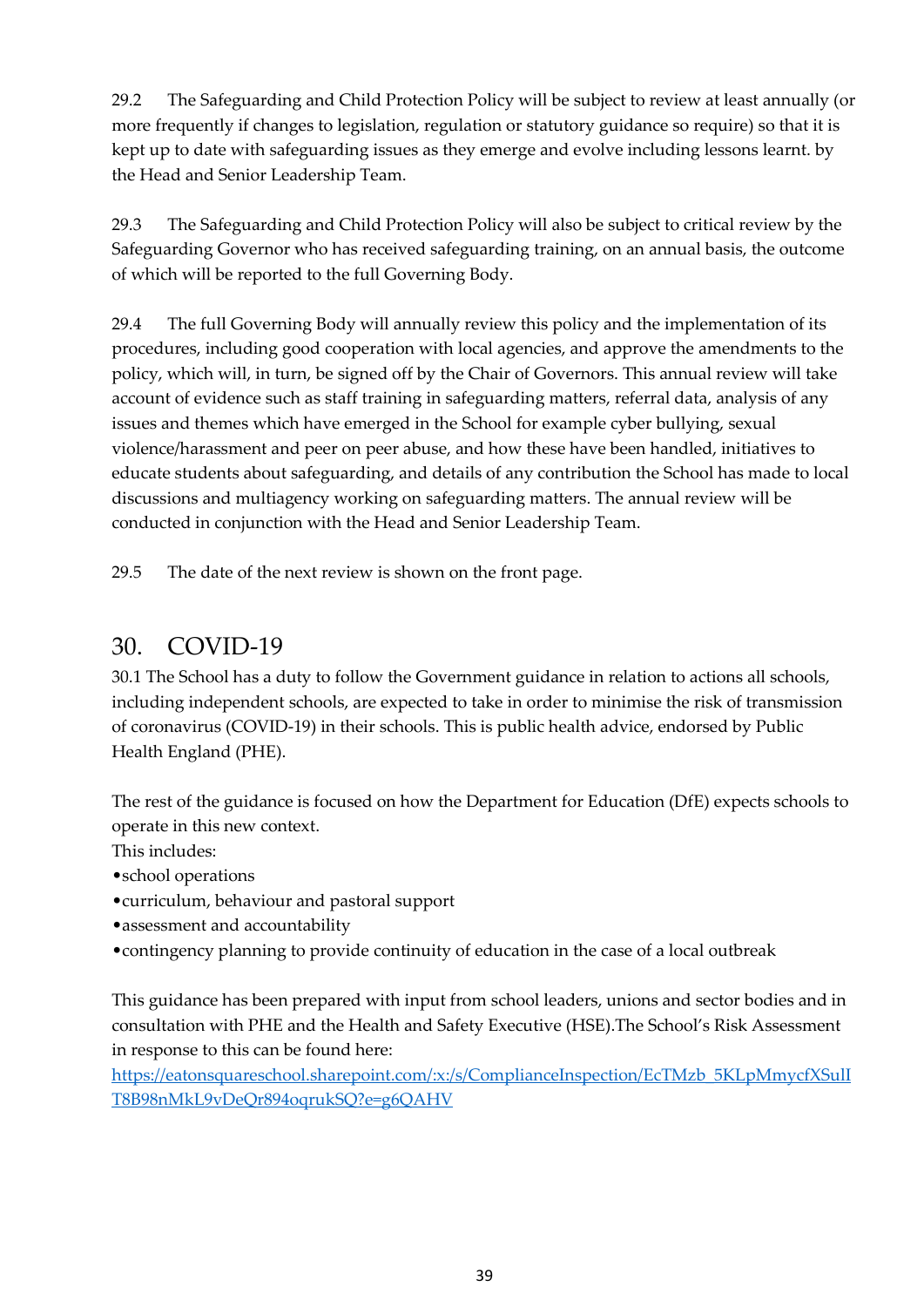29.2 The Safeguarding and Child Protection Policy will be subject to review at least annually (or more frequently if changes to legislation, regulation or statutory guidance so require) so that it is kept up to date with safeguarding issues as they emerge and evolve including lessons learnt. by the Head and Senior Leadership Team.

29.3 The Safeguarding and Child Protection Policy will also be subject to critical review by the Safeguarding Governor who has received safeguarding training, on an annual basis, the outcome of which will be reported to the full Governing Body.

29.4 The full Governing Body will annually review this policy and the implementation of its procedures, including good cooperation with local agencies, and approve the amendments to the policy, which will, in turn, be signed off by the Chair of Governors. This annual review will take account of evidence such as staff training in safeguarding matters, referral data, analysis of any issues and themes which have emerged in the School for example cyber bullying, sexual violence/harassment and peer on peer abuse, and how these have been handled, initiatives to educate students about safeguarding, and details of any contribution the School has made to local discussions and multiagency working on safeguarding matters. The annual review will be conducted in conjunction with the Head and Senior Leadership Team.

29.5 The date of the next review is shown on the front page.

## <span id="page-38-0"></span>30. COVID-19

30.1 The School has a duty to follow the Government guidance in relation to actions all schools, including independent schools, are expected to take in order to minimise the risk of transmission of coronavirus (COVID-19) in their schools. This is public health advice, endorsed by Public Health England (PHE).

The rest of the guidance is focused on how the Department for Education (DfE) expects schools to operate in this new context.

This includes:

- •school operations
- •curriculum, behaviour and pastoral support
- •assessment and accountability
- •contingency planning to provide continuity of education in the case of a local outbreak

This guidance has been prepared with input from school leaders, unions and sector bodies and in consultation with PHE and the Health and Safety Executive (HSE).The School's Risk Assessment in response to this can be found here:

[https://eatonsquareschool.sharepoint.com/:x:/s/ComplianceInspection/EcTMzb\\_5KLpMmycfXSulI](https://eatonsquareschool.sharepoint.com/:x:/s/ComplianceInspection/EcTMzb_5KLpMmycfXSulIT8B98nMkL9vDeQr894oqrukSQ?e=g6QAHV) [T8B98nMkL9vDeQr894oqrukSQ?e=g6QAHV](https://eatonsquareschool.sharepoint.com/:x:/s/ComplianceInspection/EcTMzb_5KLpMmycfXSulIT8B98nMkL9vDeQr894oqrukSQ?e=g6QAHV)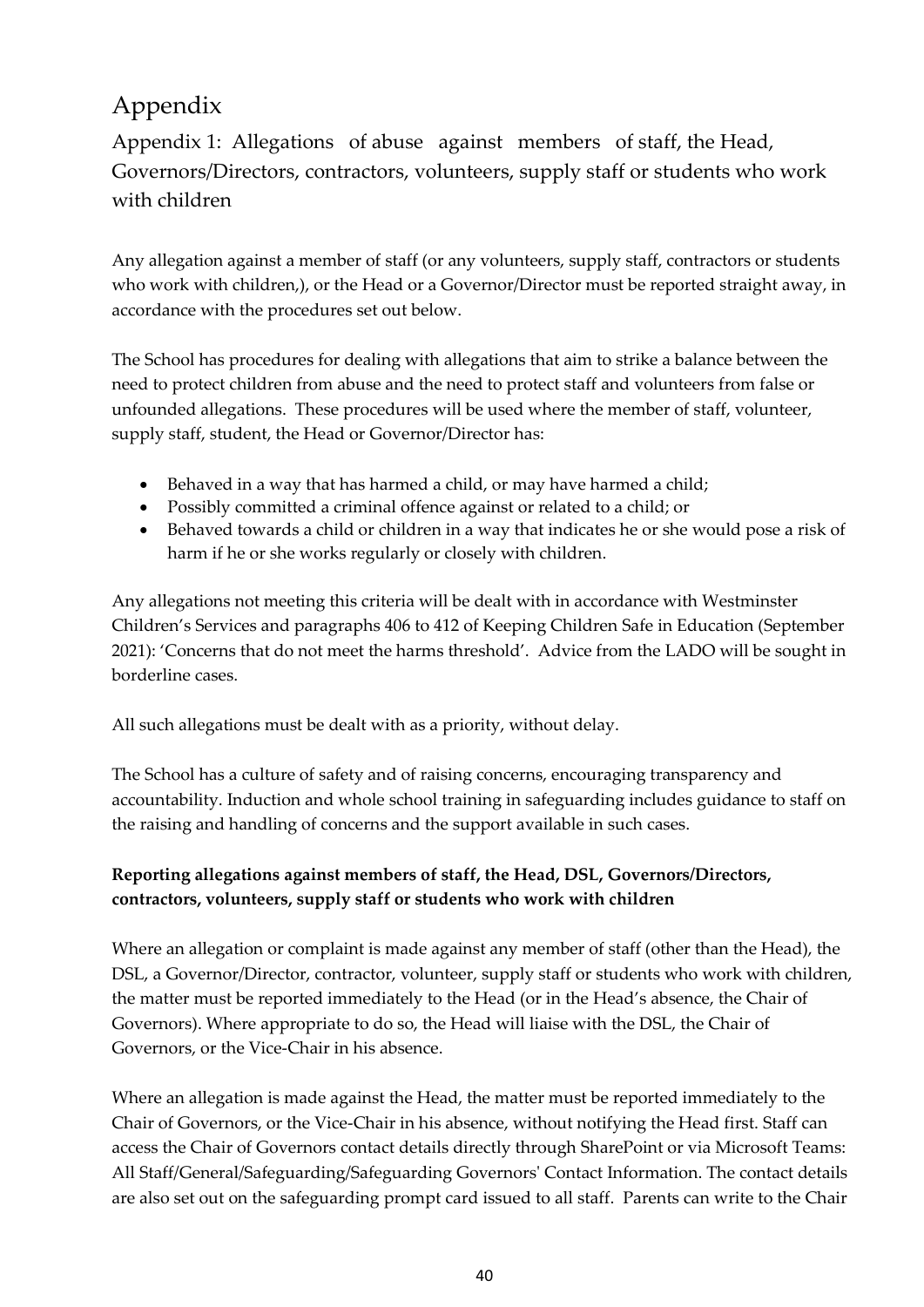# <span id="page-39-0"></span>Appendix

<span id="page-39-1"></span>Appendix 1: Allegations of abuse against members of staff, the Head, Governors/Directors, contractors, volunteers, supply staff or students who work with children

Any allegation against a member of staff (or any volunteers, supply staff, contractors or students who work with children,), or the Head or a Governor/Director must be reported straight away, in accordance with the procedures set out below.

The School has procedures for dealing with allegations that aim to strike a balance between the need to protect children from abuse and the need to protect staff and volunteers from false or unfounded allegations. These procedures will be used where the member of staff, volunteer, supply staff, student, the Head or Governor/Director has:

- Behaved in a way that has harmed a child, or may have harmed a child;
- Possibly committed a criminal offence against or related to a child; or
- Behaved towards a child or children in a way that indicates he or she would pose a risk of harm if he or she works regularly or closely with children.

Any allegations not meeting this criteria will be dealt with in accordance with Westminster Children's Services and paragraphs 406 to 412 of Keeping Children Safe in Education (September 2021): 'Concerns that do not meet the harms threshold'. Advice from the LADO will be sought in borderline cases.

All such allegations must be dealt with as a priority, without delay.

The School has a culture of safety and of raising concerns, encouraging transparency and accountability. Induction and whole school training in safeguarding includes guidance to staff on the raising and handling of concerns and the support available in such cases.

### **Reporting allegations against members of staff, the Head, DSL, Governors/Directors, contractors, volunteers, supply staff or students who work with children**

Where an allegation or complaint is made against any member of staff (other than the Head), the DSL, a Governor/Director, contractor, volunteer, supply staff or students who work with children, the matter must be reported immediately to the Head (or in the Head's absence, the Chair of Governors). Where appropriate to do so, the Head will liaise with the DSL, the Chair of Governors, or the Vice-Chair in his absence.

Where an allegation is made against the Head, the matter must be reported immediately to the Chair of Governors, or the Vice-Chair in his absence, without notifying the Head first. Staff can access the Chair of Governors contact details directly through SharePoint or via Microsoft Teams: All Staff/General/Safeguarding/Safeguarding Governors' Contact Information. The contact details are also set out on the safeguarding prompt card issued to all staff. Parents can write to the Chair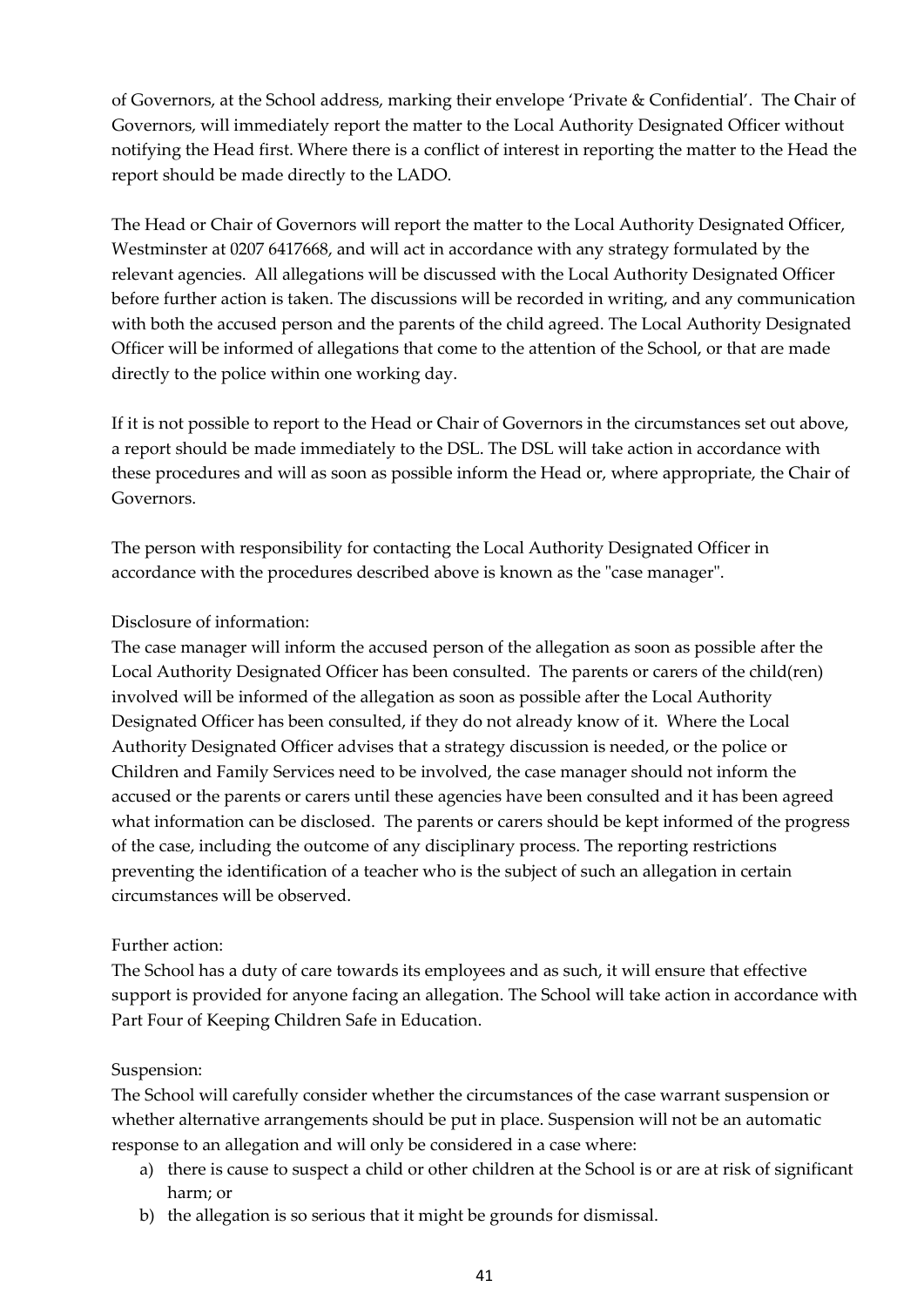of Governors, at the School address, marking their envelope 'Private & Confidential'. The Chair of Governors, will immediately report the matter to the Local Authority Designated Officer without notifying the Head first. Where there is a conflict of interest in reporting the matter to the Head the report should be made directly to the LADO.

The Head or Chair of Governors will report the matter to the Local Authority Designated Officer, Westminster at 0207 6417668, and will act in accordance with any strategy formulated by the relevant agencies. All allegations will be discussed with the Local Authority Designated Officer before further action is taken. The discussions will be recorded in writing, and any communication with both the accused person and the parents of the child agreed. The Local Authority Designated Officer will be informed of allegations that come to the attention of the School, or that are made directly to the police within one working day.

If it is not possible to report to the Head or Chair of Governors in the circumstances set out above, a report should be made immediately to the DSL. The DSL will take action in accordance with these procedures and will as soon as possible inform the Head or, where appropriate, the Chair of Governors.

The person with responsibility for contacting the Local Authority Designated Officer in accordance with the procedures described above is known as the "case manager".

### Disclosure of information:

The case manager will inform the accused person of the allegation as soon as possible after the Local Authority Designated Officer has been consulted. The parents or carers of the child(ren) involved will be informed of the allegation as soon as possible after the Local Authority Designated Officer has been consulted, if they do not already know of it. Where the Local Authority Designated Officer advises that a strategy discussion is needed, or the police or Children and Family Services need to be involved, the case manager should not inform the accused or the parents or carers until these agencies have been consulted and it has been agreed what information can be disclosed. The parents or carers should be kept informed of the progress of the case, including the outcome of any disciplinary process. The reporting restrictions preventing the identification of a teacher who is the subject of such an allegation in certain circumstances will be observed.

### Further action:

The School has a duty of care towards its employees and as such, it will ensure that effective support is provided for anyone facing an allegation. The School will take action in accordance with Part Four of Keeping Children Safe in Education.

### Suspension:

The School will carefully consider whether the circumstances of the case warrant suspension or whether alternative arrangements should be put in place. Suspension will not be an automatic response to an allegation and will only be considered in a case where:

- a) there is cause to suspect a child or other children at the School is or are at risk of significant harm; or
- b) the allegation is so serious that it might be grounds for dismissal.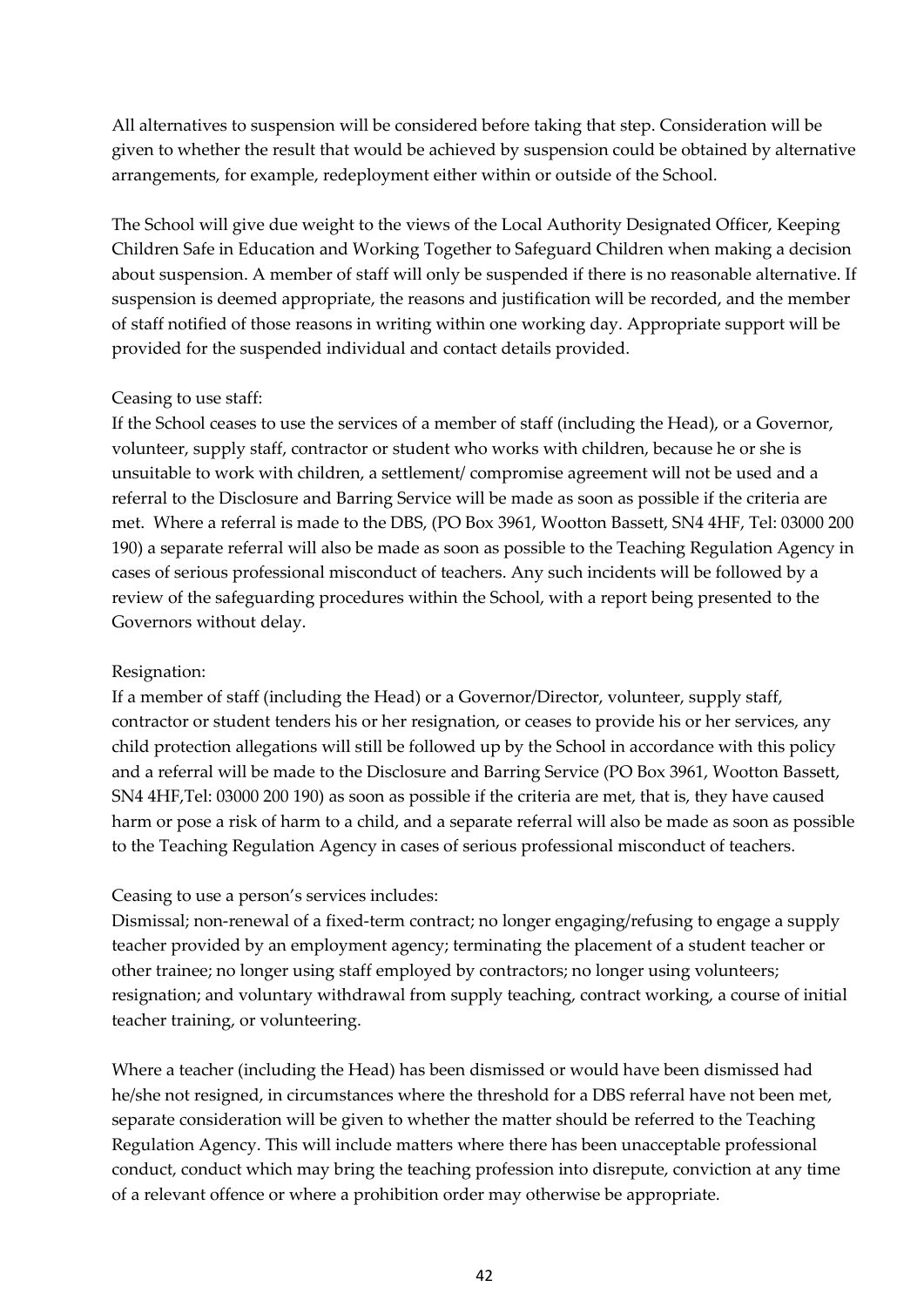All alternatives to suspension will be considered before taking that step. Consideration will be given to whether the result that would be achieved by suspension could be obtained by alternative arrangements, for example, redeployment either within or outside of the School.

The School will give due weight to the views of the Local Authority Designated Officer, Keeping Children Safe in Education and Working Together to Safeguard Children when making a decision about suspension. A member of staff will only be suspended if there is no reasonable alternative. If suspension is deemed appropriate, the reasons and justification will be recorded, and the member of staff notified of those reasons in writing within one working day. Appropriate support will be provided for the suspended individual and contact details provided.

### Ceasing to use staff:

If the School ceases to use the services of a member of staff (including the Head), or a Governor, volunteer, supply staff, contractor or student who works with children, because he or she is unsuitable to work with children, a settlement/ compromise agreement will not be used and a referral to the Disclosure and Barring Service will be made as soon as possible if the criteria are met. Where a referral is made to the DBS, (PO Box 3961, Wootton Bassett, SN4 4HF, Tel: 03000 200 190) a separate referral will also be made as soon as possible to the Teaching Regulation Agency in cases of serious professional misconduct of teachers. Any such incidents will be followed by a review of the safeguarding procedures within the School, with a report being presented to the Governors without delay.

### Resignation:

If a member of staff (including the Head) or a Governor/Director, volunteer, supply staff, contractor or student tenders his or her resignation, or ceases to provide his or her services, any child protection allegations will still be followed up by the School in accordance with this policy and a referral will be made to the Disclosure and Barring Service (PO Box 3961, Wootton Bassett, SN4 4HF,Tel: 03000 200 190) as soon as possible if the criteria are met, that is, they have caused harm or pose a risk of harm to a child, and a separate referral will also be made as soon as possible to the Teaching Regulation Agency in cases of serious professional misconduct of teachers.

### Ceasing to use a person's services includes:

Dismissal; non-renewal of a fixed-term contract; no longer engaging/refusing to engage a supply teacher provided by an employment agency; terminating the placement of a student teacher or other trainee; no longer using staff employed by contractors; no longer using volunteers; resignation; and voluntary withdrawal from supply teaching, contract working, a course of initial teacher training, or volunteering.

Where a teacher (including the Head) has been dismissed or would have been dismissed had he/she not resigned, in circumstances where the threshold for a DBS referral have not been met, separate consideration will be given to whether the matter should be referred to the Teaching Regulation Agency. This will include matters where there has been unacceptable professional conduct, conduct which may bring the teaching profession into disrepute, conviction at any time of a relevant offence or where a prohibition order may otherwise be appropriate.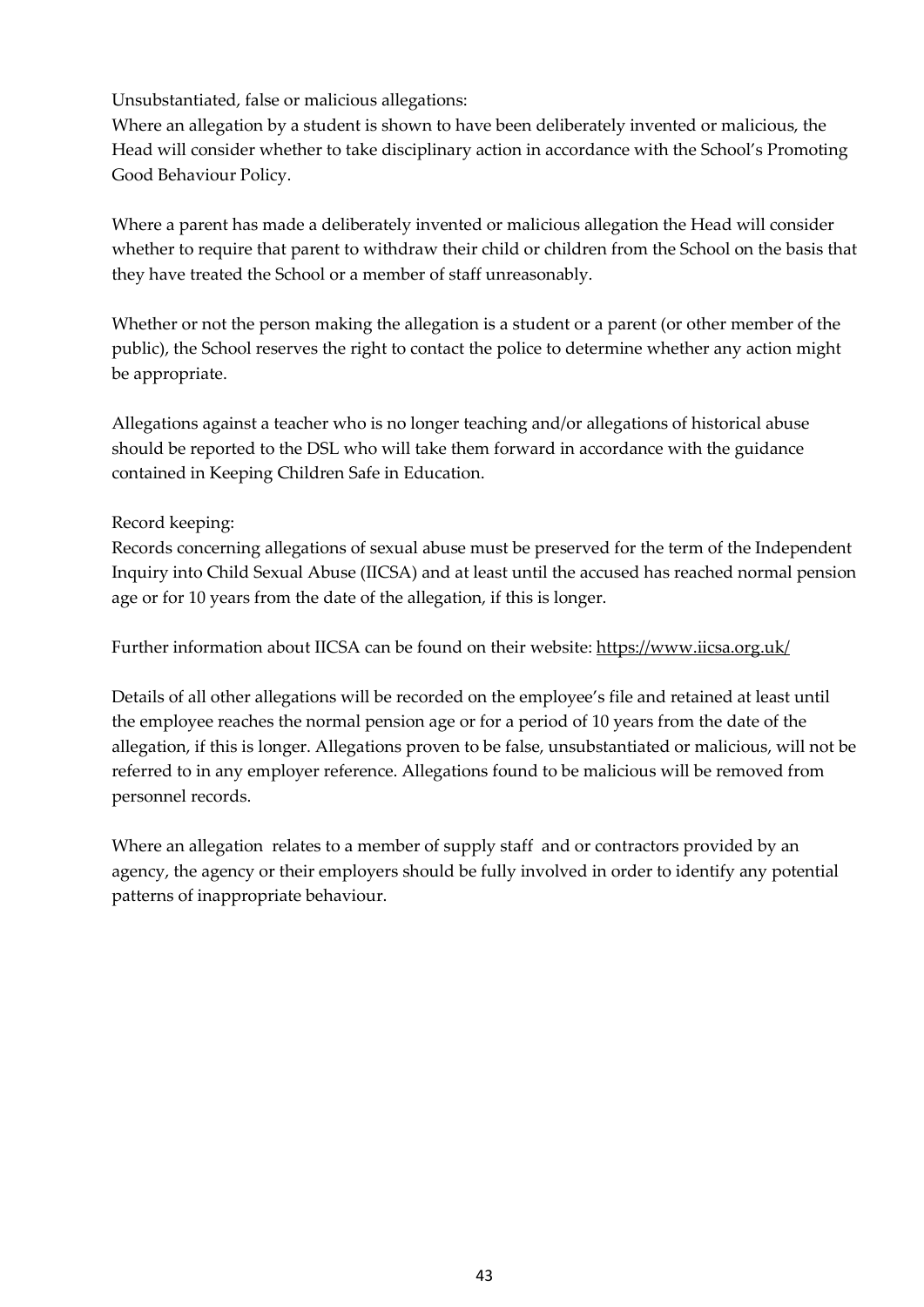Unsubstantiated, false or malicious allegations:

Where an allegation by a student is shown to have been deliberately invented or malicious, the Head will consider whether to take disciplinary action in accordance with the School's Promoting Good Behaviour Policy.

Where a parent has made a deliberately invented or malicious allegation the Head will consider whether to require that parent to withdraw their child or children from the School on the basis that they have treated the School or a member of staff unreasonably.

Whether or not the person making the allegation is a student or a parent (or other member of the public), the School reserves the right to contact the police to determine whether any action might be appropriate.

Allegations against a teacher who is no longer teaching and/or allegations of historical abuse should be reported to the DSL who will take them forward in accordance with the guidance contained in Keeping Children Safe in Education.

### Record keeping:

Records concerning allegations of sexual abuse must be preserved for the term of the Independent Inquiry into Child Sexual Abuse (IICSA) and at least until the accused has reached normal pension age or for 10 years from the date of the allegation, if this is longer.

Further information about IICSA can be found on their website:<https://www.iicsa.org.uk/>

Details of all other allegations will be recorded on the employee's file and retained at least until the employee reaches the normal pension age or for a period of 10 years from the date of the allegation, if this is longer. Allegations proven to be false, unsubstantiated or malicious, will not be referred to in any employer reference. Allegations found to be malicious will be removed from personnel records.

Where an allegation relates to a member of supply staff and or contractors provided by an agency, the agency or their employers should be fully involved in order to identify any potential patterns of inappropriate behaviour.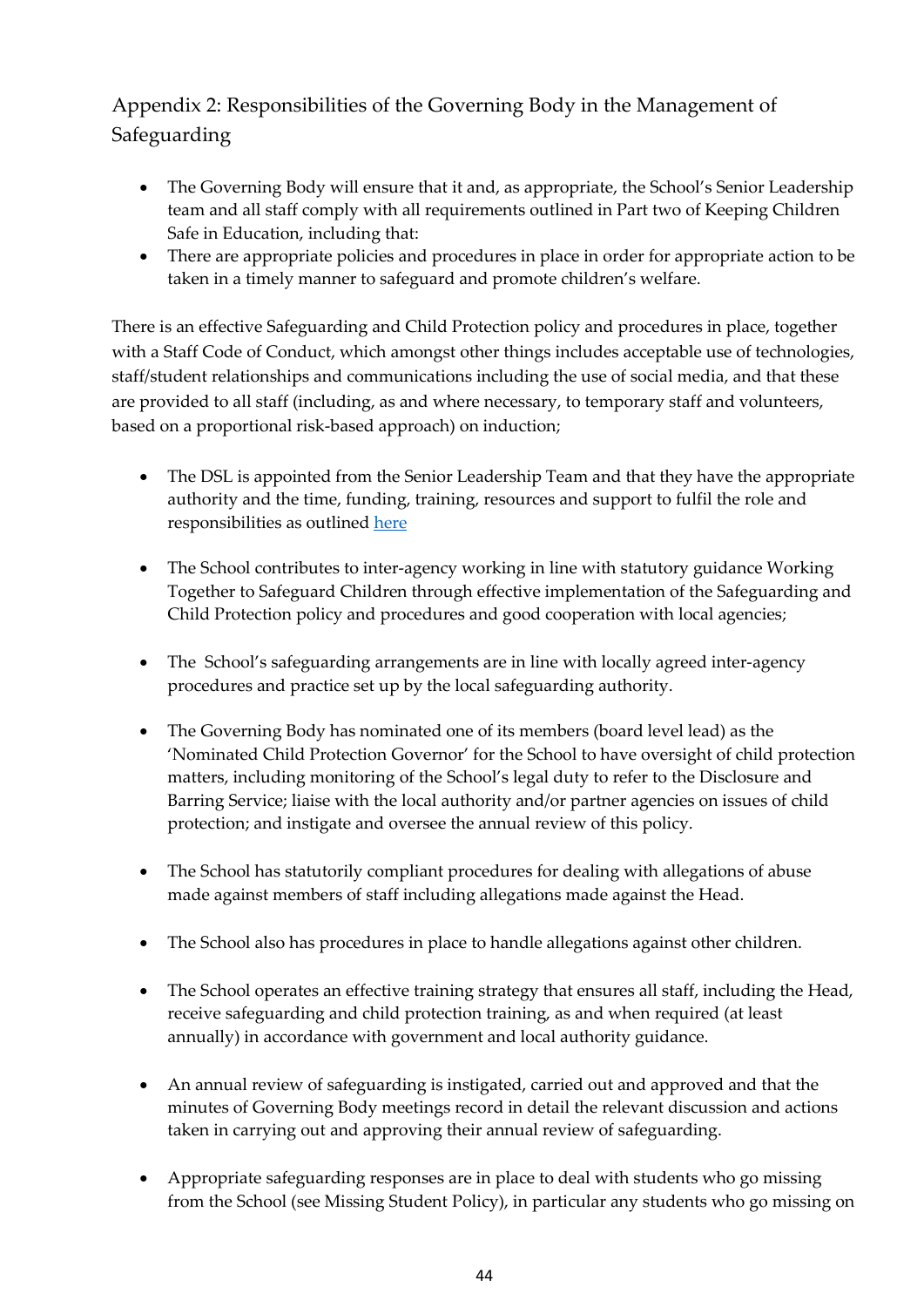## <span id="page-43-0"></span>Appendix 2: Responsibilities of the Governing Body in the Management of Safeguarding

- The Governing Body will ensure that it and, as appropriate, the School's Senior Leadership team and all staff comply with all requirements outlined in Part two of Keeping Children Safe in Education, including that:
- There are appropriate policies and procedures in place in order for appropriate action to be taken in a timely manner to safeguard and promote children's welfare.

There is an effective Safeguarding and Child Protection policy and procedures in place, together with a Staff Code of Conduct, which amongst other things includes acceptable use of technologies, staff/student relationships and communications including the use of social media, and that these are provided to all staff (including, as and where necessary, to temporary staff and volunteers, based on a proportional risk-based approach) on induction;

- The DSL is appointed from the Senior Leadership Team and that they have the appropriate authority and the time, funding, training, resources and support to fulfil the role and responsibilities as outlined [here](#page-23-0)
- The School contributes to inter-agency working in line with statutory guidance Working Together to Safeguard Children through effective implementation of the Safeguarding and Child Protection policy and procedures and good cooperation with local agencies;
- The School's safeguarding arrangements are in line with locally agreed inter-agency procedures and practice set up by the local safeguarding authority.
- The Governing Body has nominated one of its members (board level lead) as the 'Nominated Child Protection Governor' for the School to have oversight of child protection matters, including monitoring of the School's legal duty to refer to the Disclosure and Barring Service; liaise with the local authority and/or partner agencies on issues of child protection; and instigate and oversee the annual review of this policy.
- The School has statutorily compliant procedures for dealing with allegations of abuse made against members of staff including allegations made against the Head.
- The School also has procedures in place to handle allegations against other children.
- The School operates an effective training strategy that ensures all staff, including the Head, receive safeguarding and child protection training, as and when required (at least annually) in accordance with government and local authority guidance.
- An annual review of safeguarding is instigated, carried out and approved and that the minutes of Governing Body meetings record in detail the relevant discussion and actions taken in carrying out and approving their annual review of safeguarding.
- Appropriate safeguarding responses are in place to deal with students who go missing from the School (see Missing Student Policy), in particular any students who go missing on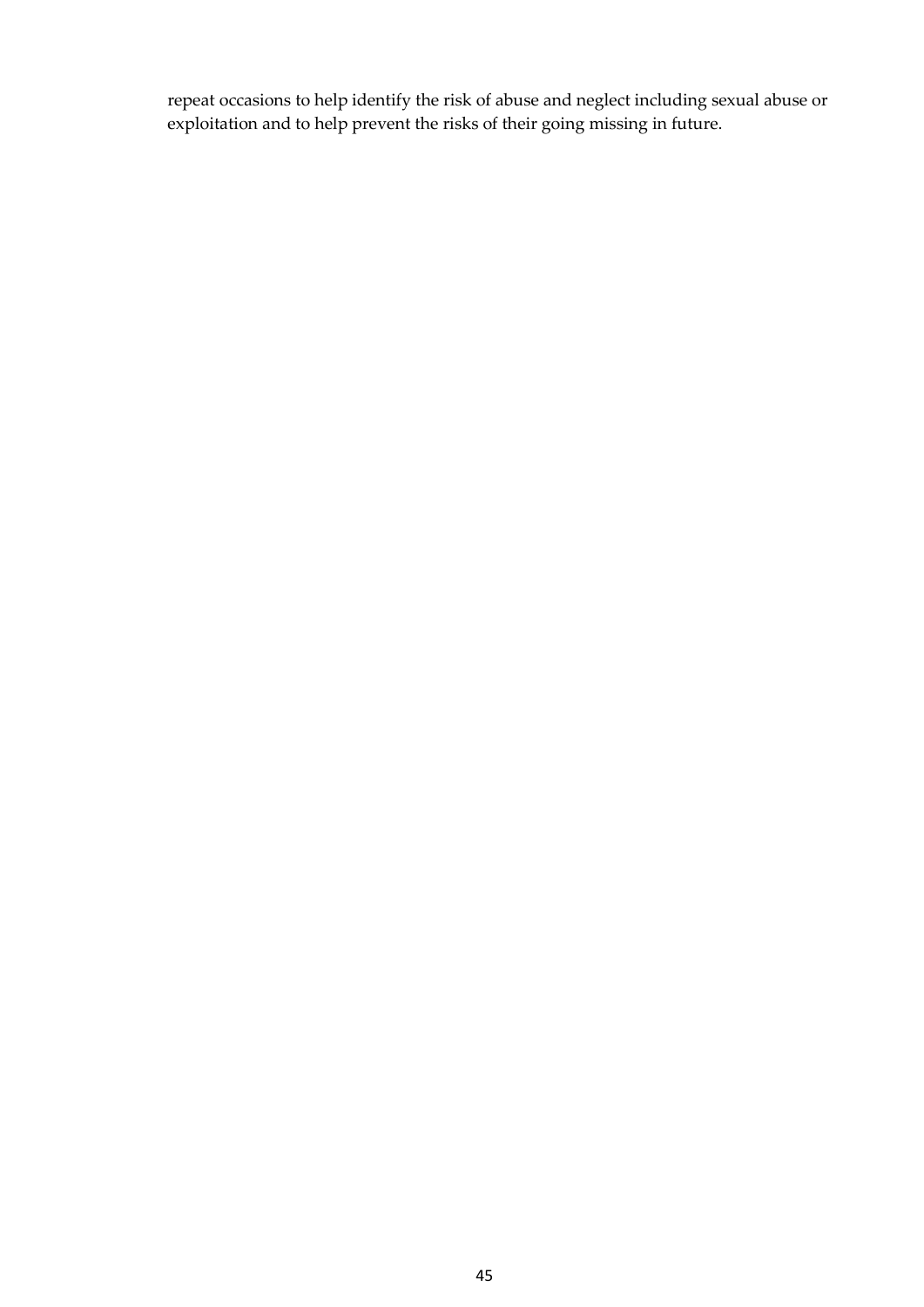repeat occasions to help identify the risk of abuse and neglect including sexual abuse or exploitation and to help prevent the risks of their going missing in future.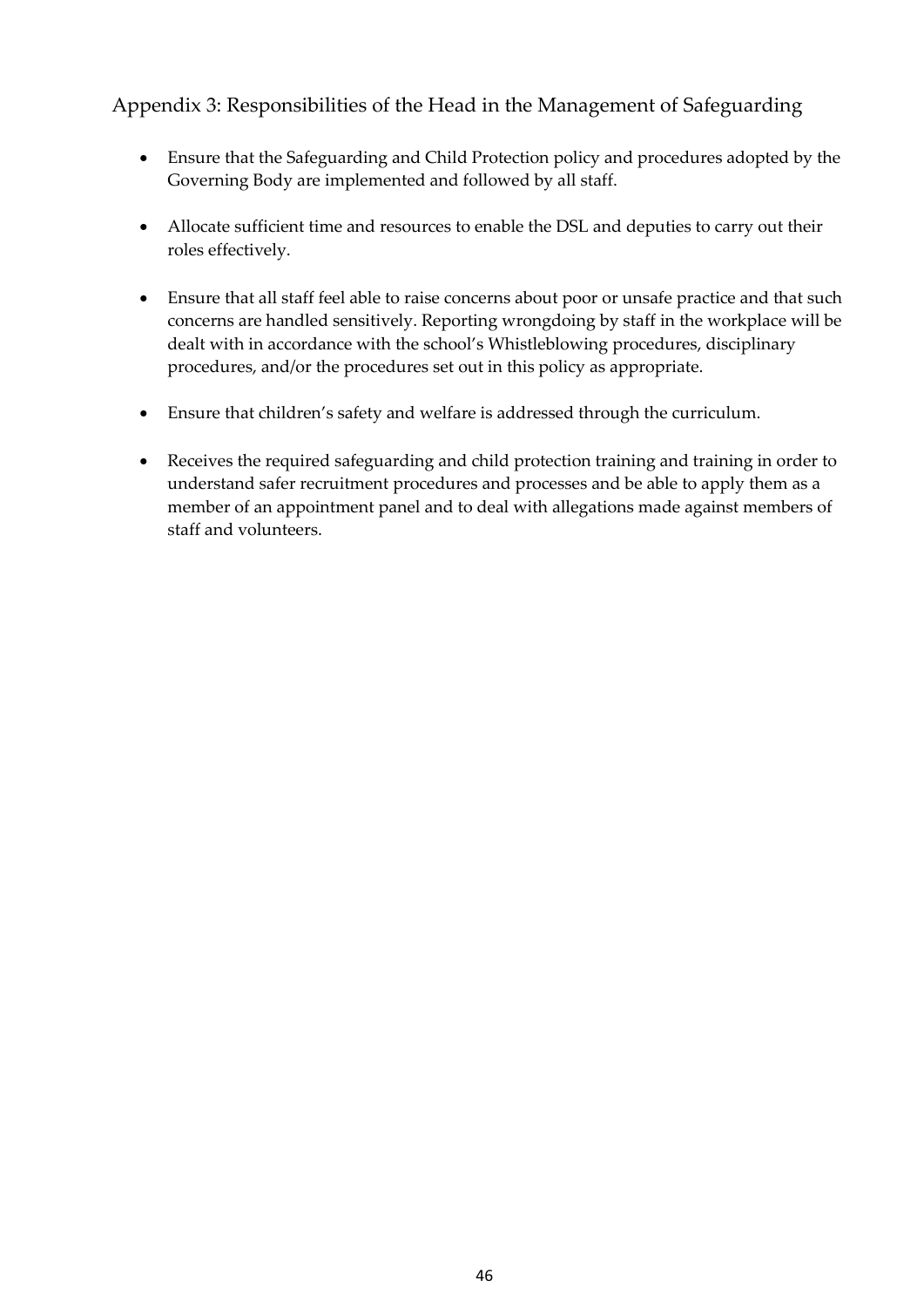### <span id="page-45-0"></span>Appendix 3: Responsibilities of the Head in the Management of Safeguarding

- Ensure that the Safeguarding and Child Protection policy and procedures adopted by the Governing Body are implemented and followed by all staff.
- Allocate sufficient time and resources to enable the DSL and deputies to carry out their roles effectively.
- Ensure that all staff feel able to raise concerns about poor or unsafe practice and that such concerns are handled sensitively. Reporting wrongdoing by staff in the workplace will be dealt with in accordance with the school's Whistleblowing procedures, disciplinary procedures, and/or the procedures set out in this policy as appropriate.
- Ensure that children's safety and welfare is addressed through the curriculum.
- Receives the required safeguarding and child protection training and training in order to understand safer recruitment procedures and processes and be able to apply them as a member of an appointment panel and to deal with allegations made against members of staff and volunteers.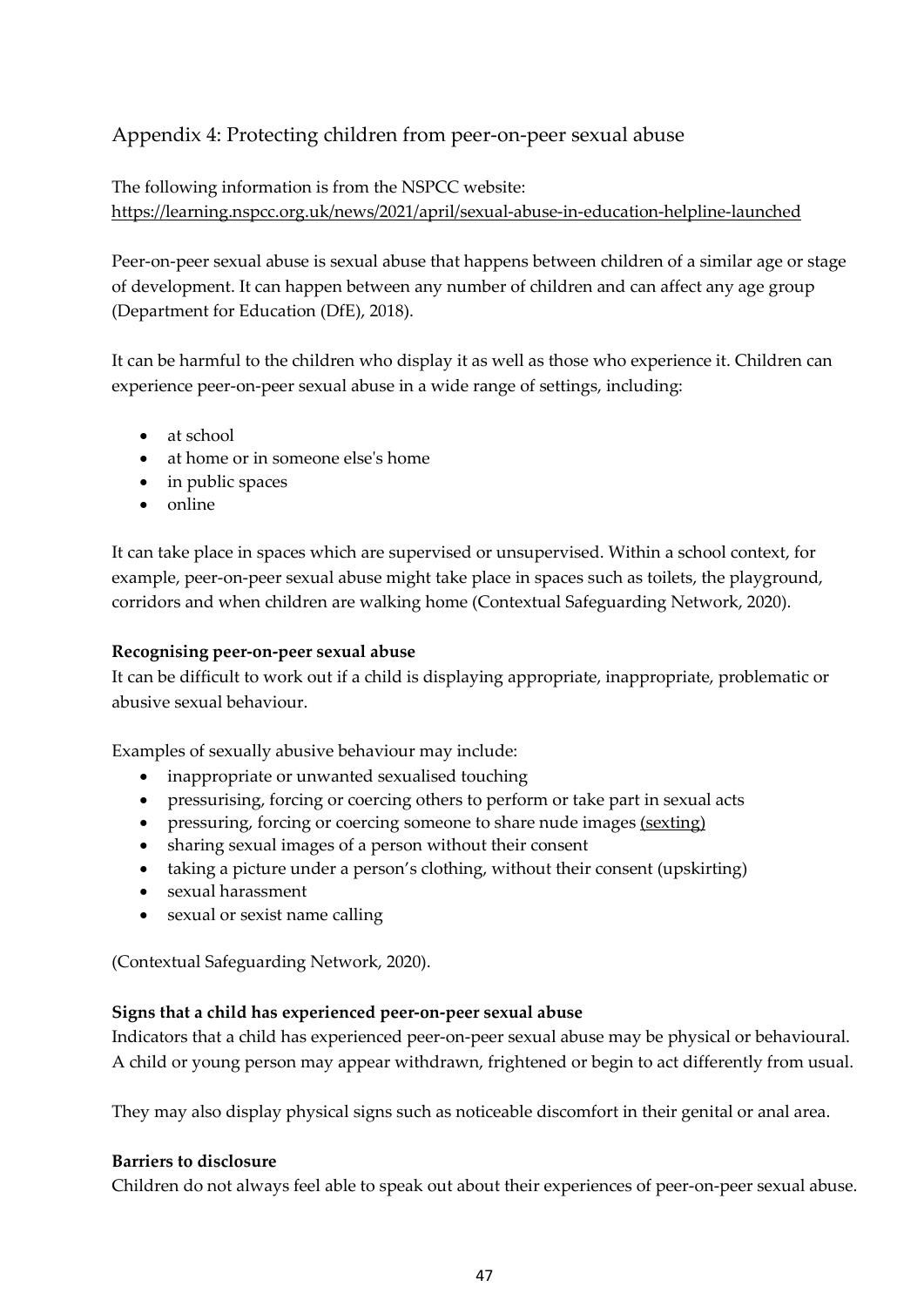### <span id="page-46-0"></span>Appendix 4: Protecting children from peer-on-peer sexual abuse

The following information is from the NSPCC website: <https://learning.nspcc.org.uk/news/2021/april/sexual-abuse-in-education-helpline-launched>

Peer-on-peer sexual abuse is sexual abuse that happens between children of a similar age or stage of development. It can happen between any number of children and can affect any age group (Department for Education (DfE), 2018).

It can be harmful to the children who display it as well as those who experience it. Children can experience peer-on-peer sexual abuse in a wide range of settings, including:

- at school
- at home or in someone else's home
- in public spaces
- online

It can take place in spaces which are supervised or unsupervised. Within a school context, for example, peer-on-peer sexual abuse might take place in spaces such as toilets, the playground, corridors and when children are walking home (Contextual Safeguarding Network, 2020).

### **Recognising peer-on-peer sexual abuse**

It can be difficult to work out if a child is displaying appropriate, inappropriate, problematic or abusive sexual behaviour.

Examples of sexually abusive behaviour may include:

- inappropriate or unwanted sexualised touching
- pressurising, forcing or coercing others to perform or take part in sexual acts
- pressuring, forcing or coercing someone to share nude images [\(sexting\)](https://learning.nspcc.org.uk/research-resources/briefings/sexting-advice-professionals/)
- sharing sexual images of a person without their consent
- taking a picture under a person's clothing, without their consent (upskirting)
- sexual harassment
- sexual or sexist name calling

(Contextual Safeguarding Network, 2020).

### **Signs that a child has experienced peer-on-peer sexual abuse**

Indicators that a child has experienced peer-on-peer sexual abuse may be physical or behavioural. A child or young person may appear withdrawn, frightened or begin to act differently from usual.

They may also display physical signs such as noticeable discomfort in their genital or anal area.

### **Barriers to disclosure**

Children do not always feel able to speak out about their experiences of peer-on-peer sexual abuse.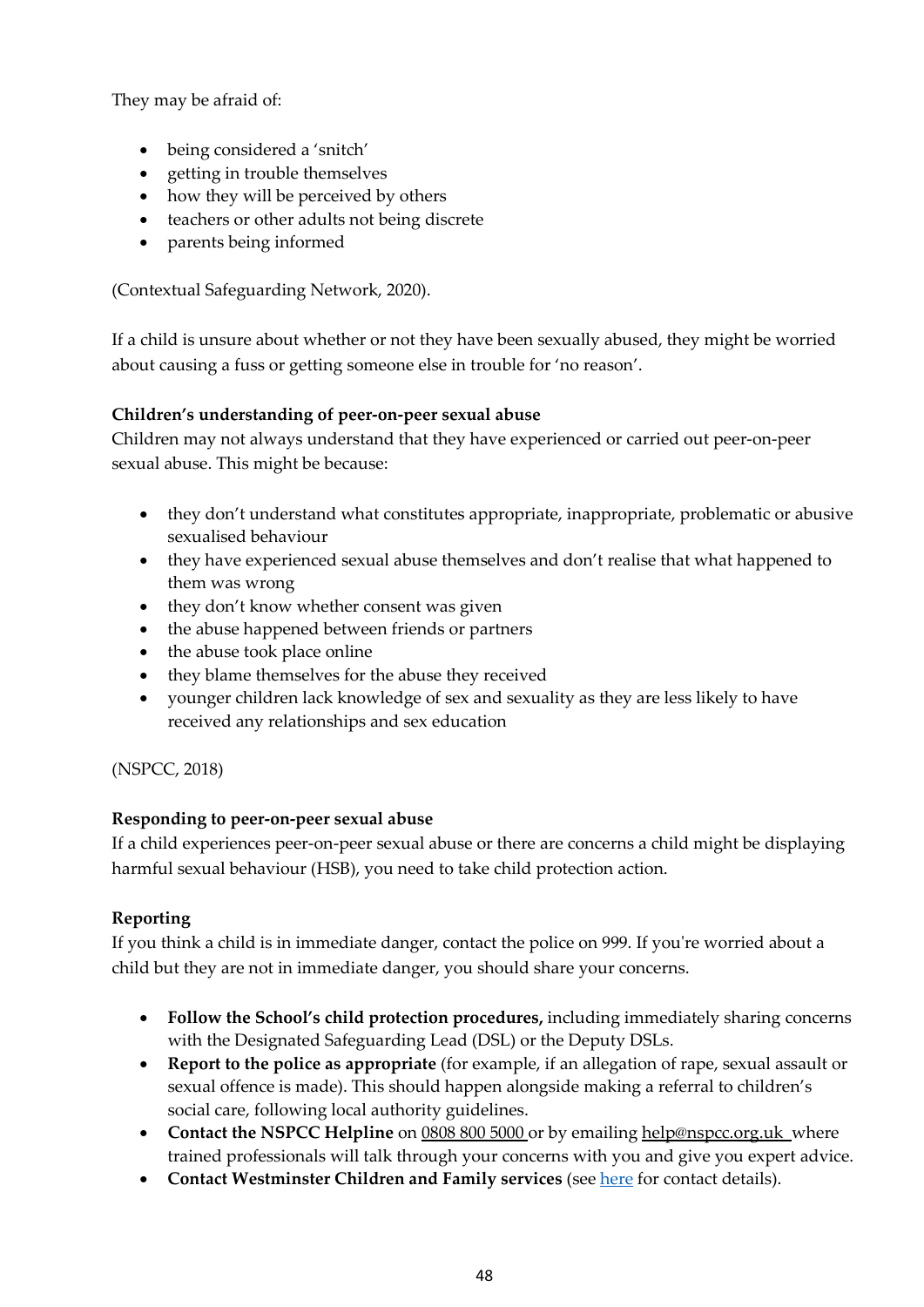They may be afraid of:

- being considered a 'snitch'
- getting in trouble themselves
- how they will be perceived by others
- teachers or other adults not being discrete
- parents being informed

(Contextual Safeguarding Network, 2020).

If a child is unsure about whether or not they have been sexually abused, they might be worried about causing a fuss or getting someone else in trouble for 'no reason'.

### **Children's understanding of peer-on-peer sexual abuse**

Children may not always understand that they have experienced or carried out peer-on-peer sexual abuse. This might be because:

- they don't understand what constitutes appropriate, inappropriate, problematic or abusive sexualised behaviour
- they have experienced sexual abuse themselves and don't realise that what happened to them was wrong
- they don't know whether consent was given
- the abuse happened between friends or partners
- the abuse took place online
- they blame themselves for the abuse they received
- younger children lack knowledge of sex and sexuality as they are less likely to have received any relationships and sex education

(NSPCC, 2018)

### **Responding to peer-on-peer sexual abuse**

If a child experiences peer-on-peer sexual abuse or there are concerns a child might be displaying harmful sexual behaviour (HSB), you need to take child protection action.

### **Reporting**

If you think a child is in immediate danger, contact the police on 999. If you're worried about a child but they are not in immediate danger, you should share your concerns.

- **Follow the School's child protection procedures,** including immediately sharing concerns with the Designated Safeguarding Lead (DSL) or the Deputy DSLs.
- **Report to the police as appropriate** (for example, if an allegation of rape, sexual assault or sexual offence is made). This should happen alongside making a referral to children's social care, following local authority guidelines.
- **Contact the NSPCC Helpline** on [0808 800 5000 o](mailto:0808%20800%205000)r by emailing [help@nspcc.org.uk w](mailto:help@nspcc.org.uk)here trained professionals will talk through your concerns with you and give you expert advice.
- **Contact Westminster Children and Family services** (see [here](#page-3-0) for contact details).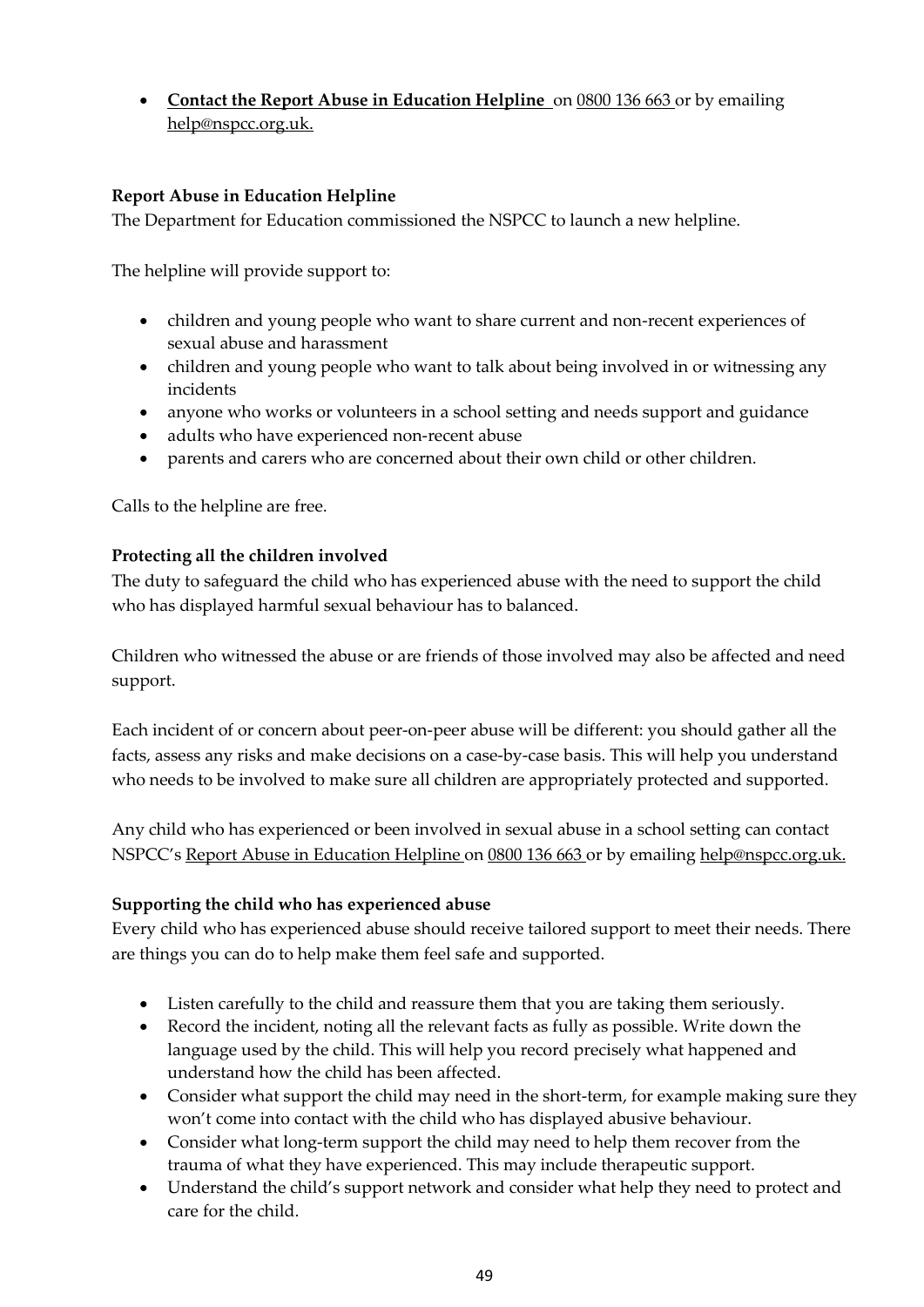• **[Contact the Report Abuse in Education Helpline](https://learning.nspcc.org.uk/news/2021/april/sexual-abuse-in-education-helpline-launched/)** o[n 0800 136 663 o](tel:0800136663)r by emailing [help@nspcc.org.uk.](mailto:help@nspcc.org.uk)

### **Report Abuse in Education Helpline**

The Department for Education commissioned the NSPCC to launch a new helpline.

The helpline will provide support to:

- children and young people who want to share current and non-recent experiences of sexual abuse and harassment
- children and young people who want to talk about being involved in or witnessing any incidents
- anyone who works or volunteers in a school setting and needs support and guidance
- adults who have experienced non-recent abuse
- parents and carers who are concerned about their own child or other children.

Calls to the helpline are free.

### **Protecting all the children involved**

The duty to safeguard the child who has experienced abuse with the need to support the child who has displayed harmful sexual behaviour has to balanced.

Children who witnessed the abuse or are friends of those involved may also be affected and need support.

Each incident of or concern about peer-on-peer abuse will be different: you should gather all the facts, assess any risks and make decisions on a case-by-case basis. This will help you understand who needs to be involved to make sure all children are appropriately protected and supported.

Any child who has experienced or been involved in sexual abuse in a school setting can contact NSPCC'[s Report Abuse in Education Helpline o](https://learning.nspcc.org.uk/news/2021/april/sexual-abuse-in-education-helpline-launched/)n [0800 136 663 o](tel:0800136663)r by emailing [help@nspcc.org.uk.](mailto:help@nspcc.org.uk)

### **Supporting the child who has experienced abuse**

Every child who has experienced abuse should receive tailored support to meet their needs. There are things you can do to help make them feel safe and supported.

- Listen carefully to the child and reassure them that you are taking them seriously.
- Record the incident, noting all the relevant facts as fully as possible. Write down the language used by the child. This will help you record precisely what happened and understand how the child has been affected.
- Consider what support the child may need in the short-term, for example making sure they won't come into contact with the child who has displayed abusive behaviour.
- Consider what long-term support the child may need to help them recover from the trauma of what they have experienced. This may include therapeutic support.
- Understand the child's support network and consider what help they need to protect and care for the child.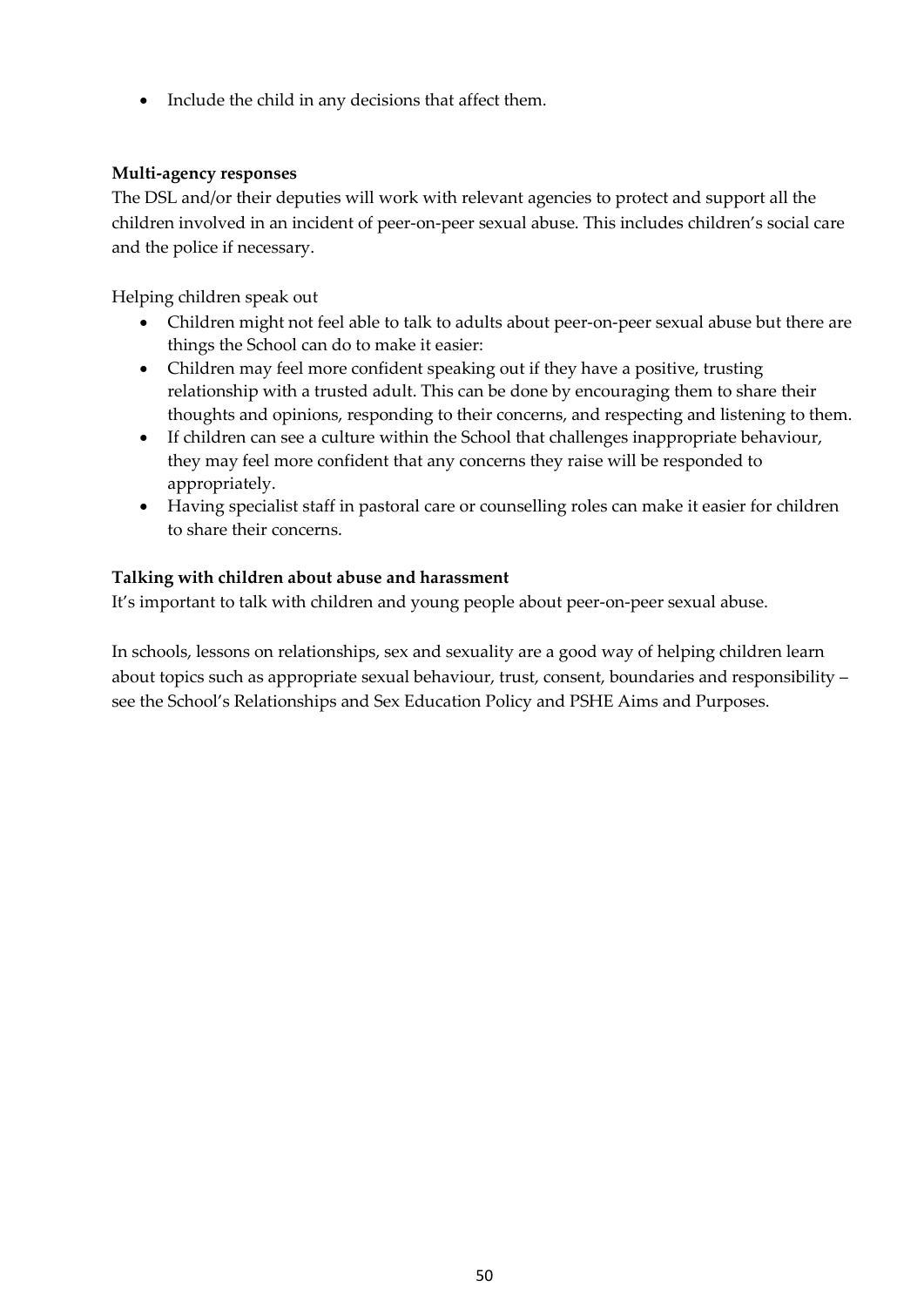• Include the child in any decisions that affect them.

### **Multi-agency responses**

The DSL and/or their deputies will work with relevant agencies to protect and support all the children involved in an incident of peer-on-peer sexual abuse. This includes children's social care and the police if necessary.

Helping children speak out

- Children might not feel able to talk to adults about peer-on-peer sexual abuse but there are things the School can do to make it easier:
- Children may feel more confident speaking out if they have a positive, trusting relationship with a trusted adult. This can be done by encouraging them to share their thoughts and opinions, responding to their concerns, and respecting and listening to them.
- If children can see a culture within the School that challenges inappropriate behaviour, they may feel more confident that any concerns they raise will be responded to appropriately.
- Having specialist staff in pastoral care or counselling roles can make it easier for children to share their concerns.

### **Talking with children about abuse and harassment**

It's important to talk with children and young people about peer-on-peer sexual abuse.

In schools, lessons on relationships, sex and sexuality are a good way of helping children learn about topics such as appropriate sexual behaviour, trust, consent, boundaries and responsibility – see the School's Relationships and Sex Education Policy and PSHE Aims and Purposes.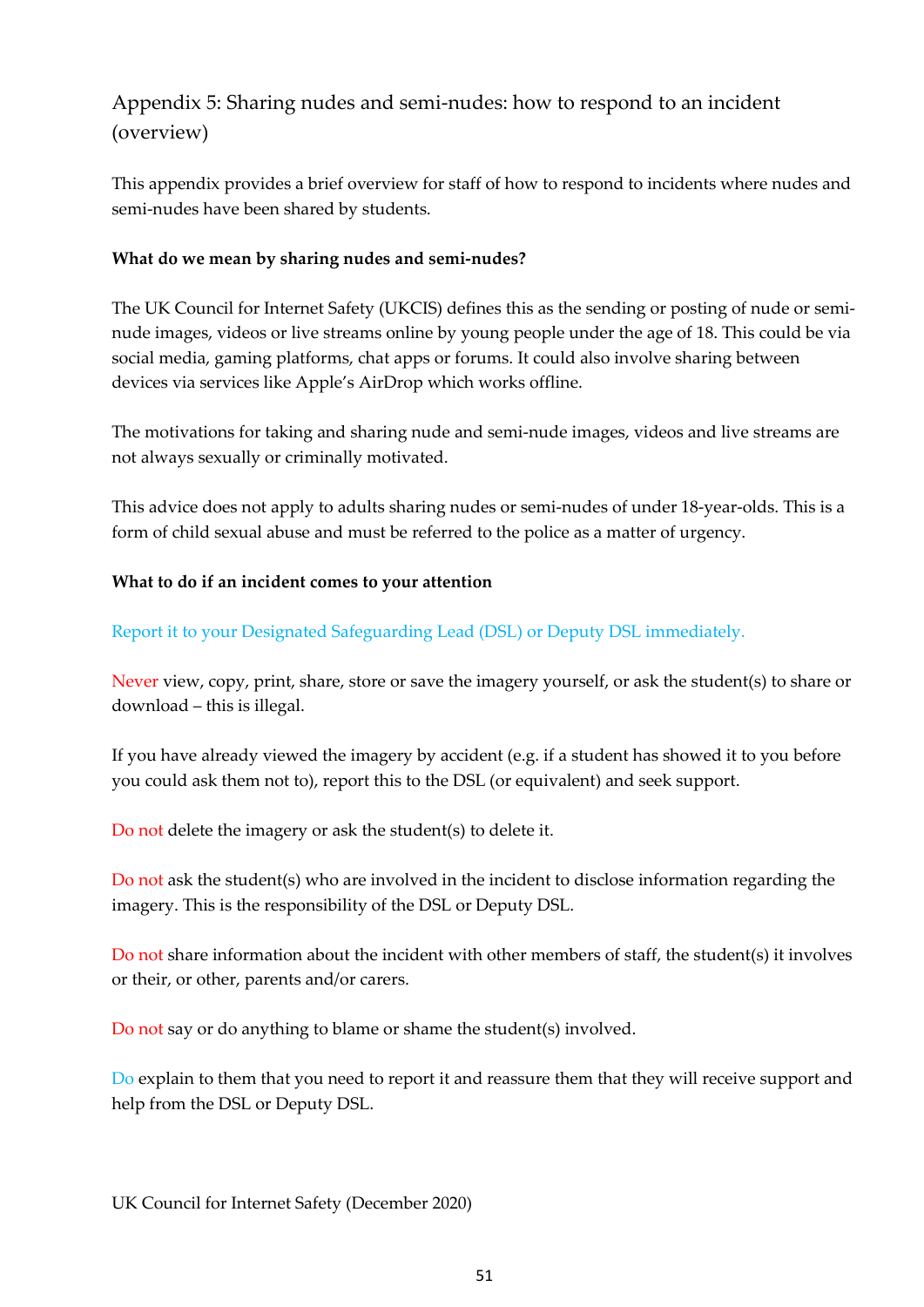## <span id="page-50-0"></span>Appendix 5: Sharing nudes and semi-nudes: how to respond to an incident (overview)

This appendix provides a brief overview for staff of how to respond to incidents where nudes and semi-nudes have been shared by students.

### **What do we mean by sharing nudes and semi-nudes?**

The UK Council for Internet Safety (UKCIS) defines this as the sending or posting of nude or seminude images, videos or live streams online by young people under the age of 18. This could be via social media, gaming platforms, chat apps or forums. It could also involve sharing between devices via services like Apple's AirDrop which works offline.

The motivations for taking and sharing nude and semi-nude images, videos and live streams are not always sexually or criminally motivated.

This advice does not apply to adults sharing nudes or semi-nudes of under 18-year-olds. This is a form of child sexual abuse and must be referred to the police as a matter of urgency.

### **What to do if an incident comes to your attention**

Report it to your Designated Safeguarding Lead (DSL) or Deputy DSL immediately.

Never view, copy, print, share, store or save the imagery yourself, or ask the student(s) to share or download – this is illegal.

If you have already viewed the imagery by accident (e.g. if a student has showed it to you before you could ask them not to), report this to the DSL (or equivalent) and seek support.

Do not delete the imagery or ask the student(s) to delete it.

Do not ask the student(s) who are involved in the incident to disclose information regarding the imagery. This is the responsibility of the DSL or Deputy DSL.

Do not share information about the incident with other members of staff, the student(s) it involves or their, or other, parents and/or carers.

Do not say or do anything to blame or shame the student(s) involved.

Do explain to them that you need to report it and reassure them that they will receive support and help from the DSL or Deputy DSL.

UK Council for Internet Safety (December 2020)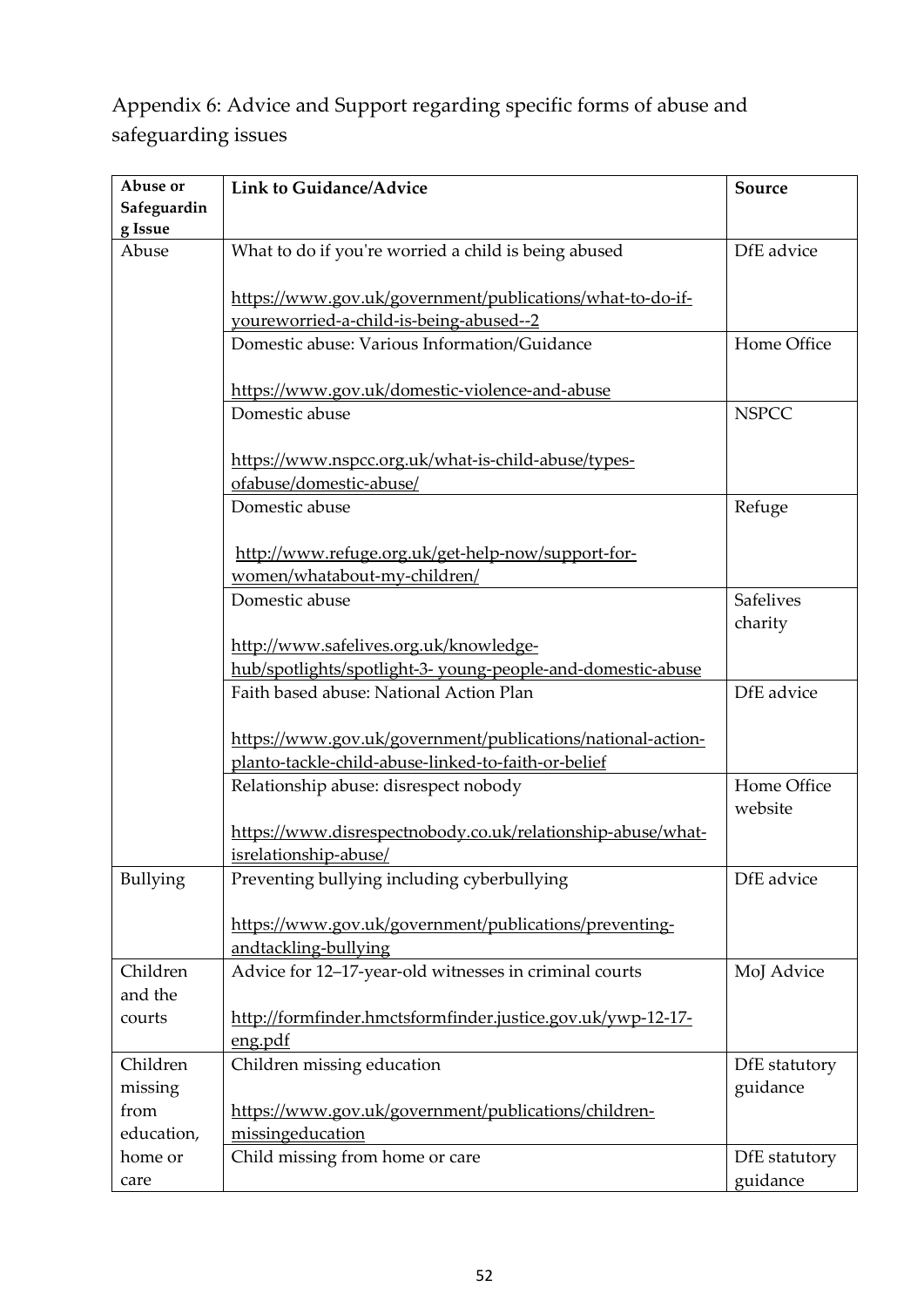<span id="page-51-0"></span>Appendix 6: Advice and Support regarding specific forms of abuse and safeguarding issues

| Abuse or        | <b>Link to Guidance/Advice</b>                                           | Source           |
|-----------------|--------------------------------------------------------------------------|------------------|
| Safeguardin     |                                                                          |                  |
| g Issue         |                                                                          |                  |
| Abuse           | What to do if you're worried a child is being abused                     | DfE advice       |
|                 |                                                                          |                  |
|                 | https://www.gov.uk/government/publications/what-to-do-if-                |                  |
|                 | youreworried-a-child-is-being-abused--2                                  |                  |
|                 | Domestic abuse: Various Information/Guidance                             | Home Office      |
|                 |                                                                          |                  |
|                 | https://www.gov.uk/domestic-violence-and-abuse                           |                  |
|                 | Domestic abuse                                                           | <b>NSPCC</b>     |
|                 |                                                                          |                  |
|                 | https://www.nspcc.org.uk/what-is-child-abuse/types-                      |                  |
|                 | ofabuse/domestic-abuse/                                                  |                  |
|                 | Domestic abuse                                                           | Refuge           |
|                 |                                                                          |                  |
|                 | http://www.refuge.org.uk/get-help-now/support-for-                       |                  |
|                 | women/whatabout-my-children/                                             |                  |
|                 | Domestic abuse                                                           | <b>Safelives</b> |
|                 |                                                                          | charity          |
|                 | http://www.safelives.org.uk/knowledge-                                   |                  |
|                 | hub/spotlights/spotlight-3- young-people-and-domestic-abuse              |                  |
|                 | Faith based abuse: National Action Plan                                  | DfE advice       |
|                 |                                                                          |                  |
|                 | https://www.gov.uk/government/publications/national-action-              |                  |
|                 | planto-tackle-child-abuse-linked-to-faith-or-belief                      |                  |
|                 | Relationship abuse: disrespect nobody                                    | Home Office      |
|                 |                                                                          | website          |
|                 | https://www.disrespectnobody.co.uk/relationship-abuse/what-              |                  |
|                 | isrelationship-abuse/                                                    |                  |
| <b>Bullying</b> | Preventing bullying including cyberbullying                              | DfE advice       |
|                 |                                                                          |                  |
|                 | https://www.gov.uk/government/publications/preventing-                   |                  |
| Children        | andtackling-bullying                                                     | MoJ Advice       |
| and the         | Advice for 12-17-year-old witnesses in criminal courts                   |                  |
| courts          |                                                                          |                  |
|                 | http://formfinder.hmctsformfinder.justice.gov.uk/ywp-12-17-<br>eng.pdf   |                  |
| Children        | Children missing education                                               | DfE statutory    |
|                 |                                                                          |                  |
| missing<br>from |                                                                          | guidance         |
| education,      | https://www.gov.uk/government/publications/children-<br>missingeducation |                  |
| home or         | Child missing from home or care                                          | DfE statutory    |
|                 |                                                                          |                  |
| care            |                                                                          | guidance         |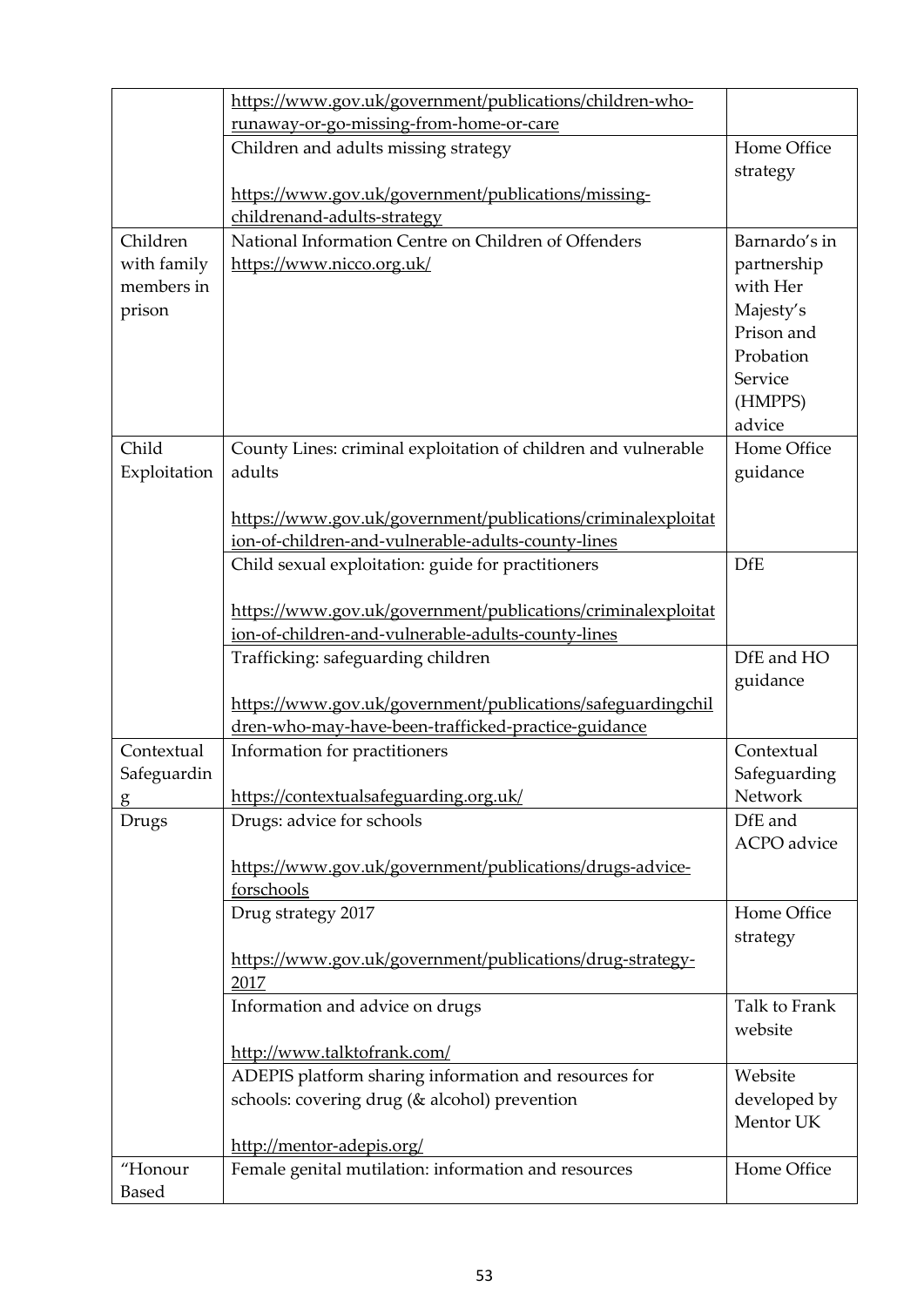|              | https://www.gov.uk/government/publications/children-who-                                                           |                           |
|--------------|--------------------------------------------------------------------------------------------------------------------|---------------------------|
|              | runaway-or-go-missing-from-home-or-care                                                                            |                           |
|              | Children and adults missing strategy                                                                               | Home Office               |
|              |                                                                                                                    | strategy                  |
|              | https://www.gov.uk/government/publications/missing-                                                                |                           |
|              | childrenand-adults-strategy                                                                                        |                           |
| Children     | National Information Centre on Children of Offenders                                                               | Barnardo's in             |
| with family  | https://www.nicco.org.uk/                                                                                          | partnership               |
| members in   |                                                                                                                    | with Her                  |
| prison       |                                                                                                                    | Majesty's<br>Prison and   |
|              |                                                                                                                    | Probation                 |
|              |                                                                                                                    | Service                   |
|              |                                                                                                                    | (HMPPS)                   |
|              |                                                                                                                    | advice                    |
| Child        | County Lines: criminal exploitation of children and vulnerable                                                     | Home Office               |
| Exploitation | adults                                                                                                             | guidance                  |
|              |                                                                                                                    |                           |
|              | https://www.gov.uk/government/publications/criminalexploitat                                                       |                           |
|              | ion-of-children-and-vulnerable-adults-county-lines                                                                 |                           |
|              | Child sexual exploitation: guide for practitioners                                                                 | <b>DfE</b>                |
|              |                                                                                                                    |                           |
|              | https://www.gov.uk/government/publications/criminalexploitat                                                       |                           |
|              | ion-of-children-and-vulnerable-adults-county-lines                                                                 |                           |
|              | Trafficking: safeguarding children                                                                                 | DfE and HO                |
|              |                                                                                                                    | guidance                  |
|              | https://www.gov.uk/government/publications/safeguardingchil<br>dren-who-may-have-been-trafficked-practice-guidance |                           |
| Contextual   | Information for practitioners                                                                                      | Contextual                |
| Safeguardin  |                                                                                                                    | Safeguarding              |
| g            | https://contextualsafeguarding.org.uk/                                                                             | Network                   |
| Drugs        | Drugs: advice for schools                                                                                          | DfE and                   |
|              |                                                                                                                    | ACPO advice               |
|              | https://www.gov.uk/government/publications/drugs-advice-                                                           |                           |
|              | forschools                                                                                                         |                           |
|              | Drug strategy 2017                                                                                                 | Home Office               |
|              |                                                                                                                    | strategy                  |
|              | https://www.gov.uk/government/publications/drug-strategy-                                                          |                           |
|              | 2017                                                                                                               |                           |
|              | Information and advice on drugs                                                                                    | Talk to Frank             |
|              |                                                                                                                    | website                   |
|              | http://www.talktofrank.com/                                                                                        |                           |
|              | ADEPIS platform sharing information and resources for                                                              | Website                   |
|              | schools: covering drug (& alcohol) prevention                                                                      | developed by<br>Mentor UK |
|              |                                                                                                                    |                           |
|              |                                                                                                                    |                           |
| "Honour      | http://mentor-adepis.org/<br>Female genital mutilation: information and resources                                  | Home Office               |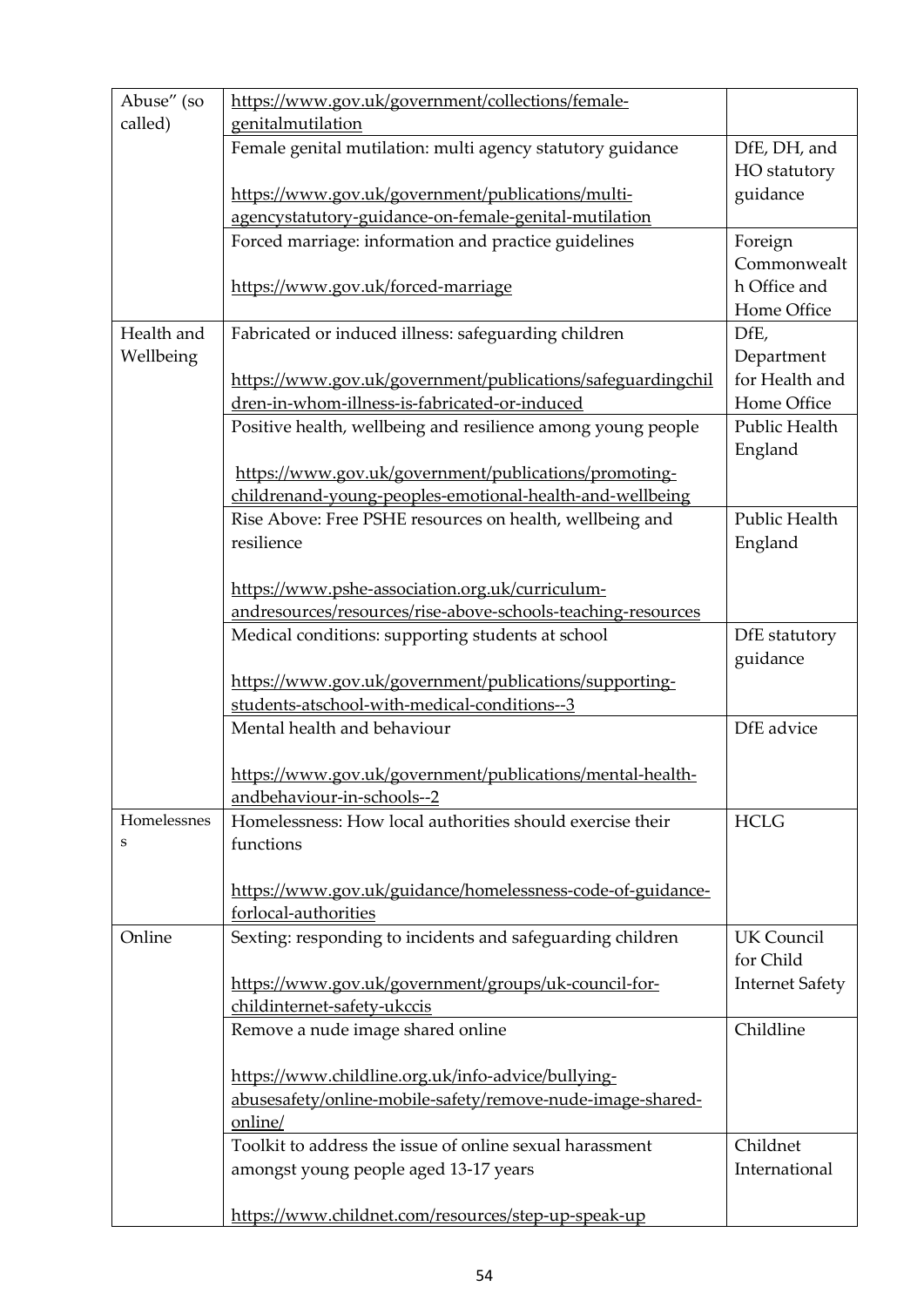| Abuse" (so<br>called) | https://www.gov.uk/government/collections/female-<br>genitalmutilation |                           |
|-----------------------|------------------------------------------------------------------------|---------------------------|
|                       | Female genital mutilation: multi agency statutory guidance             | DfE, DH, and              |
|                       |                                                                        | HO statutory              |
|                       | https://www.gov.uk/government/publications/multi-                      | guidance                  |
|                       | agencystatutory-guidance-on-female-genital-mutilation                  |                           |
|                       | Forced marriage: information and practice guidelines                   | Foreign<br>Commonwealt    |
|                       | https://www.gov.uk/forced-marriage                                     | h Office and              |
|                       |                                                                        | Home Office               |
| Health and            | Fabricated or induced illness: safeguarding children                   | DfE,                      |
| Wellbeing             |                                                                        | Department                |
|                       | https://www.gov.uk/government/publications/safeguardingchil            | for Health and            |
|                       | dren-in-whom-illness-is-fabricated-or-induced                          | Home Office               |
|                       | Positive health, wellbeing and resilience among young people           | Public Health             |
|                       |                                                                        | England                   |
|                       | https://www.gov.uk/government/publications/promoting-                  |                           |
|                       | childrenand-young-peoples-emotional-health-and-wellbeing               |                           |
|                       | Rise Above: Free PSHE resources on health, wellbeing and               | Public Health             |
|                       | resilience                                                             | England                   |
|                       |                                                                        |                           |
|                       | https://www.pshe-association.org.uk/curriculum-                        |                           |
|                       | andresources/resources/rise-above-schools-teaching-resources           |                           |
|                       | Medical conditions: supporting students at school                      | DfE statutory<br>guidance |
|                       | https://www.gov.uk/government/publications/supporting-                 |                           |
|                       | students-atschool-with-medical-conditions--3                           |                           |
|                       | Mental health and behaviour                                            | DfE advice                |
|                       |                                                                        |                           |
|                       | https://www.gov.uk/government/publications/mental-health-              |                           |
|                       | andbehaviour-in-schools--2                                             |                           |
| Homelessnes           | Homelessness: How local authorities should exercise their              | <b>HCLG</b>               |
| S                     | functions                                                              |                           |
|                       | https://www.gov.uk/guidance/homelessness-code-of-guidance-             |                           |
|                       | forlocal-authorities                                                   |                           |
| Online                | Sexting: responding to incidents and safeguarding children             | <b>UK Council</b>         |
|                       |                                                                        | for Child                 |
|                       | https://www.gov.uk/government/groups/uk-council-for-                   | <b>Internet Safety</b>    |
|                       | childinternet-safety-ukccis                                            |                           |
|                       | Remove a nude image shared online                                      | Childline                 |
|                       |                                                                        |                           |
|                       | https://www.childline.org.uk/info-advice/bullying-                     |                           |
|                       | abusesafety/online-mobile-safety/remove-nude-image-shared-             |                           |
|                       | online/                                                                |                           |
|                       | Toolkit to address the issue of online sexual harassment               | Childnet                  |
|                       | amongst young people aged 13-17 years                                  | International             |
|                       |                                                                        |                           |
|                       | https://www.childnet.com/resources/step-up-speak-up                    |                           |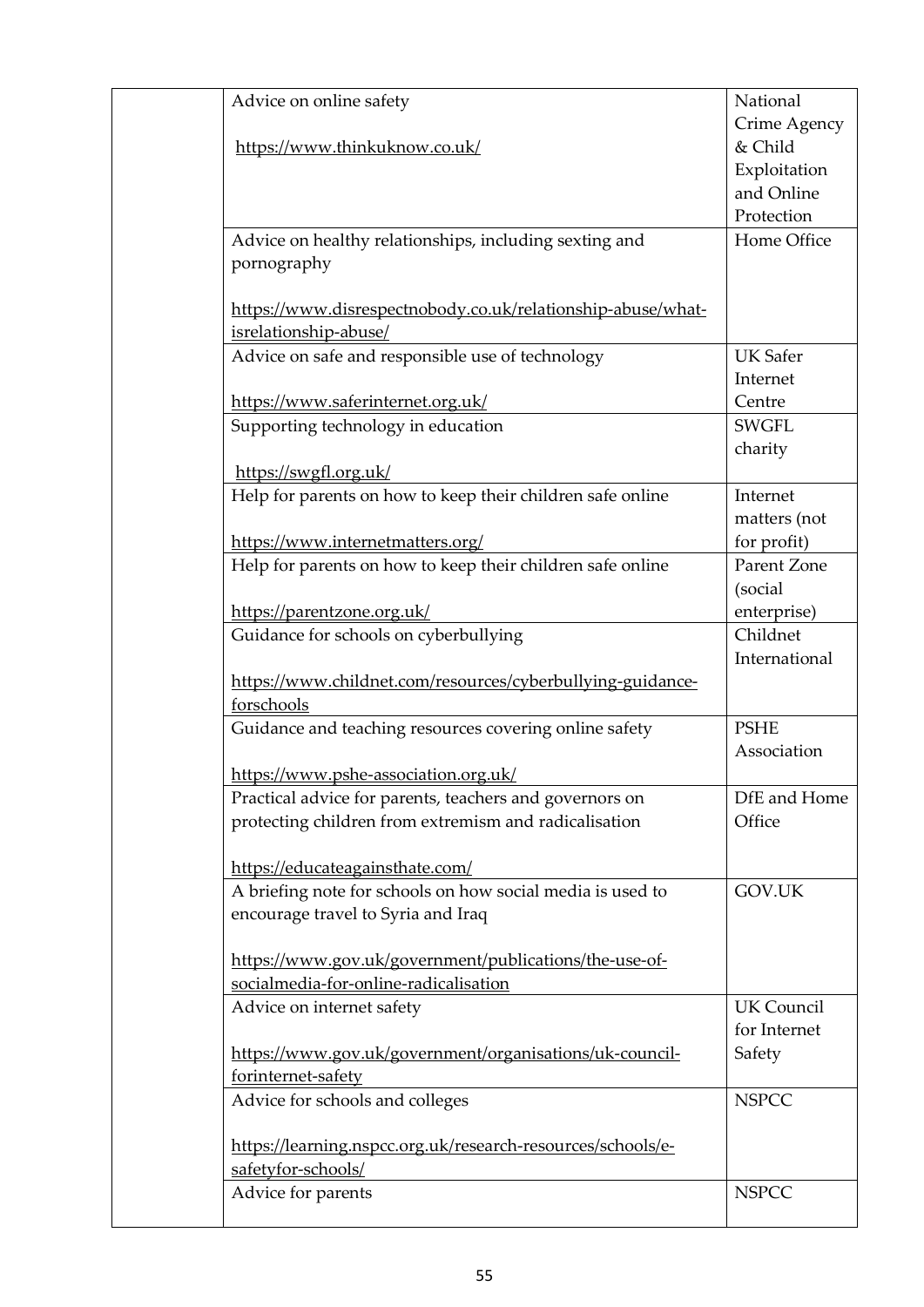| Advice on online safety                                                                         | National          |
|-------------------------------------------------------------------------------------------------|-------------------|
|                                                                                                 | Crime Agency      |
| https://www.thinkuknow.co.uk/                                                                   | & Child           |
|                                                                                                 | Exploitation      |
|                                                                                                 | and Online        |
|                                                                                                 | Protection        |
| Advice on healthy relationships, including sexting and                                          | Home Office       |
| pornography                                                                                     |                   |
|                                                                                                 |                   |
| https://www.disrespectnobody.co.uk/relationship-abuse/what-                                     |                   |
| isrelationship-abuse/                                                                           |                   |
| Advice on safe and responsible use of technology                                                | <b>UK Safer</b>   |
|                                                                                                 | Internet          |
| https://www.saferinternet.org.uk/                                                               | Centre            |
| Supporting technology in education                                                              | <b>SWGFL</b>      |
|                                                                                                 | charity           |
| https://swgfl.org.uk/                                                                           |                   |
| Help for parents on how to keep their children safe online                                      | Internet          |
|                                                                                                 | matters (not      |
| https://www.internetmatters.org/                                                                | for profit)       |
| Help for parents on how to keep their children safe online                                      | Parent Zone       |
|                                                                                                 | (social           |
| https://parentzone.org.uk/                                                                      | enterprise)       |
| Guidance for schools on cyberbullying                                                           | Childnet          |
|                                                                                                 | International     |
| https://www.childnet.com/resources/cyberbullying-guidance-                                      |                   |
| forschools                                                                                      |                   |
| Guidance and teaching resources covering online safety                                          | <b>PSHE</b>       |
|                                                                                                 | Association       |
| https://www.pshe-association.org.uk/                                                            |                   |
| Practical advice for parents, teachers and governors on                                         | DfE and Home      |
| protecting children from extremism and radicalisation                                           | Office            |
|                                                                                                 |                   |
| https://educateagainsthate.com/                                                                 |                   |
| A briefing note for schools on how social media is used to                                      | GOV.UK            |
| encourage travel to Syria and Iraq                                                              |                   |
|                                                                                                 |                   |
| https://www.gov.uk/government/publications/the-use-of-<br>socialmedia-for-online-radicalisation |                   |
|                                                                                                 | <b>UK</b> Council |
| Advice on internet safety                                                                       | for Internet      |
| https://www.gov.uk/government/organisations/uk-council-                                         | Safety            |
| forinternet-safety                                                                              |                   |
| Advice for schools and colleges                                                                 | <b>NSPCC</b>      |
|                                                                                                 |                   |
| https://learning.nspcc.org.uk/research-resources/schools/e-                                     |                   |
| safetyfor-schools/                                                                              |                   |
| Advice for parents                                                                              | <b>NSPCC</b>      |
|                                                                                                 |                   |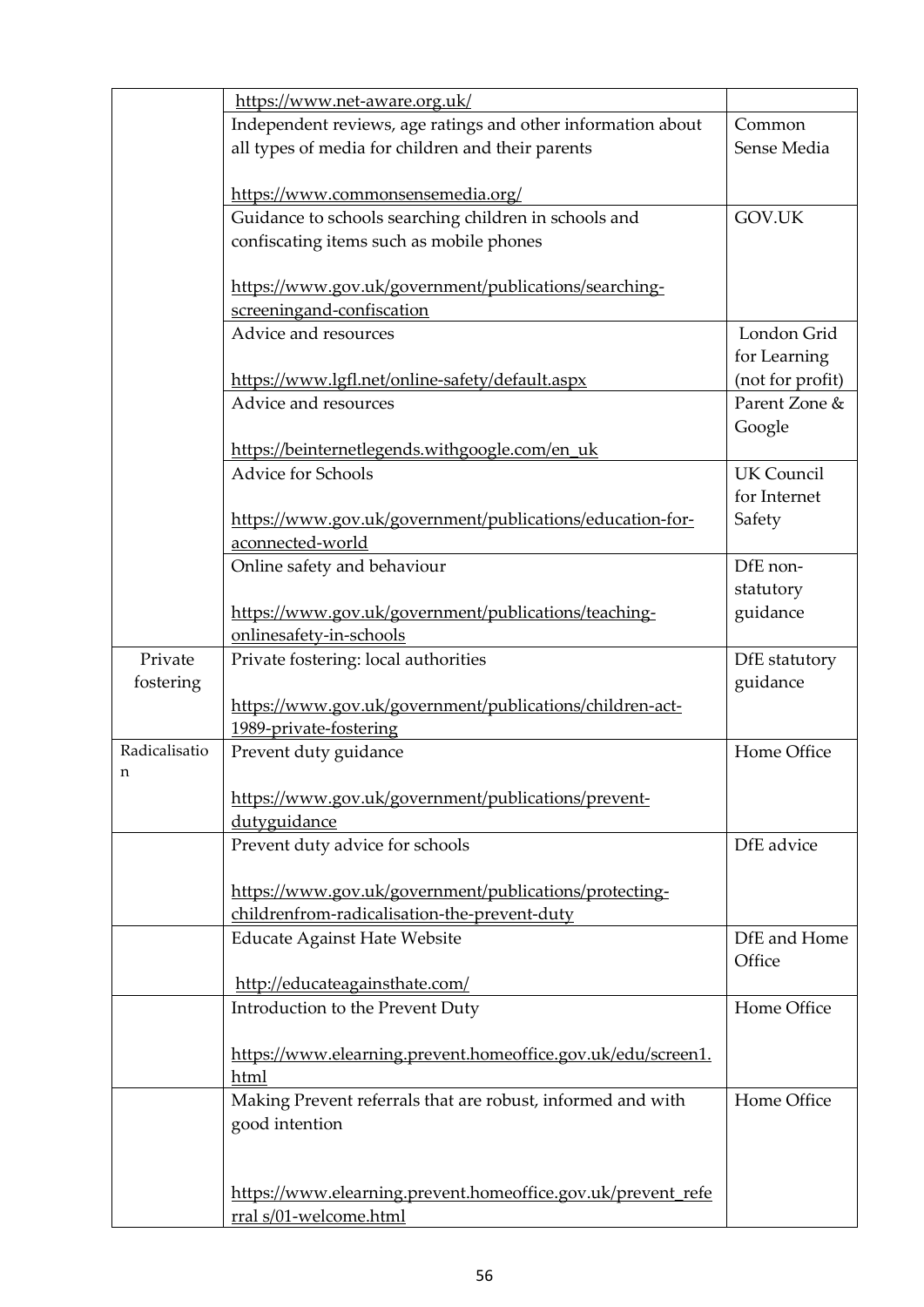|               | https://www.net-aware.org.uk/                                |                   |
|---------------|--------------------------------------------------------------|-------------------|
|               | Independent reviews, age ratings and other information about | Common            |
|               | all types of media for children and their parents            | Sense Media       |
|               |                                                              |                   |
|               | https://www.commonsensemedia.org/                            |                   |
|               | Guidance to schools searching children in schools and        | GOV.UK            |
|               | confiscating items such as mobile phones                     |                   |
|               |                                                              |                   |
|               | https://www.gov.uk/government/publications/searching-        |                   |
|               | screeningand-confiscation                                    |                   |
|               | Advice and resources                                         | London Grid       |
|               |                                                              | for Learning      |
|               | https://www.lgfl.net/online-safety/default.aspx              | (not for profit)  |
|               | Advice and resources                                         | Parent Zone &     |
|               |                                                              | Google            |
|               | https://beinternetlegends.withgoogle.com/en_uk               |                   |
|               | <b>Advice for Schools</b>                                    | <b>UK Council</b> |
|               |                                                              | for Internet      |
|               |                                                              |                   |
|               | https://www.gov.uk/government/publications/education-for-    | Safety            |
|               | aconnected-world                                             |                   |
|               | Online safety and behaviour                                  | DfE non-          |
|               |                                                              | statutory         |
|               | https://www.gov.uk/government/publications/teaching-         | guidance          |
|               | onlinesafety-in-schools                                      |                   |
| Private       | Private fostering: local authorities                         | DfE statutory     |
| fostering     |                                                              | guidance          |
|               | https://www.gov.uk/government/publications/children-act-     |                   |
|               | 1989-private-fostering                                       |                   |
| Radicalisatio | Prevent duty guidance                                        | Home Office       |
| n             |                                                              |                   |
|               | https://www.gov.uk/government/publications/prevent-          |                   |
|               | dutyguidance                                                 |                   |
|               | Prevent duty advice for schools                              | DfE advice        |
|               |                                                              |                   |
|               | https://www.gov.uk/government/publications/protecting-       |                   |
|               | childrenfrom-radicalisation-the-prevent-duty                 |                   |
|               | <b>Educate Against Hate Website</b>                          | DfE and Home      |
|               |                                                              | Office            |
|               | http://educateagainsthate.com/                               |                   |
|               |                                                              | Home Office       |
|               | Introduction to the Prevent Duty                             |                   |
|               |                                                              |                   |
|               | https://www.elearning.prevent.homeoffice.gov.uk/edu/screen1. |                   |
|               | html                                                         |                   |
|               | Making Prevent referrals that are robust, informed and with  | Home Office       |
|               | good intention                                               |                   |
|               |                                                              |                   |
|               |                                                              |                   |
|               | https://www.elearning.prevent.homeoffice.gov.uk/prevent refe |                   |
|               | rral s/01-welcome.html                                       |                   |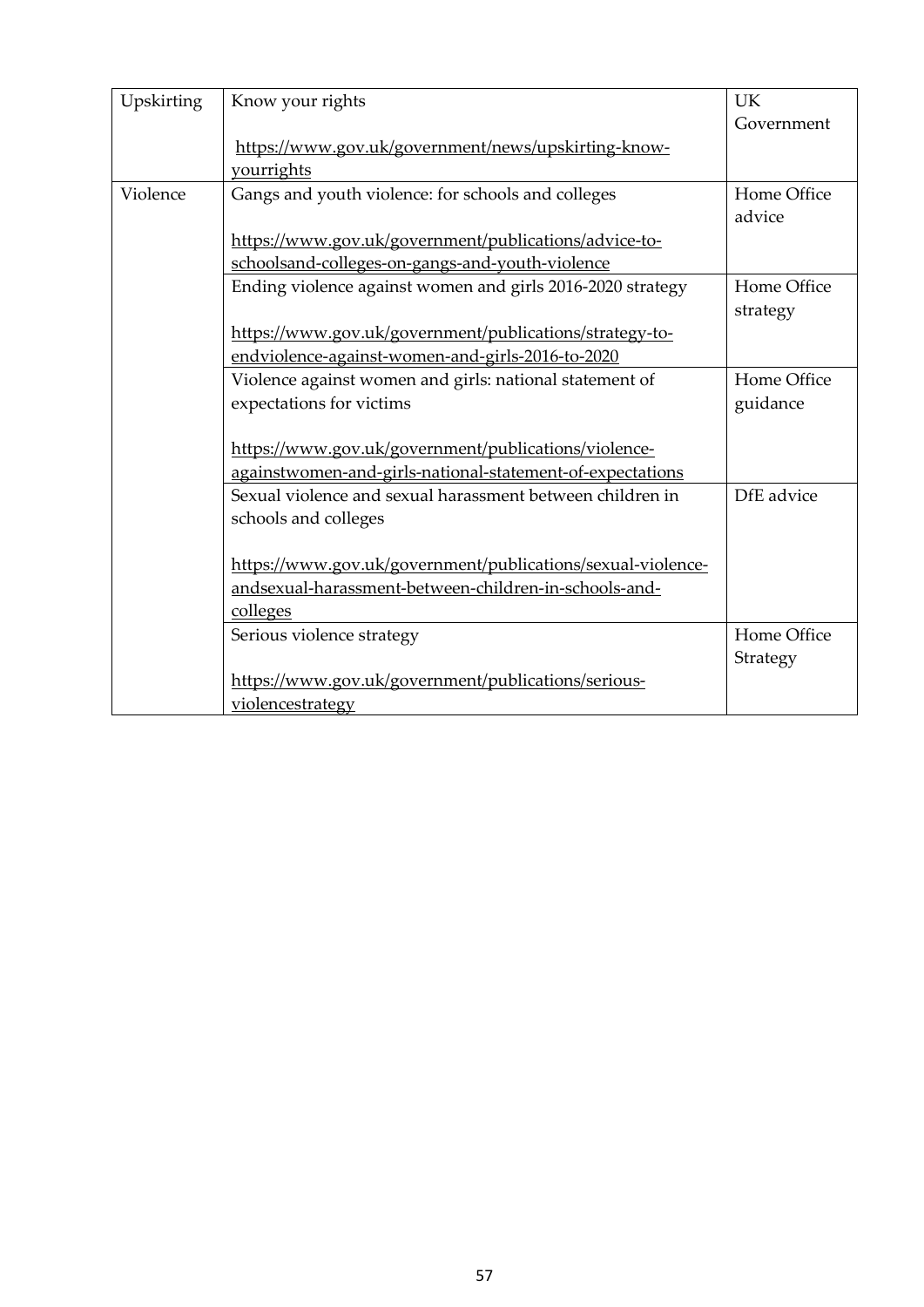| Upskirting | Know your rights                                            | <b>UK</b>   |
|------------|-------------------------------------------------------------|-------------|
|            |                                                             | Government  |
|            | https://www.gov.uk/government/news/upskirting-know-         |             |
|            | vourrights                                                  |             |
| Violence   | Gangs and youth violence: for schools and colleges          | Home Office |
|            |                                                             | advice      |
|            | https://www.gov.uk/government/publications/advice-to-       |             |
|            | schoolsand-colleges-on-gangs-and-youth-violence             |             |
|            | Ending violence against women and girls 2016-2020 strategy  | Home Office |
|            |                                                             | strategy    |
|            | https://www.gov.uk/government/publications/strategy-to-     |             |
|            | endviolence-against-women-and-girls-2016-to-2020            |             |
|            | Violence against women and girls: national statement of     | Home Office |
|            | expectations for victims                                    | guidance    |
|            |                                                             |             |
|            | https://www.gov.uk/government/publications/violence-        |             |
|            | againstwomen-and-girls-national-statement-of-expectations   |             |
|            | Sexual violence and sexual harassment between children in   | DfE advice  |
|            | schools and colleges                                        |             |
|            |                                                             |             |
|            | https://www.gov.uk/government/publications/sexual-violence- |             |
|            | andsexual-harassment-between-children-in-schools-and-       |             |
|            | colleges                                                    |             |
|            | Serious violence strategy                                   | Home Office |
|            |                                                             | Strategy    |
|            | https://www.gov.uk/government/publications/serious-         |             |
|            | violencestrategy                                            |             |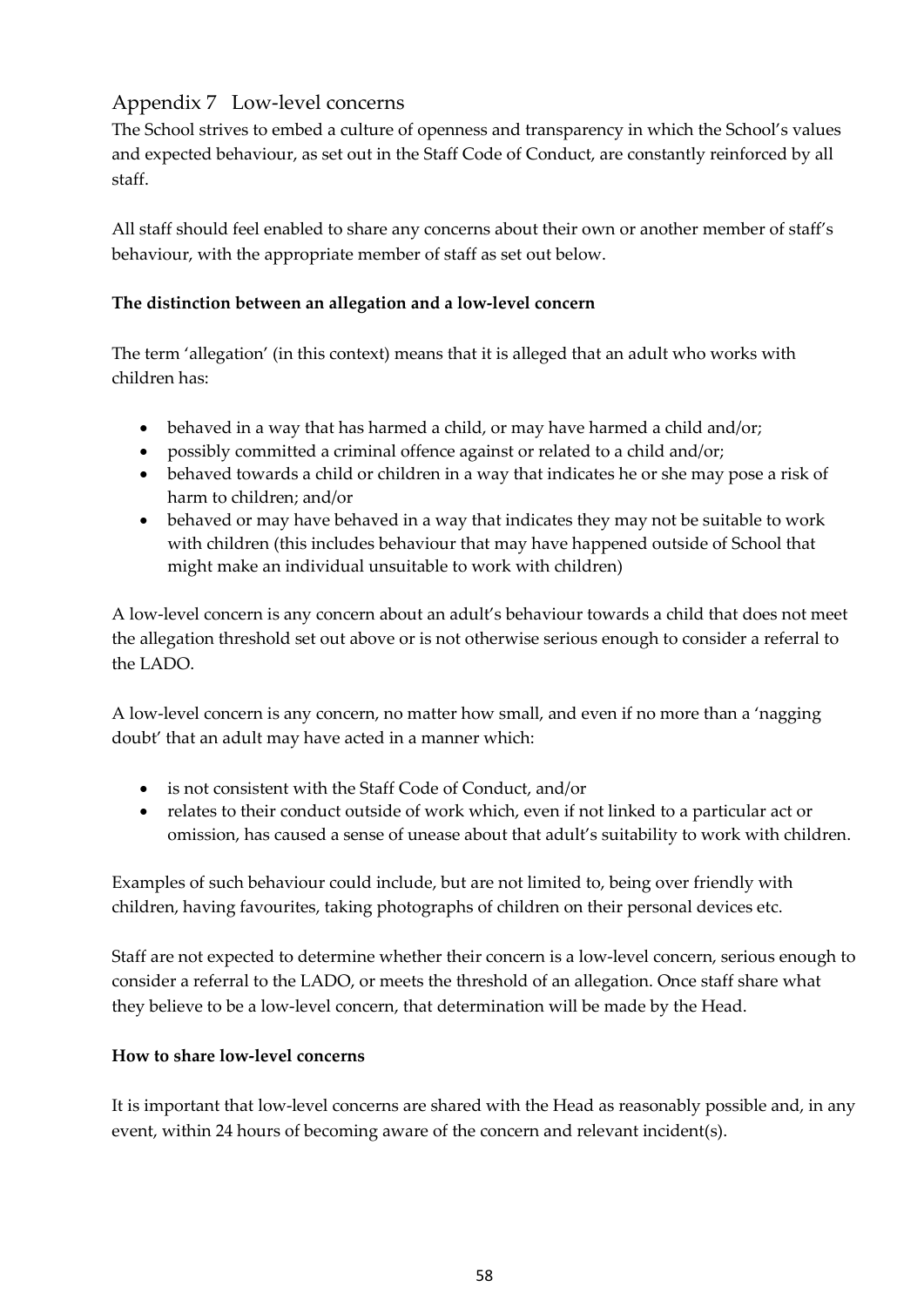### <span id="page-57-0"></span>Appendix 7 Low-level concerns

The School strives to embed a culture of openness and transparency in which the School's values and expected behaviour, as set out in the Staff Code of Conduct, are constantly reinforced by all staff.

All staff should feel enabled to share any concerns about their own or another member of staff's behaviour, with the appropriate member of staff as set out below.

### **The distinction between an allegation and a low-level concern**

The term 'allegation' (in this context) means that it is alleged that an adult who works with children has:

- behaved in a way that has harmed a child, or may have harmed a child and/or;
- possibly committed a criminal offence against or related to a child and/or;
- behaved towards a child or children in a way that indicates he or she may pose a risk of harm to children; and/or
- behaved or may have behaved in a way that indicates they may not be suitable to work with children (this includes behaviour that may have happened outside of School that might make an individual unsuitable to work with children)

A low-level concern is any concern about an adult's behaviour towards a child that does not meet the allegation threshold set out above or is not otherwise serious enough to consider a referral to the LADO.

A low-level concern is any concern, no matter how small, and even if no more than a 'nagging doubt' that an adult may have acted in a manner which:

- is not consistent with the Staff Code of Conduct, and/or
- relates to their conduct outside of work which, even if not linked to a particular act or omission, has caused a sense of unease about that adult's suitability to work with children.

Examples of such behaviour could include, but are not limited to, being over friendly with children, having favourites, taking photographs of children on their personal devices etc.

Staff are not expected to determine whether their concern is a low-level concern, serious enough to consider a referral to the LADO, or meets the threshold of an allegation. Once staff share what they believe to be a low-level concern, that determination will be made by the Head.

### **How to share low-level concerns**

It is important that low-level concerns are shared with the Head as reasonably possible and, in any event, within 24 hours of becoming aware of the concern and relevant incident(s).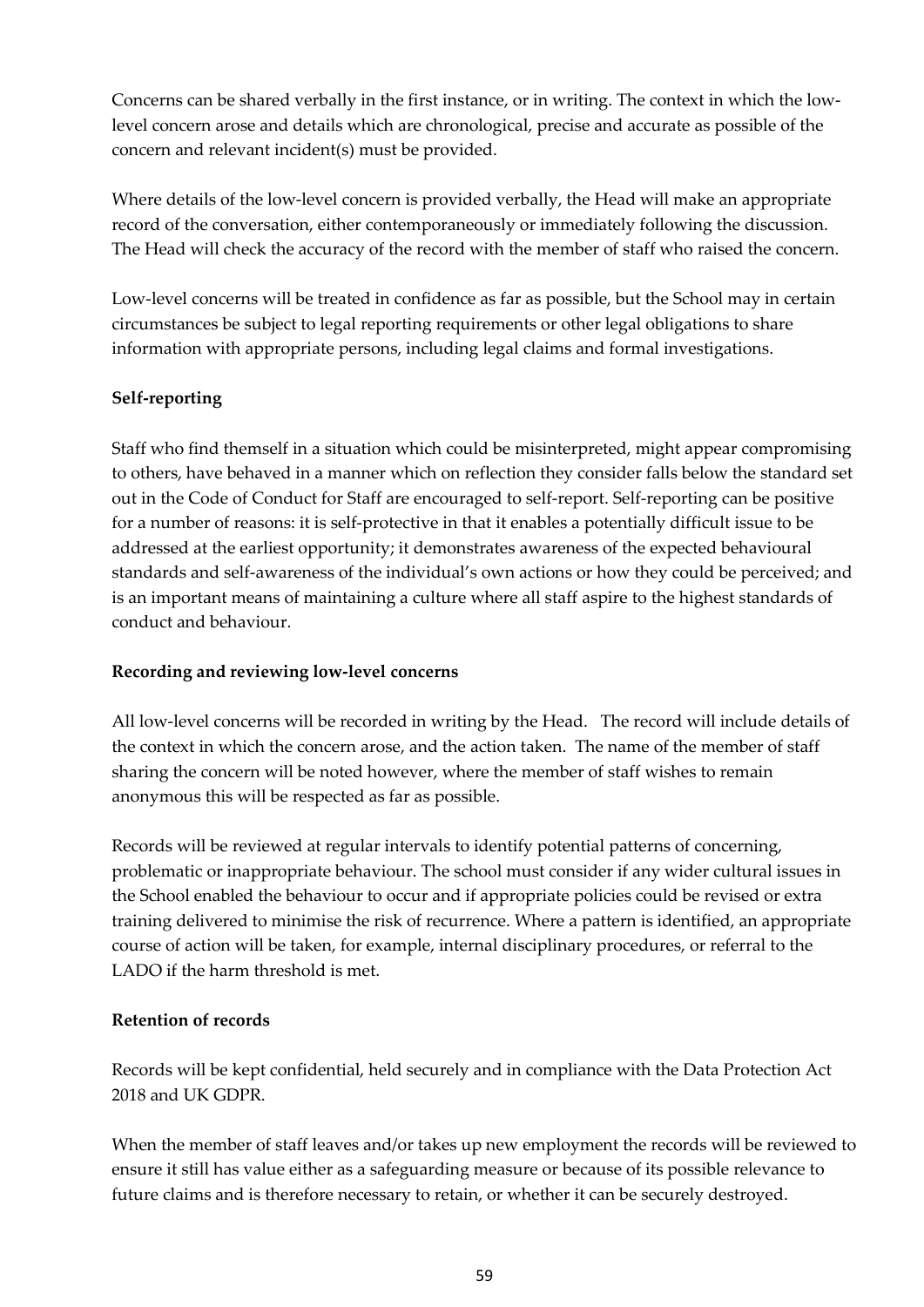Concerns can be shared verbally in the first instance, or in writing. The context in which the lowlevel concern arose and details which are chronological, precise and accurate as possible of the concern and relevant incident(s) must be provided.

Where details of the low-level concern is provided verbally, the Head will make an appropriate record of the conversation, either contemporaneously or immediately following the discussion. The Head will check the accuracy of the record with the member of staff who raised the concern.

Low-level concerns will be treated in confidence as far as possible, but the School may in certain circumstances be subject to legal reporting requirements or other legal obligations to share information with appropriate persons, including legal claims and formal investigations.

### **Self-reporting**

Staff who find themself in a situation which could be misinterpreted, might appear compromising to others, have behaved in a manner which on reflection they consider falls below the standard set out in the Code of Conduct for Staff are encouraged to self-report. Self-reporting can be positive for a number of reasons: it is self-protective in that it enables a potentially difficult issue to be addressed at the earliest opportunity; it demonstrates awareness of the expected behavioural standards and self-awareness of the individual's own actions or how they could be perceived; and is an important means of maintaining a culture where all staff aspire to the highest standards of conduct and behaviour.

### **Recording and reviewing low-level concerns**

All low-level concerns will be recorded in writing by the Head. The record will include details of the context in which the concern arose, and the action taken. The name of the member of staff sharing the concern will be noted however, where the member of staff wishes to remain anonymous this will be respected as far as possible.

Records will be reviewed at regular intervals to identify potential patterns of concerning, problematic or inappropriate behaviour. The school must consider if any wider cultural issues in the School enabled the behaviour to occur and if appropriate policies could be revised or extra training delivered to minimise the risk of recurrence. Where a pattern is identified, an appropriate course of action will be taken, for example, internal disciplinary procedures, or referral to the LADO if the harm threshold is met.

### **Retention of records**

Records will be kept confidential, held securely and in compliance with the Data Protection Act 2018 and UK GDPR.

When the member of staff leaves and/or takes up new employment the records will be reviewed to ensure it still has value either as a safeguarding measure or because of its possible relevance to future claims and is therefore necessary to retain, or whether it can be securely destroyed.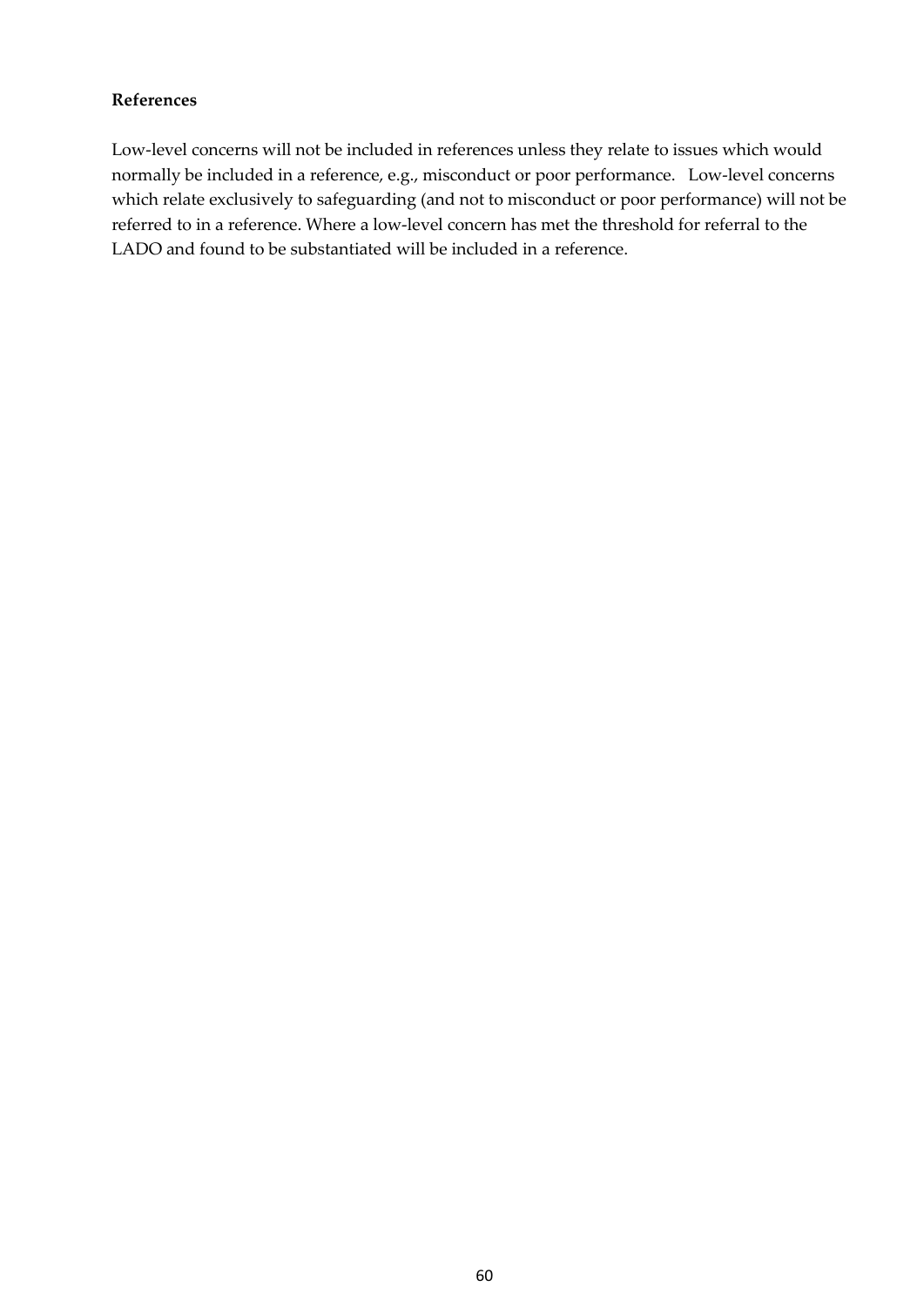#### **References**

Low-level concerns will not be included in references unless they relate to issues which would normally be included in a reference, e.g., misconduct or poor performance. Low-level concerns which relate exclusively to safeguarding (and not to misconduct or poor performance) will not be referred to in a reference. Where a low-level concern has met the threshold for referral to the LADO and found to be substantiated will be included in a reference.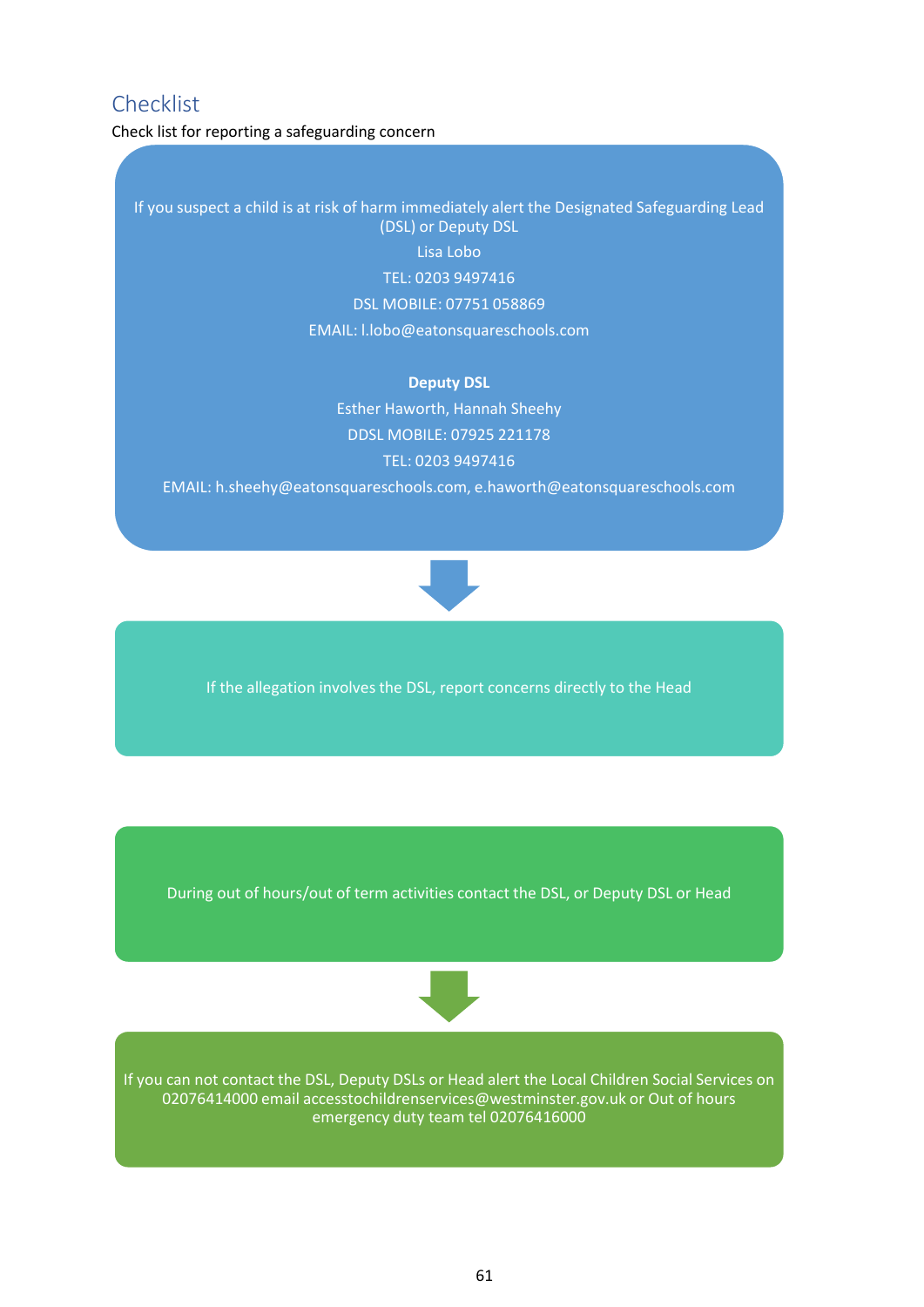## <span id="page-60-0"></span>Checklist

Check list for reporting a safeguarding concern

If you suspect a child is at risk of harm immediately alert the Designated Safeguarding Lead (DSL) or Deputy DSL Lisa Lobo TEL: 0203 9497416 DSL MOBILE: 07751 058869 EMAIL: l.lobo@eatonsquareschools.com

#### **Deputy DSL**

Esther Haworth, Hannah Sheehy DDSL MOBILE: 07925 221178 TEL: 0203 9497416

EMAIL: h.sheehy@eatonsquareschools.com, e.haworth@eatonsquareschools.com



If the allegation involves the DSL, report concerns directly to the Head

During out of hours/out of term activities contact the DSL, or Deputy DSL or Head



If you can not contact the DSL, Deputy DSLs or Head alert the Local Children Social Services on 02076414000 email accesstochildrenservices@westminster.gov.uk or Out of hours emergency duty team tel 02076416000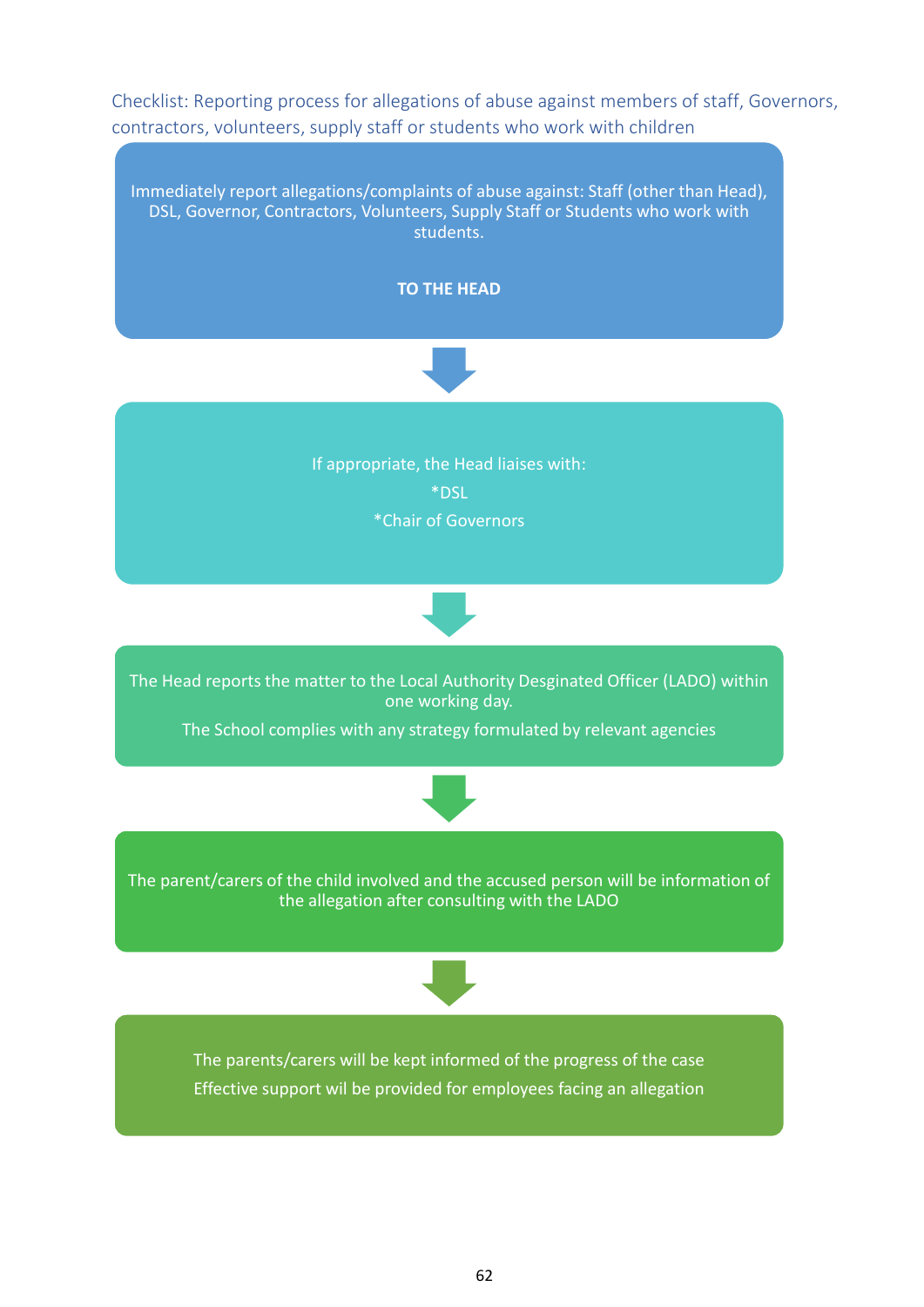<span id="page-61-0"></span>Checklist: Reporting process for allegations of abuse against members of staff, Governors, contractors, volunteers, supply staff or students who work with children

Immediately report allegations/complaints of abuse against: Staff (other than Head), DSL, Governor, Contractors, Volunteers, Supply Staff or Students who work with students.



The Head reports the matter to the Local Authority Desginated Officer (LADO) within one working day.

The School complies with any strategy formulated by relevant agencies



The parent/carers of the child involved and the accused person will be information of the allegation after consulting with the LADO



The parents/carers will be kept informed of the progress of the case Effective support wil be provided for employees facing an allegation